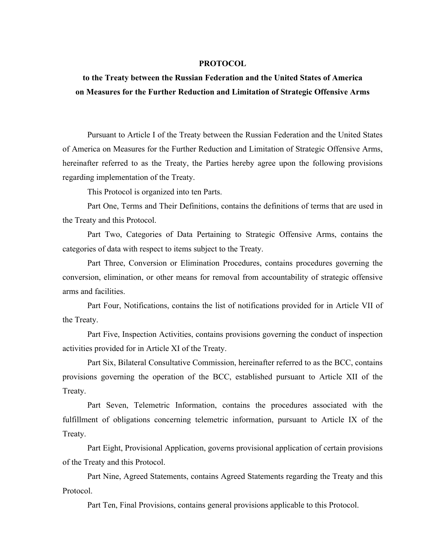#### **PROTOCOL**

# **to the Treaty between the Russian Federation and the United States of America on Measures for the Further Reduction and Limitation of Strategic Offensive Arms**

Pursuant to Article I of the Treaty between the Russian Federation and the United States of America on Measures for the Further Reduction and Limitation of Strategic Offensive Arms, hereinafter referred to as the Treaty, the Parties hereby agree upon the following provisions regarding implementation of the Treaty.

This Protocol is organized into ten Parts.

Part One, Terms and Their Definitions, contains the definitions of terms that are used in the Treaty and this Protocol.

Part Two, Categories of Data Pertaining to Strategic Offensive Arms, contains the categories of data with respect to items subject to the Treaty.

Part Three, Conversion or Elimination Procedures, contains procedures governing the conversion, elimination, or other means for removal from accountability of strategic offensive arms and facilities.

Part Four, Notifications, contains the list of notifications provided for in Article VII of the Treaty.

Part Five, Inspection Activities, contains provisions governing the conduct of inspection activities provided for in Article XI of the Treaty.

Part Six, Bilateral Consultative Commission, hereinafter referred to as the BCC, contains provisions governing the operation of the BCC, established pursuant to Article XII of the Treaty.

Part Seven, Telemetric Information, contains the procedures associated with the fulfillment of obligations concerning telemetric information, pursuant to Article IX of the Treaty.

Part Eight, Provisional Application, governs provisional application of certain provisions of the Treaty and this Protocol.

Part Nine, Agreed Statements, contains Agreed Statements regarding the Treaty and this Protocol.

Part Ten, Final Provisions, contains general provisions applicable to this Protocol.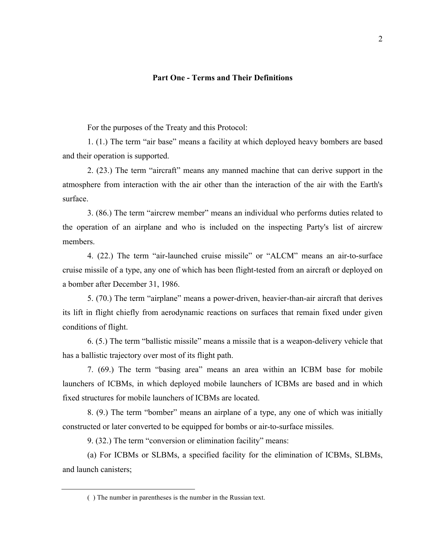#### **Part One - Terms and Their Definitions**

For the purposes of the Treaty and this Protocol:

1. (1.) The term "air base" means a facility at which deployed heavy bombers are based and their operation is supported.

2. (23.) The term "aircraft" means any manned machine that can derive support in the atmosphere from interaction with the air other than the interaction of the air with the Earth's surface.

3. (86.) The term "aircrew member" means an individual who performs duties related to the operation of an airplane and who is included on the inspecting Party's list of aircrew members.

4. (22.) The term "air-launched cruise missile" or "ALCM" means an air-to-surface cruise missile of a type, any one of which has been flight-tested from an aircraft or deployed on a bomber after December 31, 1986.

5. (70.) The term "airplane" means a power-driven, heavier-than-air aircraft that derives its lift in flight chiefly from aerodynamic reactions on surfaces that remain fixed under given conditions of flight.

6. (5.) The term "ballistic missile" means a missile that is a weapon-delivery vehicle that has a ballistic trajectory over most of its flight path.

7. (69.) The term "basing area" means an area within an ICBM base for mobile launchers of ICBMs, in which deployed mobile launchers of ICBMs are based and in which fixed structures for mobile launchers of ICBMs are located.

8. (9.) The term "bomber" means an airplane of a type, any one of which was initially constructed or later converted to be equipped for bombs or air-to-surface missiles.

9. (32.) The term "conversion or elimination facility" means:

(a) For ICBMs or SLBMs, a specified facility for the elimination of ICBMs, SLBMs, and launch canisters;

<sup>( )</sup> The number in parentheses is the number in the Russian text.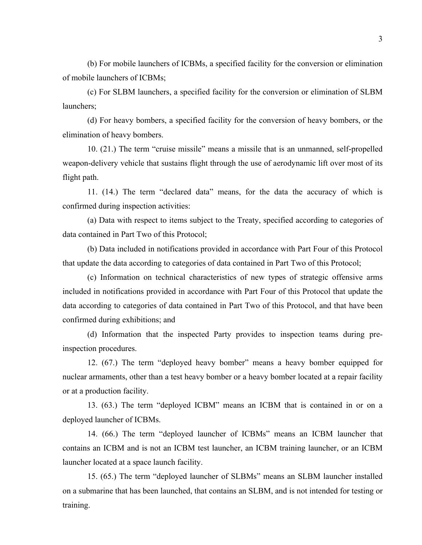(b) For mobile launchers of ICBMs, a specified facility for the conversion or elimination of mobile launchers of ICBMs;

(c) For SLBM launchers, a specified facility for the conversion or elimination of SLBM launchers;

(d) For heavy bombers, a specified facility for the conversion of heavy bombers, or the elimination of heavy bombers.

10. (21.) The term "cruise missile" means a missile that is an unmanned, self-propelled weapon-delivery vehicle that sustains flight through the use of aerodynamic lift over most of its flight path.

11. (14.) The term "declared data" means, for the data the accuracy of which is confirmed during inspection activities:

(a) Data with respect to items subject to the Treaty, specified according to categories of data contained in Part Two of this Protocol;

(b) Data included in notifications provided in accordance with Part Four of this Protocol that update the data according to categories of data contained in Part Two of this Protocol;

(c) Information on technical characteristics of new types of strategic offensive arms included in notifications provided in accordance with Part Four of this Protocol that update the data according to categories of data contained in Part Two of this Protocol, and that have been confirmed during exhibitions; and

(d) Information that the inspected Party provides to inspection teams during preinspection procedures.

12. (67.) The term "deployed heavy bomber" means a heavy bomber equipped for nuclear armaments, other than a test heavy bomber or a heavy bomber located at a repair facility or at a production facility.

13. (63.) The term "deployed ICBM" means an ICBM that is contained in or on a deployed launcher of ICBMs.

14. (66.) The term "deployed launcher of ICBMs" means an ICBM launcher that contains an ICBM and is not an ICBM test launcher, an ICBM training launcher, or an ICBM launcher located at a space launch facility.

15. (65.) The term "deployed launcher of SLBMs" means an SLBM launcher installed on a submarine that has been launched, that contains an SLBM, and is not intended for testing or training.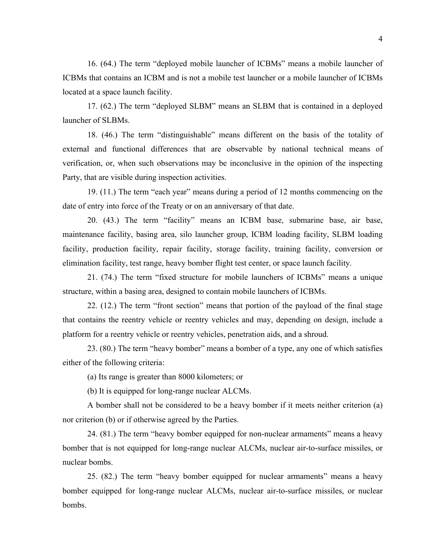16. (64.) The term "deployed mobile launcher of ICBMs" means a mobile launcher of ICBMs that contains an ICBM and is not a mobile test launcher or a mobile launcher of ICBMs located at a space launch facility.

17. (62.) The term "deployed SLBM" means an SLBM that is contained in a deployed launcher of SLBMs.

18. (46.) The term "distinguishable" means different on the basis of the totality of external and functional differences that are observable by national technical means of verification, or, when such observations may be inconclusive in the opinion of the inspecting Party, that are visible during inspection activities.

19. (11.) The term "each year" means during a period of 12 months commencing on the date of entry into force of the Treaty or on an anniversary of that date.

20. (43.) The term "facility" means an ICBM base, submarine base, air base, maintenance facility, basing area, silo launcher group, ICBM loading facility, SLBM loading facility, production facility, repair facility, storage facility, training facility, conversion or elimination facility, test range, heavy bomber flight test center, or space launch facility.

21. (74.) The term "fixed structure for mobile launchers of ICBMs" means a unique structure, within a basing area, designed to contain mobile launchers of ICBMs.

22. (12.) The term "front section" means that portion of the payload of the final stage that contains the reentry vehicle or reentry vehicles and may, depending on design, include a platform for a reentry vehicle or reentry vehicles, penetration aids, and a shroud.

23. (80.) The term "heavy bomber" means a bomber of a type, any one of which satisfies either of the following criteria:

(a) Its range is greater than 8000 kilometers; or

(b) It is equipped for long-range nuclear ALCMs.

A bomber shall not be considered to be a heavy bomber if it meets neither criterion (a) nor criterion (b) or if otherwise agreed by the Parties.

24. (81.) The term "heavy bomber equipped for non-nuclear armaments" means a heavy bomber that is not equipped for long-range nuclear ALCMs, nuclear air-to-surface missiles, or nuclear bombs.

25. (82.) The term "heavy bomber equipped for nuclear armaments" means a heavy bomber equipped for long-range nuclear ALCMs, nuclear air-to-surface missiles, or nuclear bombs.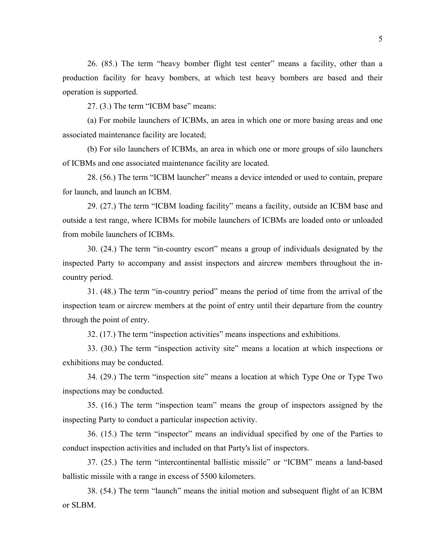26. (85.) The term "heavy bomber flight test center" means a facility, other than a production facility for heavy bombers, at which test heavy bombers are based and their operation is supported.

27. (3.) The term "ICBM base" means:

(a) For mobile launchers of ICBMs, an area in which one or more basing areas and one associated maintenance facility are located;

(b) For silo launchers of ICBMs, an area in which one or more groups of silo launchers of ICBMs and one associated maintenance facility are located.

28. (56.) The term "ICBM launcher" means a device intended or used to contain, prepare for launch, and launch an ICBM.

29. (27.) The term "ICBM loading facility" means a facility, outside an ICBM base and outside a test range, where ICBMs for mobile launchers of ICBMs are loaded onto or unloaded from mobile launchers of ICBMs.

30. (24.) The term "in-country escort" means a group of individuals designated by the inspected Party to accompany and assist inspectors and aircrew members throughout the incountry period.

31. (48.) The term "in-country period" means the period of time from the arrival of the inspection team or aircrew members at the point of entry until their departure from the country through the point of entry.

32. (17.) The term "inspection activities" means inspections and exhibitions.

33. (30.) The term "inspection activity site" means a location at which inspections or exhibitions may be conducted.

34. (29.) The term "inspection site" means a location at which Type One or Type Two inspections may be conducted.

35. (16.) The term "inspection team" means the group of inspectors assigned by the inspecting Party to conduct a particular inspection activity.

36. (15.) The term "inspector" means an individual specified by one of the Parties to conduct inspection activities and included on that Party's list of inspectors.

37. (25.) The term "intercontinental ballistic missile" or "ICBM" means a land-based ballistic missile with a range in excess of 5500 kilometers.

38. (54.) The term "launch" means the initial motion and subsequent flight of an ICBM or SLBM.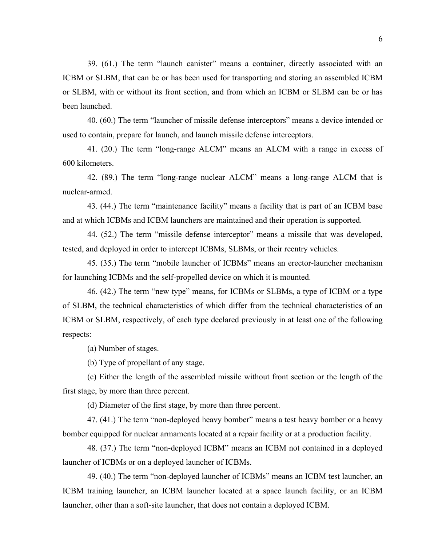39. (61.) The term "launch canister" means a container, directly associated with an ICBM or SLBM, that can be or has been used for transporting and storing an assembled ICBM or SLBM, with or without its front section, and from which an ICBM or SLBM can be or has been launched.

40. (60.) The term "launcher of missile defense interceptors" means a device intended or used to contain, prepare for launch, and launch missile defense interceptors.

41. (20.) The term "long-range ALCM" means an ALCM with a range in excess of 600 kilometers.

42. (89.) The term "long-range nuclear ALCM" means a long-range ALCM that is nuclear-armed.

43. (44.) The term "maintenance facility" means a facility that is part of an ICBM base and at which ICBMs and ICBM launchers are maintained and their operation is supported.

44. (52.) The term "missile defense interceptor" means a missile that was developed, tested, and deployed in order to intercept ICBMs, SLBMs, or their reentry vehicles.

45. (35.) The term "mobile launcher of ICBMs" means an erector-launcher mechanism for launching ICBMs and the self-propelled device on which it is mounted.

46. (42.) The term "new type" means, for ICBMs or SLBMs, a type of ICBM or a type of SLBM, the technical characteristics of which differ from the technical characteristics of an ICBM or SLBM, respectively, of each type declared previously in at least one of the following respects:

(a) Number of stages.

(b) Type of propellant of any stage.

(c) Either the length of the assembled missile without front section or the length of the first stage, by more than three percent.

(d) Diameter of the first stage, by more than three percent.

47. (41.) The term "non-deployed heavy bomber" means a test heavy bomber or a heavy bomber equipped for nuclear armaments located at a repair facility or at a production facility.

48. (37.) The term "non-deployed ICBM" means an ICBM not contained in a deployed launcher of ICBMs or on a deployed launcher of ICBMs.

49. (40.) The term "non-deployed launcher of ICBMs" means an ICBM test launcher, an ICBM training launcher, an ICBM launcher located at a space launch facility, or an ICBM launcher, other than a soft-site launcher, that does not contain a deployed ICBM.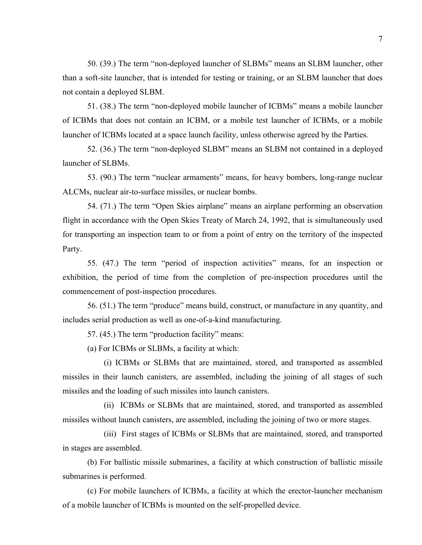50. (39.) The term "non-deployed launcher of SLBMs" means an SLBM launcher, other than a soft-site launcher, that is intended for testing or training, or an SLBM launcher that does not contain a deployed SLBM.

51. (38.) The term "non-deployed mobile launcher of ICBMs" means a mobile launcher of ICBMs that does not contain an ICBM, or a mobile test launcher of ICBMs, or a mobile launcher of ICBMs located at a space launch facility, unless otherwise agreed by the Parties.

52. (36.) The term "non-deployed SLBM" means an SLBM not contained in a deployed launcher of SLBMs.

53. (90.) The term "nuclear armaments" means, for heavy bombers, long-range nuclear ALCMs, nuclear air-to-surface missiles, or nuclear bombs.

54. (71.) The term "Open Skies airplane" means an airplane performing an observation flight in accordance with the Open Skies Treaty of March 24, 1992, that is simultaneously used for transporting an inspection team to or from a point of entry on the territory of the inspected Party.

55. (47.) The term "period of inspection activities" means, for an inspection or exhibition, the period of time from the completion of pre-inspection procedures until the commencement of post-inspection procedures.

56. (51.) The term "produce" means build, construct, or manufacture in any quantity, and includes serial production as well as one-of-a-kind manufacturing.

57. (45.) The term "production facility" means:

(a) For ICBMs or SLBMs, a facility at which:

 (i) ICBMs or SLBMs that are maintained, stored, and transported as assembled missiles in their launch canisters, are assembled, including the joining of all stages of such missiles and the loading of such missiles into launch canisters.

 (ii) ICBMs or SLBMs that are maintained, stored, and transported as assembled missiles without launch canisters, are assembled, including the joining of two or more stages.

 (iii) First stages of ICBMs or SLBMs that are maintained, stored, and transported in stages are assembled.

(b) For ballistic missile submarines, a facility at which construction of ballistic missile submarines is performed.

(c) For mobile launchers of ICBMs, a facility at which the erector-launcher mechanism of a mobile launcher of ICBMs is mounted on the self-propelled device.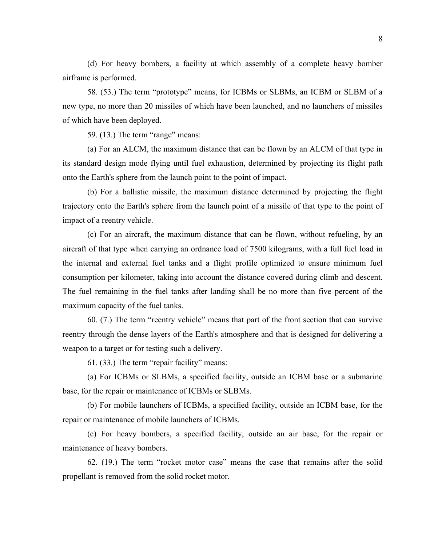(d) For heavy bombers, a facility at which assembly of a complete heavy bomber airframe is performed.

58. (53.) The term "prototype" means, for ICBMs or SLBMs, an ICBM or SLBM of a new type, no more than 20 missiles of which have been launched, and no launchers of missiles of which have been deployed.

59. (13.) The term "range" means:

(a) For an ALCM, the maximum distance that can be flown by an ALCM of that type in its standard design mode flying until fuel exhaustion, determined by projecting its flight path onto the Earth's sphere from the launch point to the point of impact.

(b) For a ballistic missile, the maximum distance determined by projecting the flight trajectory onto the Earth's sphere from the launch point of a missile of that type to the point of impact of a reentry vehicle.

(c) For an aircraft, the maximum distance that can be flown, without refueling, by an aircraft of that type when carrying an ordnance load of 7500 kilograms, with a full fuel load in the internal and external fuel tanks and a flight profile optimized to ensure minimum fuel consumption per kilometer, taking into account the distance covered during climb and descent. The fuel remaining in the fuel tanks after landing shall be no more than five percent of the maximum capacity of the fuel tanks.

60. (7.) The term "reentry vehicle" means that part of the front section that can survive reentry through the dense layers of the Earth's atmosphere and that is designed for delivering a weapon to a target or for testing such a delivery.

61. (33.) The term "repair facility" means:

(a) For ICBMs or SLBMs, a specified facility, outside an ICBM base or a submarine base, for the repair or maintenance of ICBMs or SLBMs.

(b) For mobile launchers of ICBMs, a specified facility, outside an ICBM base, for the repair or maintenance of mobile launchers of ICBMs.

(c) For heavy bombers, a specified facility, outside an air base, for the repair or maintenance of heavy bombers.

62. (19.) The term "rocket motor case" means the case that remains after the solid propellant is removed from the solid rocket motor.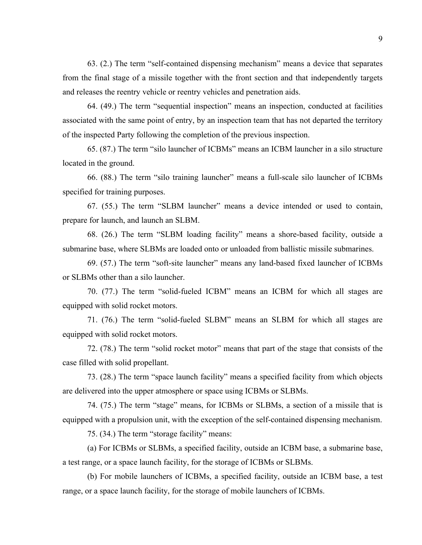63. (2.) The term "self-contained dispensing mechanism" means a device that separates from the final stage of a missile together with the front section and that independently targets and releases the reentry vehicle or reentry vehicles and penetration aids.

64. (49.) The term "sequential inspection" means an inspection, conducted at facilities associated with the same point of entry, by an inspection team that has not departed the territory of the inspected Party following the completion of the previous inspection.

65. (87.) The term "silo launcher of ICBMs" means an ICBM launcher in a silo structure located in the ground.

66. (88.) The term "silo training launcher" means a full-scale silo launcher of ICBMs specified for training purposes.

67. (55.) The term "SLBM launcher" means a device intended or used to contain, prepare for launch, and launch an SLBM.

68. (26.) The term "SLBM loading facility" means a shore-based facility, outside a submarine base, where SLBMs are loaded onto or unloaded from ballistic missile submarines.

69. (57.) The term "soft-site launcher" means any land-based fixed launcher of ICBMs or SLBMs other than a silo launcher.

70. (77.) The term "solid-fueled ICBM" means an ICBM for which all stages are equipped with solid rocket motors.

71. (76.) The term "solid-fueled SLBM" means an SLBM for which all stages are equipped with solid rocket motors.

72. (78.) The term "solid rocket motor" means that part of the stage that consists of the case filled with solid propellant.

73. (28.) The term "space launch facility" means a specified facility from which objects are delivered into the upper atmosphere or space using ICBMs or SLBMs.

74. (75.) The term "stage" means, for ICBMs or SLBMs, a section of a missile that is equipped with a propulsion unit, with the exception of the self-contained dispensing mechanism.

75. (34.) The term "storage facility" means:

(a) For ICBMs or SLBMs, a specified facility, outside an ICBM base, a submarine base, a test range, or a space launch facility, for the storage of ICBMs or SLBMs.

(b) For mobile launchers of ICBMs, a specified facility, outside an ICBM base, a test range, or a space launch facility, for the storage of mobile launchers of ICBMs.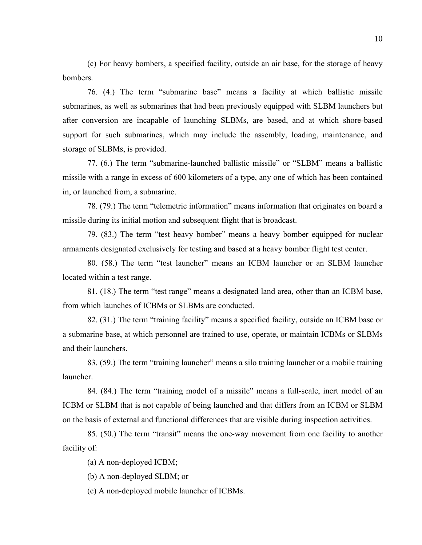(c) For heavy bombers, a specified facility, outside an air base, for the storage of heavy bombers.

76. (4.) The term "submarine base" means a facility at which ballistic missile submarines, as well as submarines that had been previously equipped with SLBM launchers but after conversion are incapable of launching SLBMs, are based, and at which shore-based support for such submarines, which may include the assembly, loading, maintenance, and storage of SLBMs, is provided.

77. (6.) The term "submarine-launched ballistic missile" or "SLBM" means a ballistic missile with a range in excess of 600 kilometers of a type, any one of which has been contained in, or launched from, a submarine.

78. (79.) The term "telemetric information" means information that originates on board a missile during its initial motion and subsequent flight that is broadcast.

79. (83.) The term "test heavy bomber" means a heavy bomber equipped for nuclear armaments designated exclusively for testing and based at a heavy bomber flight test center.

80. (58.) The term "test launcher" means an ICBM launcher or an SLBM launcher located within a test range.

81. (18.) The term "test range" means a designated land area, other than an ICBM base, from which launches of ICBMs or SLBMs are conducted.

82. (31.) The term "training facility" means a specified facility, outside an ICBM base or a submarine base, at which personnel are trained to use, operate, or maintain ICBMs or SLBMs and their launchers.

83. (59.) The term "training launcher" means a silo training launcher or a mobile training launcher.

84. (84.) The term "training model of a missile" means a full-scale, inert model of an ICBM or SLBM that is not capable of being launched and that differs from an ICBM or SLBM on the basis of external and functional differences that are visible during inspection activities.

85. (50.) The term "transit" means the one-way movement from one facility to another facility of:

(a) A non-deployed ICBM;

(b) A non-deployed SLBM; or

(c) A non-deployed mobile launcher of ICBMs.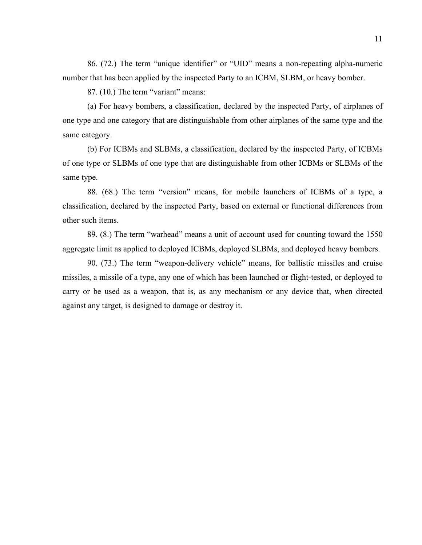86. (72.) The term "unique identifier" or "UID" means a non-repeating alpha-numeric number that has been applied by the inspected Party to an ICBM, SLBM, or heavy bomber.

87. (10.) The term "variant" means:

(a) For heavy bombers, a classification, declared by the inspected Party, of airplanes of one type and one category that are distinguishable from other airplanes of the same type and the same category.

(b) For ICBMs and SLBMs, a classification, declared by the inspected Party, of ICBMs of one type or SLBMs of one type that are distinguishable from other ICBMs or SLBMs of the same type.

88. (68.) The term "version" means, for mobile launchers of ICBMs of a type, a classification, declared by the inspected Party, based on external or functional differences from other such items.

89. (8.) The term "warhead" means a unit of account used for counting toward the 1550 aggregate limit as applied to deployed ICBMs, deployed SLBMs, and deployed heavy bombers.

90. (73.) The term "weapon-delivery vehicle" means, for ballistic missiles and cruise missiles, a missile of a type, any one of which has been launched or flight-tested, or deployed to carry or be used as a weapon, that is, as any mechanism or any device that, when directed against any target, is designed to damage or destroy it.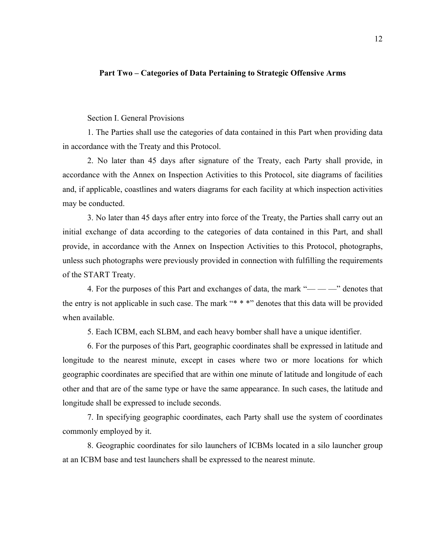#### **Part Two – Categories of Data Pertaining to Strategic Offensive Arms**

Section I. General Provisions

1. The Parties shall use the categories of data contained in this Part when providing data in accordance with the Treaty and this Protocol.

2. No later than 45 days after signature of the Treaty, each Party shall provide, in accordance with the Annex on Inspection Activities to this Protocol, site diagrams of facilities and, if applicable, coastlines and waters diagrams for each facility at which inspection activities may be conducted.

3. No later than 45 days after entry into force of the Treaty, the Parties shall carry out an initial exchange of data according to the categories of data contained in this Part, and shall provide, in accordance with the Annex on Inspection Activities to this Protocol, photographs, unless such photographs were previously provided in connection with fulfilling the requirements of the START Treaty.

4. For the purposes of this Part and exchanges of data, the mark " $\rightarrow$   $\rightarrow$  " denotes that the entry is not applicable in such case. The mark "\* \* \*" denotes that this data will be provided when available.

5. Each ICBM, each SLBM, and each heavy bomber shall have a unique identifier.

6. For the purposes of this Part, geographic coordinates shall be expressed in latitude and longitude to the nearest minute, except in cases where two or more locations for which geographic coordinates are specified that are within one minute of latitude and longitude of each other and that are of the same type or have the same appearance. In such cases, the latitude and longitude shall be expressed to include seconds.

7. In specifying geographic coordinates, each Party shall use the system of coordinates commonly employed by it.

8. Geographic coordinates for silo launchers of ICBMs located in a silo launcher group at an ICBM base and test launchers shall be expressed to the nearest minute.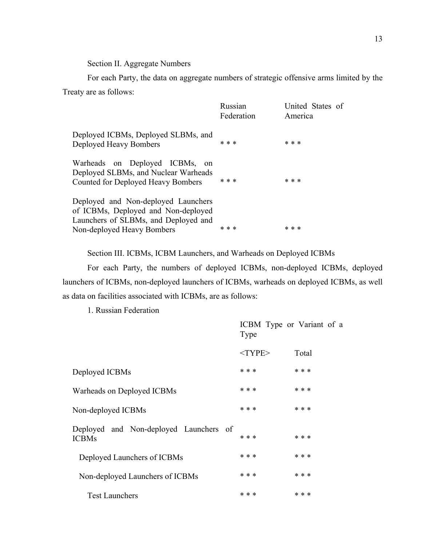Section II. Aggregate Numbers

For each Party, the data on aggregate numbers of strategic offensive arms limited by the Treaty are as follows:

|                                                                                                                                                  | Russian<br>Federation | United States of<br>America |
|--------------------------------------------------------------------------------------------------------------------------------------------------|-----------------------|-----------------------------|
| Deployed ICBMs, Deployed SLBMs, and<br>Deployed Heavy Bombers                                                                                    | * * *                 | * * *                       |
| Warheads on Deployed ICBMs, on<br>Deployed SLBMs, and Nuclear Warheads<br>Counted for Deployed Heavy Bombers                                     | * * *                 | * * *                       |
| Deployed and Non-deployed Launchers<br>of ICBMs, Deployed and Non-deployed<br>Launchers of SLBMs, and Deployed and<br>Non-deployed Heavy Bombers | * * *                 | * * *                       |

Section III. ICBMs, ICBM Launchers, and Warheads on Deployed ICBMs

For each Party, the numbers of deployed ICBMs, non-deployed ICBMs, deployed launchers of ICBMs, non-deployed launchers of ICBMs, warheads on deployed ICBMs, as well as data on facilities associated with ICBMs, are as follows:

1. Russian Federation

|                                                        | Type         | ICBM Type or Variant of a |
|--------------------------------------------------------|--------------|---------------------------|
|                                                        | $<$ TYPE $>$ | Total                     |
| Deployed ICBMs                                         | * * *        | * * *                     |
| Warheads on Deployed ICBMs                             | * * *        | * * *                     |
| Non-deployed ICBMs                                     | * * *        | * * *                     |
| Deployed and Non-deployed Launchers of<br><b>ICBMs</b> | * * *        | * * *                     |
| Deployed Launchers of ICBMs                            | * * *        | * * *                     |
| Non-deployed Launchers of ICBMs                        | * * *        | * * *                     |
| <b>Test Launchers</b>                                  | * * *        | * * *                     |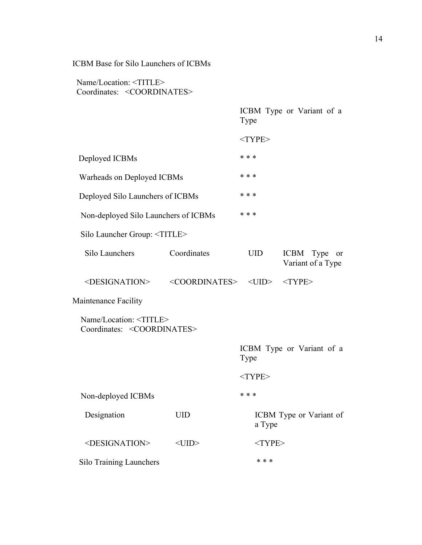## ICBM Base for Silo Launchers of ICBMs

|                                                                             |                                         | Type       | ICBM Type or Variant of a                       |
|-----------------------------------------------------------------------------|-----------------------------------------|------------|-------------------------------------------------|
|                                                                             |                                         | $<$ TYPE>  |                                                 |
| Deployed ICBMs                                                              |                                         | * * *      |                                                 |
| Warheads on Deployed ICBMs                                                  |                                         | * * *      |                                                 |
| Deployed Silo Launchers of ICBMs                                            |                                         | * * *      |                                                 |
| Non-deployed Silo Launchers of ICBMs                                        |                                         | * * *      |                                                 |
| Silo Launcher Group: <title></title>                                        |                                         |            |                                                 |
| Silo Launchers                                                              | Coordinates                             | <b>UID</b> | ICBM Type<br><sub>or</sub><br>Variant of a Type |
| <designation></designation>                                                 | <coordinates> <uid></uid></coordinates> |            | $<$ TYPE>                                       |
| Maintenance Facility                                                        |                                         |            |                                                 |
| Name/Location: <title><br/>Coordinates: <coordinates></coordinates></title> |                                         |            |                                                 |
|                                                                             |                                         | Type       | ICBM Type or Variant of a                       |
|                                                                             |                                         | $<$ TYPE>  |                                                 |
| Non-deployed ICBMs                                                          |                                         | * * *      |                                                 |
| Designation                                                                 | <b>UID</b>                              | a Type     | ICBM Type or Variant of                         |
| <designation></designation>                                                 | $<$ UID $>$                             | $<$ TYPE>  |                                                 |
| Silo Training Launchers                                                     |                                         | * * *      |                                                 |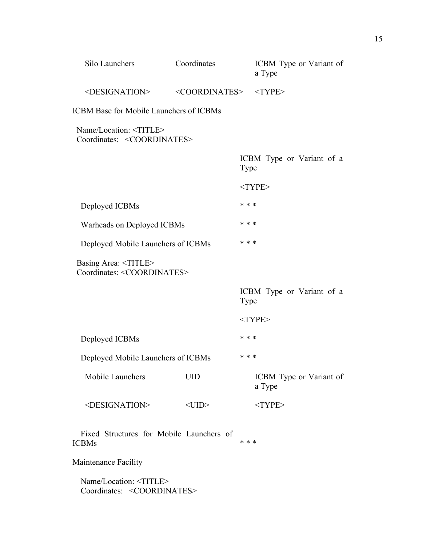| Silo Launchers                                                              | Coordinates                 | ICBM Type or Variant of<br>a Type |
|-----------------------------------------------------------------------------|-----------------------------|-----------------------------------|
| <designation></designation>                                                 | <coordinates></coordinates> | $<$ TYPE>                         |
| <b>ICBM Base for Mobile Launchers of ICBMs</b>                              |                             |                                   |
| Name/Location: <title><br/>Coordinates: <coordinates></coordinates></title> |                             |                                   |
|                                                                             |                             | ICBM Type or Variant of a<br>Type |
|                                                                             |                             | $<$ TYPE>                         |
| Deployed ICBMs                                                              |                             | * * *                             |
| Warheads on Deployed ICBMs                                                  |                             | * * *                             |
| Deployed Mobile Launchers of ICBMs                                          |                             | * * *                             |
| Basing Area: <title><br/>Coordinates: <coordinates></coordinates></title>   |                             |                                   |
|                                                                             |                             | ICBM Type or Variant of a<br>Type |
|                                                                             |                             | $<$ TYPE>                         |
| Deployed ICBMs                                                              |                             | * * *                             |
| Deployed Mobile Launchers of ICBMs                                          |                             | * * *                             |
| Mobile Launchers                                                            | <b>UID</b>                  | ICBM Type or Variant of<br>a Type |
| <designation></designation>                                                 | $<$ UID $>$                 | $<$ TYPE>                         |
| Fixed Structures for Mobile Launchers of<br><b>ICBMs</b>                    |                             | * * *                             |
| Maintenance Facility                                                        |                             |                                   |
| Name/Location: <title></title>                                              |                             |                                   |

Coordinates: <COORDINATES>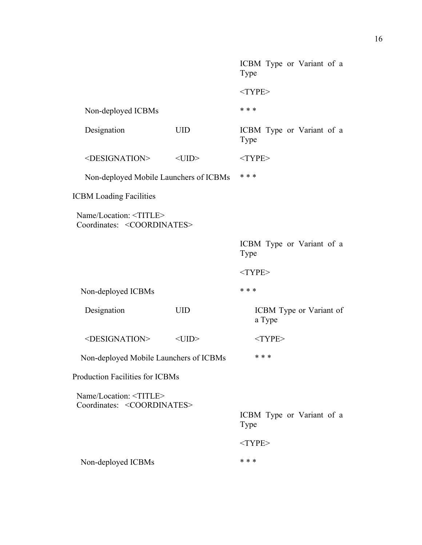|                                                                             |             | ICBM Type or Variant of a<br>Type |
|-----------------------------------------------------------------------------|-------------|-----------------------------------|
|                                                                             |             | $<$ TYPE>                         |
| Non-deployed ICBMs                                                          |             | * * *                             |
| Designation                                                                 | <b>UID</b>  | ICBM Type or Variant of a<br>Type |
| <designation></designation>                                                 | $<$ UID $>$ | $<$ TYPE>                         |
| Non-deployed Mobile Launchers of ICBMs                                      |             | * * *                             |
| <b>ICBM Loading Facilities</b>                                              |             |                                   |
| Name/Location: <title><br/>Coordinates: <coordinates></coordinates></title> |             |                                   |
|                                                                             |             | ICBM Type or Variant of a<br>Type |
|                                                                             |             |                                   |
|                                                                             |             | $<$ TYPE>                         |
| Non-deployed ICBMs                                                          |             | * * *                             |
| Designation                                                                 | <b>UID</b>  | ICBM Type or Variant of<br>a Type |
| <designation></designation>                                                 | $<$ UID $>$ | $<$ TYPE>                         |
| Non-deployed Mobile Launchers of ICBMs                                      |             | * * *                             |
| <b>Production Facilities for ICBMs</b>                                      |             |                                   |
| Name/Location: <title></title>                                              |             |                                   |
| Coordinates: <coordinates></coordinates>                                    |             | ICBM Type or Variant of a<br>Type |
|                                                                             |             | $<$ TYPE>                         |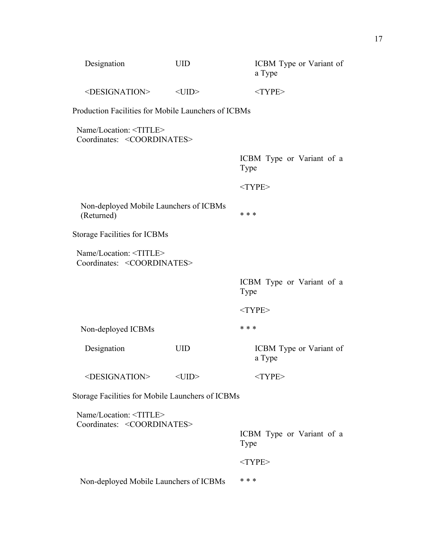| Designation                                                                 | <b>UID</b>  | ICBM Type or Variant of<br>a Type |
|-----------------------------------------------------------------------------|-------------|-----------------------------------|
| <designation></designation>                                                 | $<$ UID $>$ | $<$ TYPE>                         |
| Production Facilities for Mobile Launchers of ICBMs                         |             |                                   |
| Name/Location: <title><br/>Coordinates: <coordinates></coordinates></title> |             |                                   |
|                                                                             |             | ICBM Type or Variant of a<br>Type |
|                                                                             |             | $<$ TYPE>                         |
| Non-deployed Mobile Launchers of ICBMs<br>(Returned)                        |             | * * *                             |
| <b>Storage Facilities for ICBMs</b>                                         |             |                                   |
| Name/Location: <title><br/>Coordinates: <coordinates></coordinates></title> |             |                                   |
|                                                                             |             |                                   |
|                                                                             |             | ICBM Type or Variant of a<br>Type |
|                                                                             |             | $<$ TYPE>                         |
| Non-deployed ICBMs                                                          |             | * * *                             |
| Designation                                                                 | <b>UID</b>  | ICBM Type or Variant of<br>a Type |
| <designation></designation>                                                 | $<$ UID $>$ | $<$ TYPE>                         |
| Storage Facilities for Mobile Launchers of ICBMs                            |             |                                   |
| Name/Location: <title></title>                                              |             |                                   |
| Coordinates: <coordinates></coordinates>                                    |             | ICBM Type or Variant of a<br>Type |
|                                                                             |             | $<$ TYPE>                         |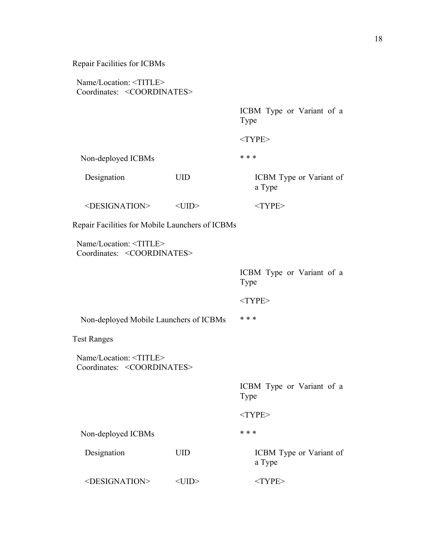#### Name/Location: <TITLE> Coordinates: <COORDINATES>

ICBM Type or Variant of a Type

<TYPE>

Non-deployed ICBMs \*\*\*

Designation UID ICBM Type or Variant of

a Type

 $\leq$ DESIGNATION> $\leq$ UID> $\leq$ TYPE>

Repair Facilities for Mobile Launchers of ICBMs

 Name/Location: <TITLE> Coordinates: <COORDINATES>

> ICBM Type or Variant of a Type

<TYPE>

Non-deployed Mobile Launchers of ICBMs \*\*\*

Test Ranges

 Name/Location: <TITLE> Coordinates: <COORDINATES>

> ICBM Type or Variant of a Type <TYPE>

Non-deployed ICBMs \*\*\*

Designation UID ICBM Type or Variant of

<DESIGNATION> <UID> <TYPE>

a Type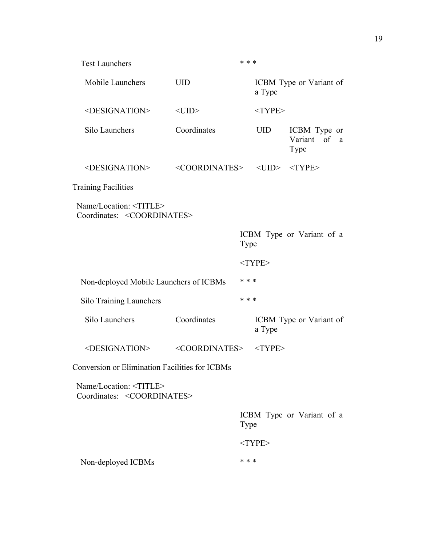| <b>Test Launchers</b>                                                       |                             | * * * |             |                                         |
|-----------------------------------------------------------------------------|-----------------------------|-------|-------------|-----------------------------------------|
| Mobile Launchers                                                            | <b>UID</b>                  |       | a Type      | ICBM Type or Variant of                 |
| <designation></designation>                                                 | $<$ UID $>$                 |       | $<$ TYPE>   |                                         |
| Silo Launchers                                                              | Coordinates                 |       | <b>UID</b>  | ICBM Type or<br>Variant of<br>a<br>Type |
| <designation></designation>                                                 | <coordinates></coordinates> |       | $<$ UID $>$ | $<$ TYPE $>$                            |
| <b>Training Facilities</b>                                                  |                             |       |             |                                         |
| Name/Location: <title><br/>Coordinates: <coordinates></coordinates></title> |                             |       |             |                                         |
|                                                                             |                             | Type  |             | ICBM Type or Variant of a               |
|                                                                             |                             |       | $<$ TYPE>   |                                         |
| Non-deployed Mobile Launchers of ICBMs                                      |                             | * * * |             |                                         |
| <b>Silo Training Launchers</b>                                              |                             | * * * |             |                                         |
| Silo Launchers                                                              | Coordinates                 |       | a Type      | ICBM Type or Variant of                 |
| <designation></designation>                                                 | <coordinates></coordinates> |       | $<$ TYPE>   |                                         |
| <b>Conversion or Elimination Facilities for ICBMs</b>                       |                             |       |             |                                         |
| Name/Location: <title><br/>Coordinates: <coordinates></coordinates></title> |                             |       |             |                                         |
|                                                                             |                             | Type  |             | ICBM Type or Variant of a               |
|                                                                             |                             |       | $<$ TYPE>   |                                         |
| Non-deployed ICBMs                                                          |                             | * * * |             |                                         |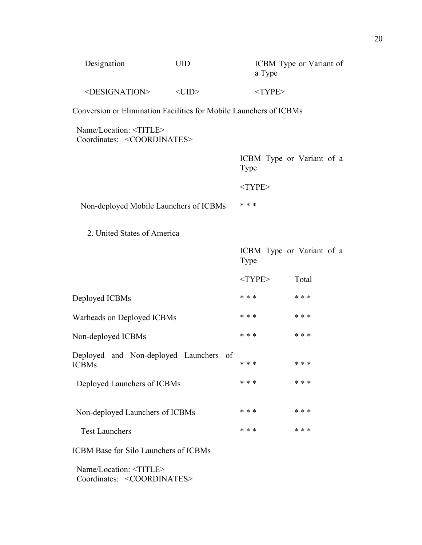| Designation            | UID     | ICBM Type or Variant of<br>a Type |
|------------------------|---------|-----------------------------------|
| $\leq$ DESIGNATION $>$ | $<$ UD> | $<$ TYPE $>$                      |

Conversion or Elimination Facilities for Mobile Launchers of ICBMs

 Name/Location: <TITLE> Coordinates: <COORDINATES>

|                                        | ICBM Type or Variant of a<br>Type |
|----------------------------------------|-----------------------------------|
|                                        | $<$ TYPE $>$                      |
| Non-deployed Mobile Launchers of ICBMs | * * *                             |
|                                        |                                   |

2. United States of America

|                                                        | Type      | ICBM Type or Variant of a |
|--------------------------------------------------------|-----------|---------------------------|
|                                                        | $<$ TYPE> | Total                     |
| Deployed ICBMs                                         | * * *     | * * *                     |
| Warheads on Deployed ICBMs                             | * * *     | * * *                     |
| Non-deployed ICBMs                                     | * * *     | * * *                     |
| Deployed and Non-deployed Launchers of<br><b>ICBMs</b> | * * *     | * * *                     |
| Deployed Launchers of ICBMs                            | * * *     | * * *                     |
| Non-deployed Launchers of ICBMs                        | * * *     | * * *                     |
| <b>Test Launchers</b>                                  | * * *     | * * *                     |
| <b>ICBM Base for Silo Launchers of ICBMs</b>           |           |                           |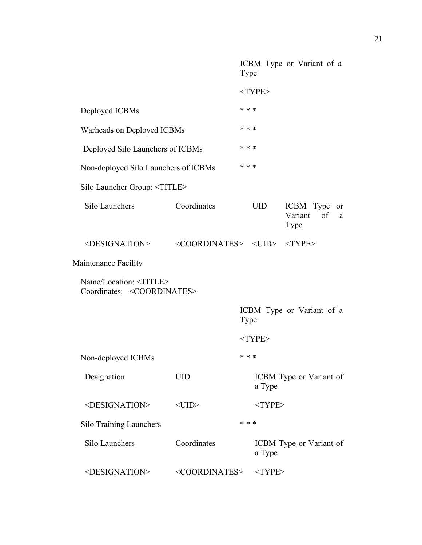|                                                                             |                                                       | Type  |              | ICBM Type or Variant of a                     |
|-----------------------------------------------------------------------------|-------------------------------------------------------|-------|--------------|-----------------------------------------------|
|                                                                             |                                                       |       | $<$ TYPE>    |                                               |
| Deployed ICBMs                                                              |                                                       | * * * |              |                                               |
| Warheads on Deployed ICBMs                                                  |                                                       | * * * |              |                                               |
| Deployed Silo Launchers of ICBMs                                            |                                                       | * * * |              |                                               |
| Non-deployed Silo Launchers of ICBMs                                        |                                                       | * * * |              |                                               |
| Silo Launcher Group: <title></title>                                        |                                                       |       |              |                                               |
| Silo Launchers                                                              | Coordinates                                           |       | <b>UID</b>   | ICBM Type<br>or<br>of<br>Variant<br>a<br>Type |
| <designation></designation>                                                 | <coordinates> <uid> <type></type></uid></coordinates> |       |              |                                               |
| <b>Maintenance Facility</b>                                                 |                                                       |       |              |                                               |
| Name/Location: <title><br/>Coordinates: <coordinates></coordinates></title> |                                                       |       |              |                                               |
|                                                                             |                                                       | Type  |              | ICBM Type or Variant of a                     |
|                                                                             |                                                       |       | $<$ TYPE>    |                                               |
| Non-deployed ICBMs                                                          |                                                       | * * * |              |                                               |
| Designation                                                                 | <b>UID</b>                                            |       | a Type       | ICBM Type or Variant of                       |
| <designation></designation>                                                 | $<$ UID $>$                                           |       | $<$ TYPE>    |                                               |
| <b>Silo Training Launchers</b>                                              |                                                       | * * * |              |                                               |
| Silo Launchers                                                              | Coordinates                                           |       | a Type       | ICBM Type or Variant of                       |
| <designation></designation>                                                 | <coordinates></coordinates>                           |       | $<$ TYPE $>$ |                                               |
|                                                                             |                                                       |       |              |                                               |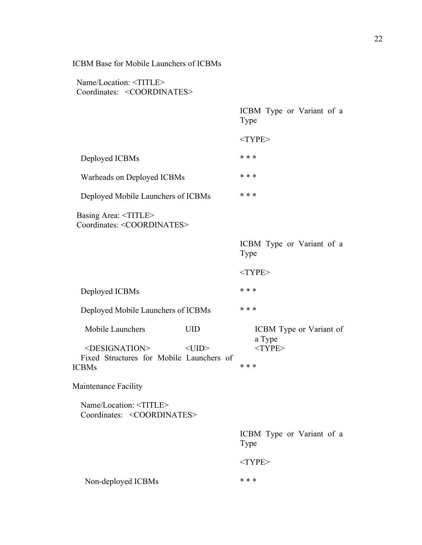## ICBM Base for Mobile Launchers of ICBMs

|                                                                                              |                           | Type      | ICBM Type or Variant of a                      |  |
|----------------------------------------------------------------------------------------------|---------------------------|-----------|------------------------------------------------|--|
|                                                                                              |                           | $<$ TYPE> |                                                |  |
| Deployed ICBMs                                                                               |                           | * * *     |                                                |  |
| Warheads on Deployed ICBMs                                                                   |                           | * * *     |                                                |  |
| Deployed Mobile Launchers of ICBMs                                                           |                           | * * *     |                                                |  |
| Basing Area: <title><br/>Coordinates: <coordinates></coordinates></title>                    |                           |           |                                                |  |
|                                                                                              |                           | Type      | ICBM Type or Variant of a                      |  |
|                                                                                              |                           | $<$ TYPE> |                                                |  |
| Deployed ICBMs                                                                               |                           | * * *     |                                                |  |
| Deployed Mobile Launchers of ICBMs                                                           |                           | * * *     |                                                |  |
| Mobile Launchers<br><designation><br/>Fixed Structures for Mobile Launchers of</designation> | <b>UID</b><br>$<$ UID $>$ |           | ICBM Type or Variant of<br>a Type<br>$<$ TYPE> |  |
| <b>ICBMs</b>                                                                                 |                           | * * *     |                                                |  |
| Maintenance Facility                                                                         |                           |           |                                                |  |
| Name/Location: <title><br/>Coordinates: <coordinates></coordinates></title>                  |                           |           |                                                |  |
|                                                                                              |                           | Type      | ICBM Type or Variant of a                      |  |
|                                                                                              |                           | $<$ TYPE> |                                                |  |
| Non-deployed ICBMs                                                                           |                           | * * *     |                                                |  |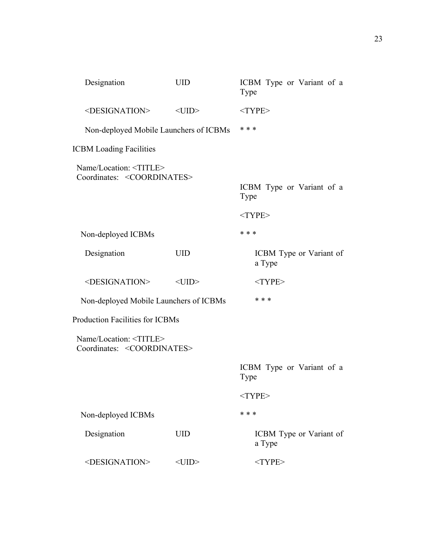| Designation                                                                 | <b>UID</b>  | ICBM Type or Variant of a<br>Type |
|-----------------------------------------------------------------------------|-------------|-----------------------------------|
| <designation></designation>                                                 | $<$ UID $>$ | $<$ TYPE>                         |
| Non-deployed Mobile Launchers of ICBMs                                      |             | * * *                             |
| <b>ICBM Loading Facilities</b>                                              |             |                                   |
| Name/Location: <title><br/>Coordinates: <coordinates></coordinates></title> |             |                                   |
|                                                                             |             | ICBM Type or Variant of a<br>Type |
|                                                                             |             | $<$ TYPE>                         |
| Non-deployed ICBMs                                                          |             | * * *                             |
| Designation                                                                 | <b>UID</b>  | ICBM Type or Variant of<br>a Type |
| <designation></designation>                                                 | $<$ UID $>$ | $<$ TYPE>                         |
| Non-deployed Mobile Launchers of ICBMs                                      | * * *       |                                   |
| <b>Production Facilities for ICBMs</b>                                      |             |                                   |
| Name/Location: <title><br/>Coordinates: <coordinates></coordinates></title> |             |                                   |
|                                                                             |             | ICBM Type or Variant of a<br>Type |
|                                                                             |             | $<$ TYPE>                         |
| Non-deployed ICBMs                                                          |             | * * *                             |
| Designation                                                                 | <b>UID</b>  | ICBM Type or Variant of<br>a Type |
|                                                                             |             |                                   |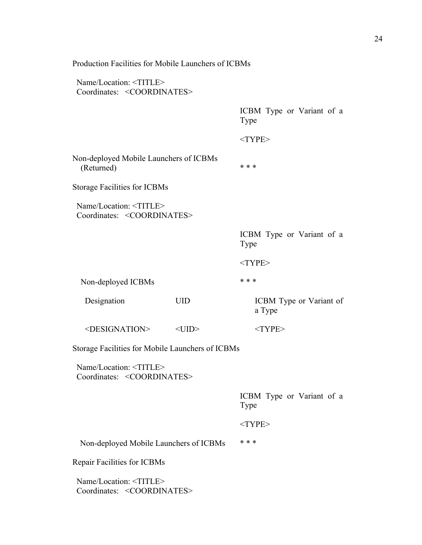| Production Facilities for Mobile Launchers of ICBMs                         |             |                                   |
|-----------------------------------------------------------------------------|-------------|-----------------------------------|
| Name/Location: <title><br/>Coordinates: <coordinates></coordinates></title> |             |                                   |
|                                                                             |             | ICBM Type or Variant of a<br>Type |
|                                                                             |             | $<$ TYPE>                         |
| Non-deployed Mobile Launchers of ICBMs<br>(Returned)                        |             | * * *                             |
| <b>Storage Facilities for ICBMs</b>                                         |             |                                   |
| Name/Location: <title><br/>Coordinates: <coordinates></coordinates></title> |             |                                   |
|                                                                             |             | ICBM Type or Variant of a<br>Type |
|                                                                             |             | $<$ TYPE>                         |
| Non-deployed ICBMs                                                          |             | * * *                             |
| Designation                                                                 | <b>UID</b>  | ICBM Type or Variant of<br>a Type |
| <designation></designation>                                                 | $<$ UID $>$ | $<$ TYPE>                         |
| Storage Facilities for Mobile Launchers of ICBMs                            |             |                                   |
| Name/Location: <title><br/>Coordinates: <coordinates></coordinates></title> |             |                                   |
|                                                                             |             | ICBM Type or Variant of a<br>Type |
|                                                                             |             | $<$ TYPE>                         |
| Non-deployed Mobile Launchers of ICBMs                                      |             | * * *                             |
| Repair Facilities for ICBMs                                                 |             |                                   |
| Name/Location: <title><br/>Coordinates: <coordinates></coordinates></title> |             |                                   |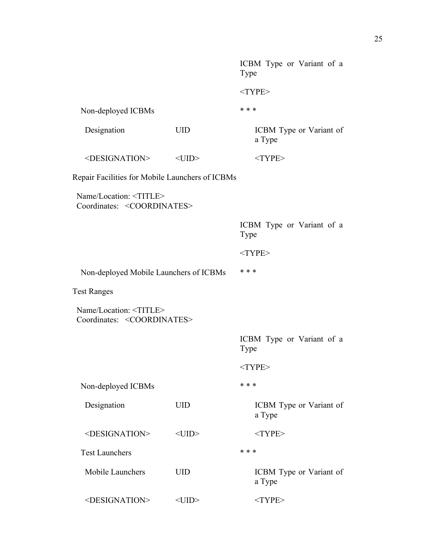|                                                                             |             | ICBM Type or Variant of a<br>Type |
|-----------------------------------------------------------------------------|-------------|-----------------------------------|
|                                                                             |             | $<$ TYPE>                         |
| Non-deployed ICBMs                                                          |             | * * *                             |
| Designation                                                                 | <b>UID</b>  | ICBM Type or Variant of<br>a Type |
| <designation></designation>                                                 | $<$ UID $>$ | $<$ TYPE>                         |
| Repair Facilities for Mobile Launchers of ICBMs                             |             |                                   |
| Name/Location: <title><br/>Coordinates: <coordinates></coordinates></title> |             |                                   |
|                                                                             |             | ICBM Type or Variant of a<br>Type |
|                                                                             |             | $<$ TYPE>                         |
| Non-deployed Mobile Launchers of ICBMs                                      |             | * * *                             |
| <b>Test Ranges</b>                                                          |             |                                   |
| Name/Location: <title><br/>Coordinates: <coordinates></coordinates></title> |             |                                   |
|                                                                             |             | ICBM Type or Variant of a<br>Type |
|                                                                             |             | $<$ TYPE>                         |
| Non-deployed ICBMs                                                          |             | * * *                             |
| Designation                                                                 | <b>UID</b>  | ICBM Type or Variant of<br>a Type |
| <designation></designation>                                                 | $<$ UID $>$ | $<$ TYPE>                         |
| <b>Test Launchers</b>                                                       |             | * * *                             |
| Mobile Launchers                                                            | <b>UID</b>  | ICBM Type or Variant of<br>a Type |
| <designation></designation>                                                 | $<$ UID $>$ | $<$ TYPE>                         |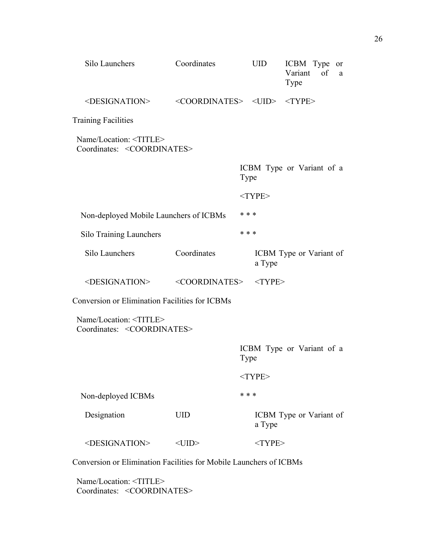| Silo Launchers                                                              | Coordinates                                                      | <b>UID</b>   | ICBM Type or<br>of<br>Variant<br>a<br>Type |
|-----------------------------------------------------------------------------|------------------------------------------------------------------|--------------|--------------------------------------------|
| <designation></designation>                                                 | $\langle COORDINATES> \langle JIID \rangle \langle TYPE \rangle$ |              |                                            |
| <b>Training Facilities</b>                                                  |                                                                  |              |                                            |
| Name/Location: <title><br/>Coordinates: <coordinates></coordinates></title> |                                                                  |              |                                            |
|                                                                             |                                                                  | Type         | ICBM Type or Variant of a                  |
|                                                                             |                                                                  | $<$ TYPE>    |                                            |
| Non-deployed Mobile Launchers of ICBMs                                      |                                                                  | * * *        |                                            |
| <b>Silo Training Launchers</b>                                              |                                                                  | * * *        |                                            |
| Silo Launchers                                                              | Coordinates                                                      | a Type       | ICBM Type or Variant of                    |
| <designation></designation>                                                 | <coordinates></coordinates>                                      | $<$ TYPE $>$ |                                            |
| <b>Conversion or Elimination Facilities for ICBMs</b>                       |                                                                  |              |                                            |
| Name/Location: <title><br/>Coordinates: <coordinates></coordinates></title> |                                                                  |              |                                            |
|                                                                             |                                                                  | Type         | ICBM Type or Variant of a                  |
|                                                                             |                                                                  | $<$ TYPE>    |                                            |
| Non-deployed ICBMs                                                          |                                                                  | * * *        |                                            |
| Designation                                                                 | <b>UID</b>                                                       | a Type       | ICBM Type or Variant of                    |
| <designation></designation>                                                 | $<$ UID $>$                                                      | $<$ TYPE>    |                                            |
| Conversion or Elimination Facilities for Mobile Launchers of ICBMs          |                                                                  |              |                                            |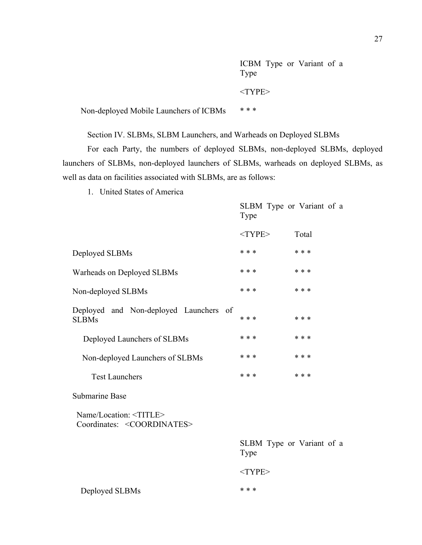ICBM Type or Variant of a Type  $<$ TYPE $>$ 

Non-deployed Mobile Launchers of ICBMs \*\*\*

Section IV. SLBMs, SLBM Launchers, and Warheads on Deployed SLBMs

For each Party, the numbers of deployed SLBMs, non-deployed SLBMs, deployed launchers of SLBMs, non-deployed launchers of SLBMs, warheads on deployed SLBMs, as well as data on facilities associated with SLBMs, are as follows:

1. United States of America

|                                                                             | Type      | SLBM Type or Variant of a |
|-----------------------------------------------------------------------------|-----------|---------------------------|
|                                                                             | $<$ TYPE> | Total                     |
| Deployed SLBMs                                                              | * * *     | * * *                     |
| Warheads on Deployed SLBMs                                                  | * * *     | * * *                     |
| Non-deployed SLBMs                                                          | * * *     | * * *                     |
| Deployed and Non-deployed Launchers of<br><b>SLBMs</b>                      | * * *     | * * *                     |
| Deployed Launchers of SLBMs                                                 | * * *     | * * *                     |
| Non-deployed Launchers of SLBMs                                             | * * *     | * * *                     |
| <b>Test Launchers</b>                                                       | * * *     | * * *                     |
| <b>Submarine Base</b>                                                       |           |                           |
| Name/Location: <title><br/>Coordinates: <coordinates></coordinates></title> |           |                           |
|                                                                             | Type      | SLBM Type or Variant of a |

<TYPE>

Deployed SLBMs \* \* \*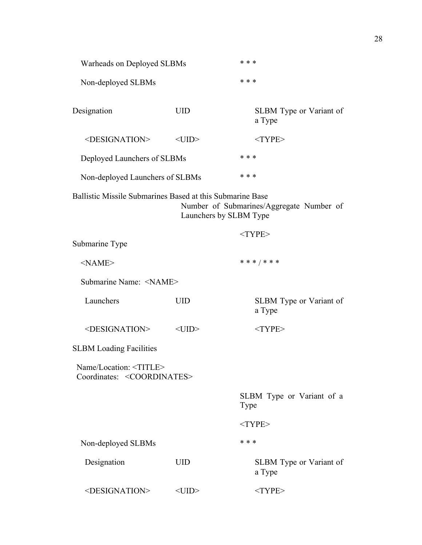| Warheads on Deployed SLBMs                                                  |                        | * * *                                    |  |
|-----------------------------------------------------------------------------|------------------------|------------------------------------------|--|
| Non-deployed SLBMs                                                          |                        | * * *                                    |  |
| Designation                                                                 | <b>UID</b>             | SLBM Type or Variant of<br>a Type        |  |
| <designation></designation>                                                 | $<$ UID $>$            | $<$ TYPE $>$                             |  |
| Deployed Launchers of SLBMs                                                 |                        | * * *                                    |  |
| Non-deployed Launchers of SLBMs                                             |                        | * * *                                    |  |
| Ballistic Missile Submarines Based at this Submarine Base                   | Launchers by SLBM Type | Number of Submarines/Aggregate Number of |  |
|                                                                             |                        | $<$ TYPE>                                |  |
| Submarine Type                                                              |                        |                                          |  |
| $<$ NAME $>$                                                                |                        | * * * / * * *                            |  |
| Submarine Name: <name></name>                                               |                        |                                          |  |
| Launchers                                                                   | <b>UID</b>             | SLBM Type or Variant of<br>a Type        |  |
| <designation></designation>                                                 | $<$ UID $>$            | $<$ TYPE>                                |  |
| <b>SLBM Loading Facilities</b>                                              |                        |                                          |  |
| Name/Location: <title><br/>Coordinates: <coordinates></coordinates></title> |                        |                                          |  |
|                                                                             |                        | SLBM Type or Variant of a<br>Type        |  |
|                                                                             |                        | $<$ TYPE>                                |  |
| Non-deployed SLBMs                                                          |                        | * * *                                    |  |
| Designation                                                                 | <b>UID</b>             | SLBM Type or Variant of<br>a Type        |  |
| <designation></designation>                                                 | $<$ UID $>$            | $<$ TYPE>                                |  |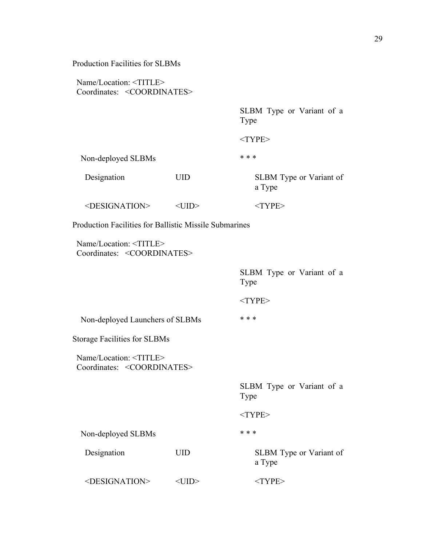| $Name/Location: \langle TITLE \rangle$ |                                          |
|----------------------------------------|------------------------------------------|
|                                        | Coordinates: <coordinates></coordinates> |

SLBM Type or Variant of a Type

<TYPE>

Non-deployed SLBMs \* \* \* \*

Designation UID SLBM Type or Variant of a Type <DESIGNATION> <UID> <TYPE>

Production Facilities for Ballistic Missile Submarines

 Name/Location: <TITLE> Coordinates: <COORDINATES>

> SLBM Type or Variant of a Type <TYPE>

Non-deployed Launchers of SLBMs \*\*\*

Storage Facilities for SLBMs

 Name/Location: <TITLE> Coordinates: <COORDINATES>

> SLBM Type or Variant of a Type

<TYPE>

Non-deployed SLBMs \* \* \* \*

Designation UID SLBM Type or Variant of a Type

<DESIGNATION> <UID> <TYPE>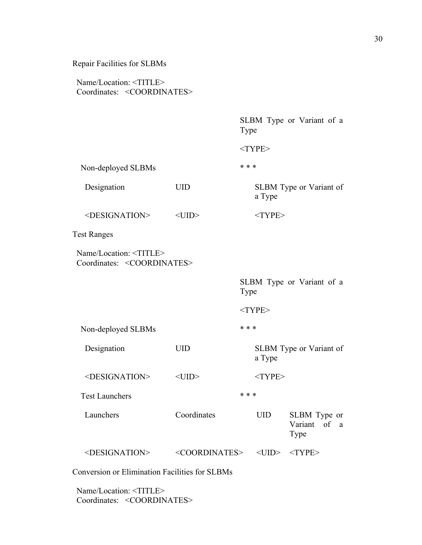## Name/Location: <TITLE> Coordinates: <COORDINATES>

SLBM Type or Variant of a Type

 $<$ TYPE $>$ 

| Non-deployed SLBMs                                                          |                             | * * * |             |                                      |
|-----------------------------------------------------------------------------|-----------------------------|-------|-------------|--------------------------------------|
| Designation                                                                 | <b>UID</b>                  |       | a Type      | SLBM Type or Variant of              |
| <designation></designation>                                                 | $<$ UID $>$                 |       | $<$ TYPE>   |                                      |
| <b>Test Ranges</b>                                                          |                             |       |             |                                      |
| Name/Location: <title><br/>Coordinates: <coordinates></coordinates></title> |                             |       |             |                                      |
|                                                                             |                             | Type  |             | SLBM Type or Variant of a            |
|                                                                             |                             |       | $<$ TYPE>   |                                      |
| Non-deployed SLBMs                                                          |                             | * * * |             |                                      |
| Designation                                                                 | <b>UID</b>                  |       | a Type      | SLBM Type or Variant of              |
| <designation></designation>                                                 | $<$ UID $>$                 |       | $<$ TYPE>   |                                      |
| <b>Test Launchers</b>                                                       |                             | * * * |             |                                      |
| Launchers                                                                   | Coordinates                 |       | <b>UID</b>  | SLBM Type or<br>Variant of a<br>Type |
| <designation></designation>                                                 | <coordinates></coordinates> |       | $<$ UID $>$ | $<$ TYPE $>$                         |

Conversion or Elimination Facilities for SLBMs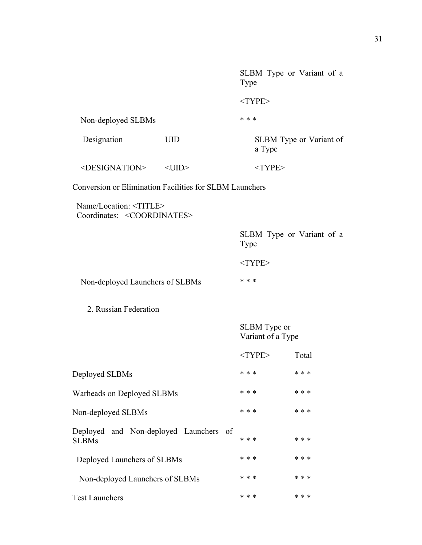SLBM Type or Variant of a Type <TYPE> Non-deployed SLBMs \* \* \* \* Designation UID SLBM Type or Variant of a Type <DESIGNATION> <UID> <TYPE> Conversion or Elimination Facilities for SLBM Launchers Name/Location: <TITLE> Coordinates: <COORDINATES> SLBM Type or Variant of a Type <TYPE> Non-deployed Launchers of SLBMs \*\*\* 2. Russian Federation SLBM Type or Variant of a Type <TYPE> Total Deployed SLBMs \* \* \* \* \* \* Warheads on Deployed SLBMs \*\*\* \* \* \* \* \* \* \* \* Non-deployed SLBMs \* \* \* \* \* \* Deployed and Non-deployed Launchers of  $SLBMs$  \*\*\* \* \*\* Deployed Launchers of SLBMs \*\*\* \* \* \* \* \* \* Non-deployed Launchers of SLBMs \*\*\* \* \* \* \* \* \* Test Launchers \* \* \* \* \* \*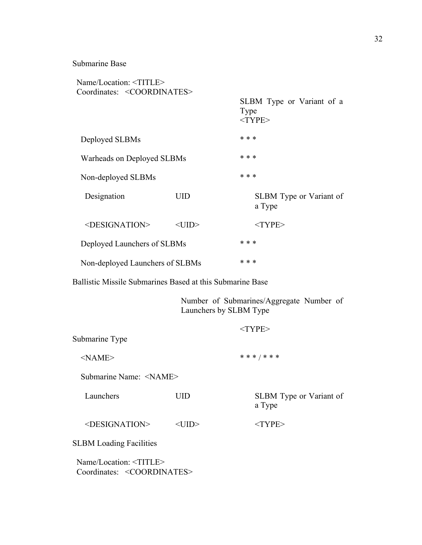### Submarine Base

| Name/Location: <title><br/>Coordinates: <coordinates></coordinates></title> |             |                                                   |
|-----------------------------------------------------------------------------|-------------|---------------------------------------------------|
|                                                                             |             | SLBM Type or Variant of a<br>Type<br>$<$ TYPE $>$ |
| Deployed SLBMs                                                              |             | * * *                                             |
| Warheads on Deployed SLBMs                                                  |             | * * *                                             |
| Non-deployed SLBMs                                                          |             | * * *                                             |
| Designation                                                                 | UID         | SLBM Type or Variant of<br>a Type                 |
| <designation></designation>                                                 | $<$ UID $>$ | $<$ TYPE $>$                                      |
| Deployed Launchers of SLBMs                                                 |             | * * *                                             |
| Non-deployed Launchers of SLBMs                                             |             | * * *                                             |

Ballistic Missile Submarines Based at this Submarine Base

Number of Submarines/Aggregate Number of Launchers by SLBM Type

| Submarine Type                                                  |             | $<$ TYPE $>$                             |
|-----------------------------------------------------------------|-------------|------------------------------------------|
| $<$ NAME $>$                                                    |             | * * * / * * *                            |
| Submarine Name: <name></name>                                   |             |                                          |
| Launchers                                                       | UID         | <b>SLBM</b> Type or Variant of<br>a Type |
| <designation></designation>                                     | <uid></uid> | $<$ TYPE $>$                             |
| <b>SLBM Loading Facilities</b>                                  |             |                                          |
| $\mathbf{v}$ and $\mathbf{v}$ are $\mathbf{v}$ and $\mathbf{v}$ |             |                                          |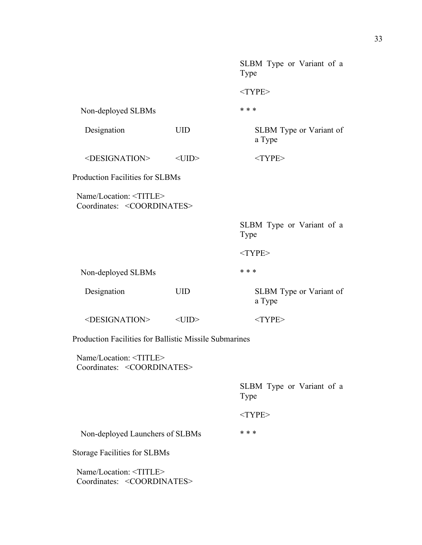|                                                                             |             | SLBM Type or Variant of a<br>Type |
|-----------------------------------------------------------------------------|-------------|-----------------------------------|
|                                                                             |             | $<$ TYPE>                         |
| Non-deployed SLBMs                                                          |             | * * *                             |
| Designation                                                                 | <b>UID</b>  | SLBM Type or Variant of<br>a Type |
| <designation></designation>                                                 | $<$ UID $>$ | $<$ TYPE>                         |
| <b>Production Facilities for SLBMs</b>                                      |             |                                   |
| Name/Location: <title><br/>Coordinates: <coordinates></coordinates></title> |             |                                   |
|                                                                             |             | SLBM Type or Variant of a<br>Type |
|                                                                             |             | $<$ TYPE>                         |
| Non-deployed SLBMs                                                          |             | * * *                             |
| Designation                                                                 | <b>UID</b>  | SLBM Type or Variant of<br>a Type |
| <designation></designation>                                                 | $<$ UID $>$ | $<$ TYPE>                         |
| Production Facilities for Ballistic Missile Submarines                      |             |                                   |
| Name/Location: <title><br/>Coordinates: <coordinates></coordinates></title> |             |                                   |
|                                                                             |             | SLBM Type or Variant of a<br>Type |
|                                                                             |             | $<$ TYPE>                         |
| Non-deployed Launchers of SLBMs                                             |             | * * *                             |
| <b>Storage Facilities for SLBMs</b>                                         |             |                                   |
| Name/Location: <title><br/>Coordinates: <coordinates></coordinates></title> |             |                                   |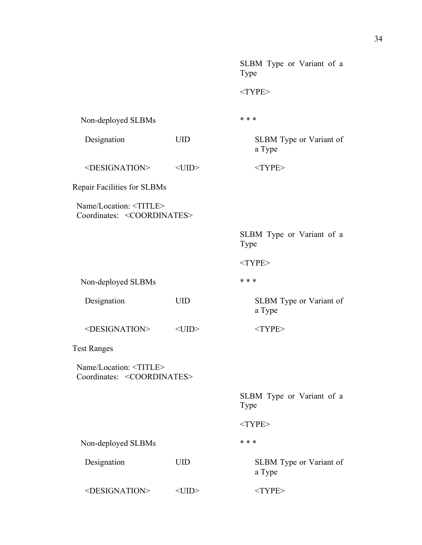|                                                                             |             | SLBM Type or Variant of a<br>Type |  |  |
|-----------------------------------------------------------------------------|-------------|-----------------------------------|--|--|
|                                                                             |             | $<$ TYPE>                         |  |  |
| Non-deployed SLBMs                                                          |             | * * *                             |  |  |
| Designation                                                                 | <b>UID</b>  | SLBM Type or Variant of<br>a Type |  |  |
| <designation></designation>                                                 | $<$ UID $>$ | $<$ TYPE>                         |  |  |
| Repair Facilities for SLBMs                                                 |             |                                   |  |  |
| Name/Location: <title><br/>Coordinates: <coordinates></coordinates></title> |             |                                   |  |  |
|                                                                             |             | SLBM Type or Variant of a<br>Type |  |  |
|                                                                             |             | $<$ TYPE>                         |  |  |
| Non-deployed SLBMs                                                          |             | * * *                             |  |  |
| Designation                                                                 | <b>UID</b>  | SLBM Type or Variant of<br>a Type |  |  |
| <designation></designation>                                                 | $<$ UID $>$ | $<$ TYPE>                         |  |  |
| <b>Test Ranges</b>                                                          |             |                                   |  |  |
| Name/Location: <title><br/>Coordinates: <coordinates></coordinates></title> |             |                                   |  |  |
|                                                                             |             | SLBM Type or Variant of a<br>Type |  |  |
|                                                                             |             | $<$ TYPE>                         |  |  |
| Non-deployed SLBMs                                                          |             | * * *                             |  |  |
| Designation                                                                 | <b>UID</b>  | SLBM Type or Variant of<br>a Type |  |  |
| <designation></designation>                                                 | $<$ UID $>$ | $<$ TYPE>                         |  |  |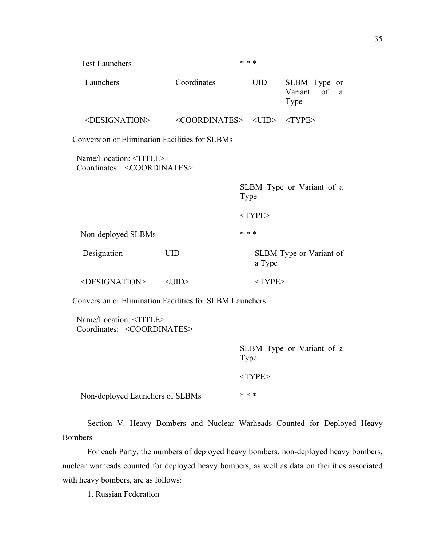| <b>Test Launchers</b>                                                       |                                                                 |                                   | * * *      |                                         |  |  |
|-----------------------------------------------------------------------------|-----------------------------------------------------------------|-----------------------------------|------------|-----------------------------------------|--|--|
| Launchers                                                                   | Coordinates                                                     |                                   | <b>UID</b> | SLBM Type or<br>Variant of<br>a<br>Type |  |  |
| <designation></designation>                                                 | $\langle COORDINATES> \langle UID \rangle \langle TYPE \rangle$ |                                   |            |                                         |  |  |
| <b>Conversion or Elimination Facilities for SLBMs</b>                       |                                                                 |                                   |            |                                         |  |  |
| Name/Location: <title><br/>Coordinates: <coordinates></coordinates></title> |                                                                 |                                   |            |                                         |  |  |
|                                                                             |                                                                 | SLBM Type or Variant of a<br>Type |            |                                         |  |  |
|                                                                             |                                                                 |                                   | $<$ TYPE>  |                                         |  |  |
| Non-deployed SLBMs                                                          |                                                                 | * * *                             |            |                                         |  |  |
| Designation                                                                 | <b>UID</b>                                                      |                                   | a Type     | SLBM Type or Variant of                 |  |  |
| <designation></designation>                                                 | $<$ UID $>$                                                     |                                   | $<$ TYPE>  |                                         |  |  |
| Conversion or Elimination Facilities for SLBM Launchers                     |                                                                 |                                   |            |                                         |  |  |
| Name/Location: <title><br/>Coordinates: <coordinates></coordinates></title> |                                                                 |                                   |            |                                         |  |  |
|                                                                             |                                                                 | Type                              |            | SLBM Type or Variant of a               |  |  |
|                                                                             |                                                                 |                                   | $<$ TYPE>  |                                         |  |  |
| Non-deployed Launchers of SLBMs                                             |                                                                 |                                   | * * *      |                                         |  |  |

Section V. Heavy Bombers and Nuclear Warheads Counted for Deployed Heavy Bombers

For each Party, the numbers of deployed heavy bombers, non-deployed heavy bombers, nuclear warheads counted for deployed heavy bombers, as well as data on facilities associated with heavy bombers, are as follows:

1. Russian Federation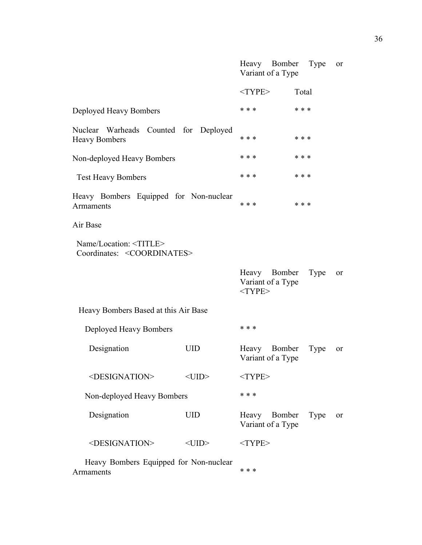|                                                                             |             | Heavy Bomber<br>Variant of a Type              | Type  | or |
|-----------------------------------------------------------------------------|-------------|------------------------------------------------|-------|----|
|                                                                             |             | $<$ TYPE>                                      | Total |    |
| Deployed Heavy Bombers                                                      |             | * * *                                          | * * * |    |
| Nuclear Warheads Counted for Deployed<br><b>Heavy Bombers</b>               |             | * * *                                          | * * * |    |
| Non-deployed Heavy Bombers                                                  |             | * * *                                          | * * * |    |
| <b>Test Heavy Bombers</b>                                                   |             | * * *                                          | * * * |    |
| Heavy Bombers Equipped for Non-nuclear<br>Armaments                         |             | * * *<br>* * *                                 |       |    |
| Air Base                                                                    |             |                                                |       |    |
| Name/Location: <title><br/>Coordinates: <coordinates></coordinates></title> |             |                                                |       |    |
|                                                                             |             | Heavy Bomber<br>Variant of a Type<br>$<$ TYPE> | Type  | or |
| Heavy Bombers Based at this Air Base                                        |             |                                                |       |    |
| Deployed Heavy Bombers                                                      |             | * * *                                          |       |    |
| Designation                                                                 | <b>UID</b>  | Heavy Bomber<br>Variant of a Type              | Type  | or |
| <designation></designation>                                                 | $<$ UID $>$ | $<$ TYPE>                                      |       |    |
| Non-deployed Heavy Bombers                                                  |             | * * *                                          |       |    |
| Designation                                                                 | <b>UID</b>  | Heavy<br>Bomber<br>Variant of a Type           | Type  | or |
| <designation></designation>                                                 | $<$ UID $>$ | $<$ TYPE>                                      |       |    |
|                                                                             |             |                                                |       |    |

 Heavy Bombers Equipped for Non-nuclear Armaments  $***$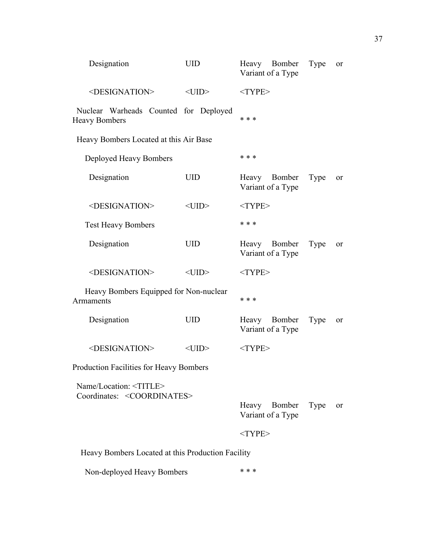| Designation                                                                 | <b>UID</b>  | Heavy Bomber<br>Variant of a Type | Type | <sub>or</sub> |
|-----------------------------------------------------------------------------|-------------|-----------------------------------|------|---------------|
| <designation></designation>                                                 | $<$ UID $>$ | $<$ TYPE>                         |      |               |
| Nuclear Warheads Counted for Deployed<br><b>Heavy Bombers</b>               |             | * * *                             |      |               |
| Heavy Bombers Located at this Air Base                                      |             |                                   |      |               |
| Deployed Heavy Bombers                                                      |             | * * *                             |      |               |
| Designation                                                                 | <b>UID</b>  | Heavy Bomber<br>Variant of a Type | Type | or            |
| <designation></designation>                                                 | $<$ UID $>$ | $<$ TYPE>                         |      |               |
| <b>Test Heavy Bombers</b>                                                   |             | * * *                             |      |               |
| Designation                                                                 | <b>UID</b>  | Heavy Bomber<br>Variant of a Type | Type | or            |
| <designation></designation>                                                 | $<$ UID $>$ | $<$ TYPE>                         |      |               |
| Heavy Bombers Equipped for Non-nuclear<br>Armaments                         |             | * * *                             |      |               |
| Designation                                                                 | <b>UID</b>  | Heavy Bomber<br>Variant of a Type | Type | or            |
| <designation></designation>                                                 | $<$ UID $>$ | $<$ TYPE>                         |      |               |
| Production Facilities for Heavy Bombers                                     |             |                                   |      |               |
| Name/Location: <title><br/>Coordinates: <coordinates></coordinates></title> |             |                                   |      |               |
|                                                                             |             | Heavy Bomber<br>Variant of a Type | Type | or            |
|                                                                             |             | $<$ TYPE>                         |      |               |
| Heavy Bombers Located at this Production Facility                           |             |                                   |      |               |
| Non-deployed Heavy Bombers                                                  |             | * * *                             |      |               |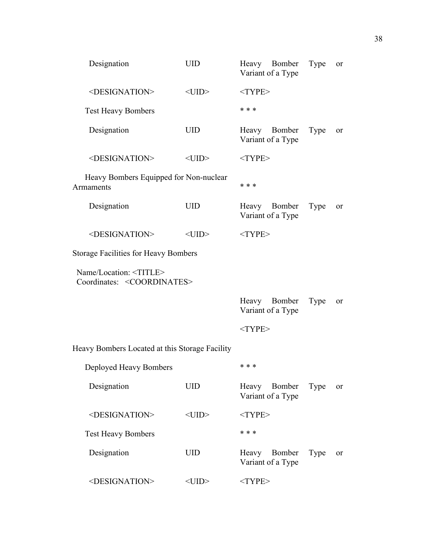| Designation                                                                 | <b>UID</b>  | Heavy Bomber<br>Variant of a Type    | Type | <sub>or</sub> |
|-----------------------------------------------------------------------------|-------------|--------------------------------------|------|---------------|
| <designation></designation>                                                 | $<$ UID $>$ | $<$ TYPE>                            |      |               |
| <b>Test Heavy Bombers</b>                                                   |             | * * *                                |      |               |
| Designation                                                                 | <b>UID</b>  | Heavy Bomber<br>Variant of a Type    | Type | or            |
| <designation></designation>                                                 | $<$ UID $>$ | $<$ TYPE>                            |      |               |
| Heavy Bombers Equipped for Non-nuclear<br>Armaments                         |             | * * *                                |      |               |
| Designation                                                                 | <b>UID</b>  | Heavy Bomber<br>Variant of a Type    | Type | or            |
| <designation></designation>                                                 | $<$ UID $>$ | $<$ TYPE>                            |      |               |
| <b>Storage Facilities for Heavy Bombers</b>                                 |             |                                      |      |               |
| Name/Location: <title><br/>Coordinates: <coordinates></coordinates></title> |             |                                      |      |               |
|                                                                             |             | Heavy Bomber<br>Variant of a Type    | Type | or            |
|                                                                             |             | $<$ TYPE>                            |      |               |
| Heavy Bombers Located at this Storage Facility                              |             |                                      |      |               |
| Deployed Heavy Bombers                                                      |             | * * *                                |      |               |
| Designation                                                                 | <b>UID</b>  | Bomber<br>Heavy<br>Variant of a Type | Type | <sub>or</sub> |
| <designation></designation>                                                 | $<$ UID $>$ | $<$ TYPE>                            |      |               |
| <b>Test Heavy Bombers</b>                                                   |             | * * *                                |      |               |
| Designation                                                                 | <b>UID</b>  | Heavy<br>Bomber<br>Variant of a Type | Type | <sub>or</sub> |
| <designation></designation>                                                 |             |                                      |      |               |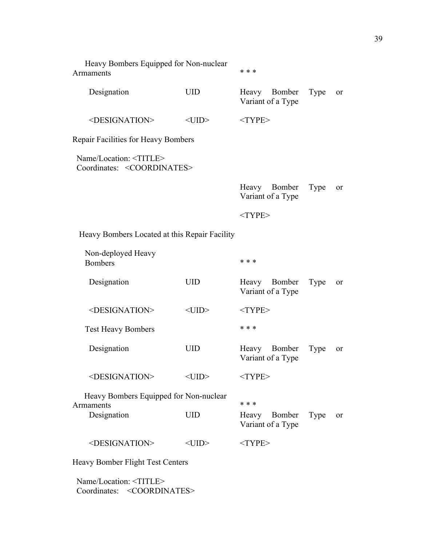| Heavy Bombers Equipped for Non-nuclear<br>Armaments                         |             | * * *                                |      |               |
|-----------------------------------------------------------------------------|-------------|--------------------------------------|------|---------------|
| Designation                                                                 | <b>UID</b>  | Heavy<br>Bomber<br>Variant of a Type | Type | <sub>or</sub> |
| <designation></designation>                                                 | $<$ UID $>$ | $<$ TYPE>                            |      |               |
| Repair Facilities for Heavy Bombers                                         |             |                                      |      |               |
| Name/Location: <title><br/>Coordinates: <coordinates></coordinates></title> |             |                                      |      |               |
|                                                                             |             | Heavy Bomber<br>Variant of a Type    | Type | <sub>or</sub> |
|                                                                             |             | $<$ TYPE>                            |      |               |
| Heavy Bombers Located at this Repair Facility                               |             |                                      |      |               |
| Non-deployed Heavy<br><b>Bombers</b>                                        |             | $* * *$                              |      |               |
| Designation                                                                 | <b>UID</b>  | Bomber<br>Heavy<br>Variant of a Type | Type | <sub>or</sub> |
| <designation></designation>                                                 | $<$ UID $>$ | $<$ TYPE>                            |      |               |
| <b>Test Heavy Bombers</b>                                                   |             | * * *                                |      |               |
| Designation                                                                 | <b>UID</b>  | Bomber<br>Heavy<br>Variant of a Type | Type | <sub>or</sub> |
| <designation></designation>                                                 | $<$ UID $>$ | $<$ TYPE>                            |      |               |
| Heavy Bombers Equipped for Non-nuclear<br>Armaments                         |             | * * *                                |      |               |
| Designation                                                                 | <b>UID</b>  | Bomber<br>Heavy<br>Variant of a Type | Type | or            |
| <designation></designation>                                                 | $<$ UID $>$ | $<$ TYPE>                            |      |               |
| Heavy Bomber Flight Test Centers                                            |             |                                      |      |               |
|                                                                             |             |                                      |      |               |

 Name/Location: <TITLE> Coordinates: <COORDINATES>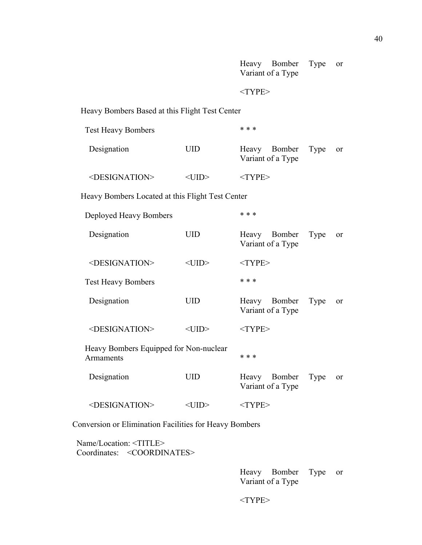|                                                     |             | Heavy Bomber<br>Variant of a Type | Type | or            |
|-----------------------------------------------------|-------------|-----------------------------------|------|---------------|
|                                                     |             | $<$ TYPE>                         |      |               |
| Heavy Bombers Based at this Flight Test Center      |             |                                   |      |               |
| <b>Test Heavy Bombers</b>                           |             | * * *                             |      |               |
| Designation                                         | <b>UID</b>  | Heavy Bomber<br>Variant of a Type | Type | or            |
| <designation></designation>                         | $<$ UID $>$ | $<$ TYPE>                         |      |               |
| Heavy Bombers Located at this Flight Test Center    |             |                                   |      |               |
| Deployed Heavy Bombers                              |             | * * *                             |      |               |
| Designation                                         | <b>UID</b>  | Heavy Bomber<br>Variant of a Type | Type | <sub>or</sub> |
| <designation></designation>                         | $<$ UID $>$ | $<$ TYPE>                         |      |               |
| <b>Test Heavy Bombers</b>                           |             | * * *                             |      |               |
| Designation                                         | <b>UID</b>  | Heavy Bomber<br>Variant of a Type | Type | <sub>or</sub> |
| <designation></designation>                         | $<$ UID $>$ | $<$ TYPE $>$                      |      |               |
| Heavy Bombers Equipped for Non-nuclear<br>Armaments |             | * * *                             |      |               |
| Designation                                         | UID         | Heavy Bomber<br>Variant of a Type | Type | or            |
| <designation></designation>                         | $<$ UID $>$ | $<$ TYPE>                         |      |               |

Conversion or Elimination Facilities for Heavy Bombers

 Name/Location: <TITLE> Coordinates: <COORDINATES>

> Heavy Bomber Type or Variant of a Type

 $<$  TYPE $>$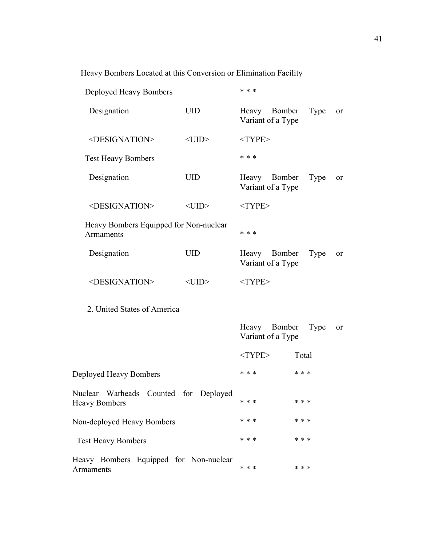Heavy Bombers Located at this Conversion or Elimination Facility

| Deployed Heavy Bombers                                        |             | * * *     |                                   |       |               |
|---------------------------------------------------------------|-------------|-----------|-----------------------------------|-------|---------------|
| Designation                                                   | <b>UID</b>  |           | Heavy Bomber<br>Variant of a Type | Type  | or            |
| <designation></designation>                                   | $<$ UID $>$ | $<$ TYPE> |                                   |       |               |
| <b>Test Heavy Bombers</b>                                     |             | * * *     |                                   |       |               |
| Designation                                                   | <b>UID</b>  |           | Heavy Bomber<br>Variant of a Type | Type  | or            |
| <designation></designation>                                   | $<$ UID $>$ | $<$ TYPE> |                                   |       |               |
| Heavy Bombers Equipped for Non-nuclear<br>Armaments           |             | * * *     |                                   |       |               |
| Designation                                                   | <b>UID</b>  | Heavy     | Bomber<br>Variant of a Type       | Type  | or            |
| <designation></designation>                                   | $<$ UID $>$ | $<$ TYPE> |                                   |       |               |
| 2. United States of America                                   |             |           |                                   |       |               |
|                                                               |             | Heavy     | Bomber<br>Variant of a Type       | Type  | <sub>or</sub> |
|                                                               |             | $<$ TYPE> |                                   | Total |               |
| Deployed Heavy Bombers                                        |             | * * *     | * * *                             |       |               |
| Nuclear Warheads Counted for Deployed<br><b>Heavy Bombers</b> |             | * * *     | * * *                             |       |               |
| Non-deployed Heavy Bombers                                    |             | * * *     | * * *                             |       |               |
| <b>Test Heavy Bombers</b>                                     |             | * * *     | * * *                             |       |               |
| Heavy Bombers Equipped for Non-nuclear<br>Armaments           |             | * * *     | * * *                             |       |               |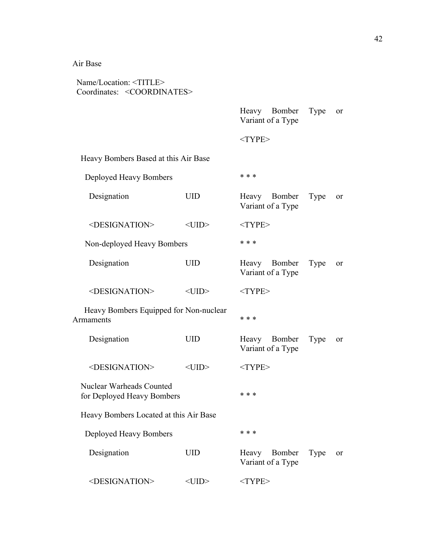## Air Base

| Name/Location: <title><br/>Coordinates: <coordinates></coordinates></title> |             |                                      |      |    |  |
|-----------------------------------------------------------------------------|-------------|--------------------------------------|------|----|--|
|                                                                             |             | Heavy Bomber<br>Variant of a Type    | Type | or |  |
|                                                                             |             | $<$ TYPE>                            |      |    |  |
| Heavy Bombers Based at this Air Base                                        |             |                                      |      |    |  |
| Deployed Heavy Bombers                                                      |             | * * *                                |      |    |  |
| Designation                                                                 | <b>UID</b>  | Heavy Bomber<br>Variant of a Type    | Type | or |  |
| <designation></designation>                                                 | $<$ UID $>$ | $<$ TYPE>                            |      |    |  |
| Non-deployed Heavy Bombers                                                  |             | * * *                                |      |    |  |
| Designation                                                                 | <b>UID</b>  | Heavy Bomber<br>Variant of a Type    | Type | or |  |
| <designation></designation>                                                 | $<$ UID $>$ | $<$ TYPE>                            |      |    |  |
| Heavy Bombers Equipped for Non-nuclear<br>Armaments                         |             | * * *                                |      |    |  |
| Designation                                                                 | <b>UID</b>  | Heavy Bomber<br>Variant of a Type    | Type | or |  |
| <designation></designation>                                                 | $<$ UID $>$ | $<$ TYPE>                            |      |    |  |
| Nuclear Warheads Counted<br>for Deployed Heavy Bombers                      |             | * * *                                |      |    |  |
| Heavy Bombers Located at this Air Base                                      |             |                                      |      |    |  |
| Deployed Heavy Bombers                                                      |             | * * *                                |      |    |  |
| Designation                                                                 | <b>UID</b>  | Bomber<br>Heavy<br>Variant of a Type | Type | or |  |
| <designation></designation>                                                 | $<$ UID $>$ | $<$ TYPE>                            |      |    |  |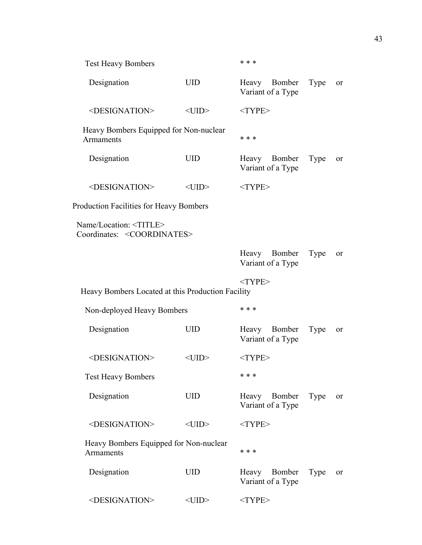| <b>Test Heavy Bombers</b>                                                   |                | * * *                                |             |               |
|-----------------------------------------------------------------------------|----------------|--------------------------------------|-------------|---------------|
| Designation                                                                 | <b>UID</b>     | Heavy Bomber<br>Variant of a Type    | <b>Type</b> | <sub>or</sub> |
| <designation></designation>                                                 | $<$ UID $>$    | $<$ TYPE>                            |             |               |
| Heavy Bombers Equipped for Non-nuclear<br>Armaments                         |                | * * *                                |             |               |
| Designation                                                                 | <b>UID</b>     | Heavy<br>Bomber<br>Variant of a Type | Type        | <sub>or</sub> |
| <designation></designation>                                                 | $<$ UID $>$    | $<$ TYPE $>$                         |             |               |
| <b>Production Facilities for Heavy Bombers</b>                              |                |                                      |             |               |
| Name/Location: <title><br/>Coordinates: <coordinates></coordinates></title> |                |                                      |             |               |
|                                                                             |                | Heavy Bomber<br>Variant of a Type    | Type        | or            |
| Heavy Bombers Located at this Production Facility                           |                | $<$ TYPE>                            |             |               |
| Non-deployed Heavy Bombers                                                  |                | * * *                                |             |               |
| Designation                                                                 | <b>UID</b>     | Heavy Bomber<br>Variant of a Type    | Type        | <sub>or</sub> |
| <designation></designation>                                                 | $\leq$ UID $>$ | $<$ TYPE>                            |             |               |
| <b>Test Heavy Bombers</b>                                                   |                | * * *                                |             |               |
| Designation                                                                 | <b>UID</b>     | Heavy Bomber<br>Variant of a Type    | Type        | or            |
| <designation></designation>                                                 | $<$ UID $>$    | $<$ TYPE>                            |             |               |
| Heavy Bombers Equipped for Non-nuclear<br>Armaments                         |                | * * *                                |             |               |
| Designation                                                                 | <b>UID</b>     | Heavy Bomber<br>Variant of a Type    | Type        | <sub>or</sub> |
| <designation></designation>                                                 | $<$ UID $>$    | $<$ TYPE>                            |             |               |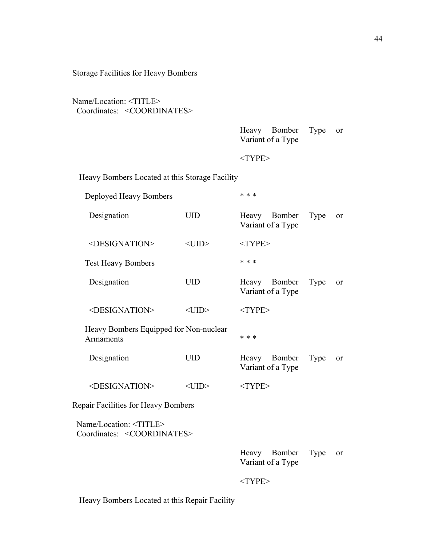Storage Facilities for Heavy Bombers

Name/Location: <TITLE> Coordinates: <COORDINATES>

|                | Heavy Bomber Type or |  |
|----------------|----------------------|--|
|                | Variant of a Type    |  |
|                |                      |  |
| $<$ TYPE $>$   |                      |  |
|                |                      |  |
| $\alpha$ ility |                      |  |

Heavy Bombers Located at this Storage Facility

Deployed Heavy Bombers \* \* \*

| Designation                                                                 | <b>UID</b>  | Heavy Bomber<br>Variant of a Type | Type | or            |
|-----------------------------------------------------------------------------|-------------|-----------------------------------|------|---------------|
| <designation></designation>                                                 | $<$ UID $>$ | $<$ TYPE>                         |      |               |
| <b>Test Heavy Bombers</b>                                                   |             | * * *                             |      |               |
| Designation                                                                 | <b>UID</b>  | Heavy Bomber<br>Variant of a Type | Type | or            |
| <designation></designation>                                                 | $<$ UID $>$ | $<$ TYPE>                         |      |               |
| Heavy Bombers Equipped for Non-nuclear<br>Armaments                         |             | * * *                             |      |               |
| Designation                                                                 | <b>UID</b>  | Heavy Bomber<br>Variant of a Type | Type | or            |
| <designation></designation>                                                 | $<$ UID $>$ | $<$ TYPE>                         |      |               |
| Repair Facilities for Heavy Bombers                                         |             |                                   |      |               |
| Name/Location: <title><br/>Coordinates: <coordinates></coordinates></title> |             |                                   |      |               |
|                                                                             |             | Heavy Bomber<br>Variant of a Type | Type | <sub>or</sub> |
|                                                                             |             | $<$ TYPE>                         |      |               |

Heavy Bombers Located at this Repair Facility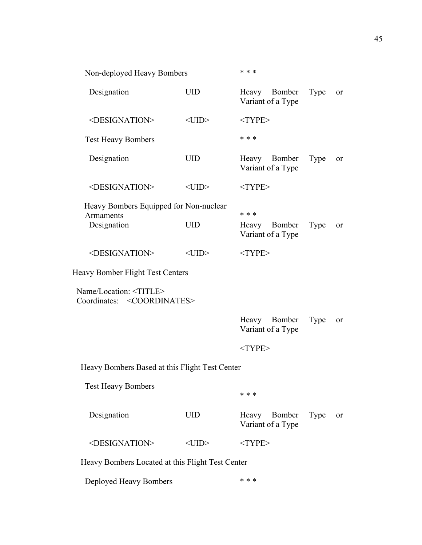| Non-deployed Heavy Bombers                                                  |             | * * *        |                                   |      |               |
|-----------------------------------------------------------------------------|-------------|--------------|-----------------------------------|------|---------------|
| Designation                                                                 | <b>UID</b>  | Heavy        | Bomber<br>Variant of a Type       | Type | <sub>or</sub> |
| <designation></designation>                                                 | $<$ UID $>$ | $<$ TYPE>    |                                   |      |               |
| <b>Test Heavy Bombers</b>                                                   |             | * * *        |                                   |      |               |
| Designation                                                                 | <b>UID</b>  | Heavy        | Bomber<br>Variant of a Type       | Type | <sub>or</sub> |
| <designation></designation>                                                 | $<$ UID $>$ | $<$ TYPE>    |                                   |      |               |
| Heavy Bombers Equipped for Non-nuclear<br>Armaments                         |             | * * *        |                                   |      |               |
| Designation                                                                 | <b>UID</b>  | Heavy        | Bomber<br>Variant of a Type       | Type | 0r            |
| <designation></designation>                                                 | $<$ UID $>$ | $<$ TYPE $>$ |                                   |      |               |
| <b>Heavy Bomber Flight Test Centers</b>                                     |             |              |                                   |      |               |
| Name/Location: <title><br/>Coordinates: <coordinates></coordinates></title> |             |              |                                   |      |               |
|                                                                             |             |              | Heavy Bomber<br>Variant of a Type | Type | or            |
|                                                                             |             | $<$ TYPE>    |                                   |      |               |
| Heavy Bombers Based at this Flight Test Center                              |             |              |                                   |      |               |
| <b>Test Heavy Bombers</b>                                                   |             | * * *        |                                   |      |               |
| Designation                                                                 | <b>UID</b>  | Heavy        | Bomber<br>Variant of a Type       | Type | or            |
| <designation></designation>                                                 | $<$ UID $>$ | $<$ TYPE>    |                                   |      |               |
| Heavy Bombers Located at this Flight Test Center                            |             |              |                                   |      |               |

Deployed Heavy Bombers \* \* \*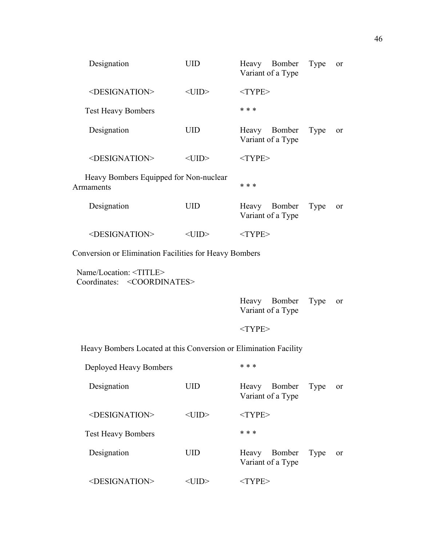| Designation                                                          | <b>UID</b>                                                       | Heavy Bomber<br>Variant of a Type | Type | 0r            |  |
|----------------------------------------------------------------------|------------------------------------------------------------------|-----------------------------------|------|---------------|--|
| <designation></designation>                                          | $<$ UID $>$                                                      | $<$ TYPE>                         |      |               |  |
| <b>Test Heavy Bombers</b>                                            |                                                                  | * * *                             |      |               |  |
| Designation                                                          | <b>UID</b>                                                       | Heavy Bomber<br>Variant of a Type | Type | <sub>or</sub> |  |
| <designation></designation>                                          | $<$ UID $>$                                                      | $<$ TYPE>                         |      |               |  |
| Heavy Bombers Equipped for Non-nuclear<br>Armaments                  |                                                                  | * * *                             |      |               |  |
| Designation                                                          | <b>UID</b>                                                       | Heavy Bomber<br>Variant of a Type | Type | <sub>or</sub> |  |
| <designation></designation>                                          | $<$ UID $>$                                                      | $<$ TYPE>                         |      |               |  |
| Conversion or Elimination Facilities for Heavy Bombers               |                                                                  |                                   |      |               |  |
| Name/Location: < TITLE ><br>Coordinates: <coordinates></coordinates> |                                                                  |                                   |      |               |  |
|                                                                      |                                                                  | Heavy Bomber<br>Variant of a Type | Type | <sub>or</sub> |  |
|                                                                      |                                                                  | $<$ TYPE>                         |      |               |  |
|                                                                      | Heavy Bombers Located at this Conversion or Elimination Facility |                                   |      |               |  |
| Deployed Heavy Bombers                                               |                                                                  | * * *                             |      |               |  |

| Designation                 | UID     | Bomber<br>Heavy<br>Type<br><sub>or</sub><br>Variant of a Type |
|-----------------------------|---------|---------------------------------------------------------------|
| <designation></designation> | <(   )> | $<$ TYPE $>$                                                  |
| <b>Test Heavy Bombers</b>   |         | * * *                                                         |
| Designation                 | UID     | Bomber<br>Heavy<br>Type<br><sub>or</sub><br>Variant of a Type |
| $\le$ DESIGNATION>          |         | / PF>                                                         |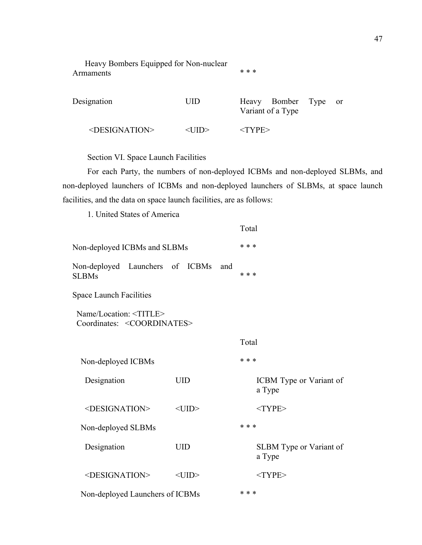Heavy Bombers Equipped for Non-nuclear Armaments \* \* \* \*

Designation UID Heavy Bomber Type or Variant of a Type <DESIGNATION> <UID> <TYPE>

Section VI. Space Launch Facilities

For each Party, the numbers of non-deployed ICBMs and non-deployed SLBMs, and non-deployed launchers of ICBMs and non-deployed launchers of SLBMs, at space launch facilities, and the data on space launch facilities, are as follows:

1. United States of America

|                                                                             |             |     | Total                             |
|-----------------------------------------------------------------------------|-------------|-----|-----------------------------------|
| Non-deployed ICBMs and SLBMs                                                |             |     | * * *                             |
| Non-deployed Launchers of ICBMs<br><b>SLBMs</b>                             |             | and | * * *                             |
| <b>Space Launch Facilities</b>                                              |             |     |                                   |
| Name/Location: <title><br/>Coordinates: <coordinates></coordinates></title> |             |     |                                   |
|                                                                             |             |     | Total                             |
| Non-deployed ICBMs                                                          |             |     | * * *                             |
| Designation                                                                 | <b>UID</b>  |     | ICBM Type or Variant of<br>a Type |
| <designation></designation>                                                 | $<$ UID $>$ |     | $<$ TYPE>                         |
| Non-deployed SLBMs                                                          |             |     | * * *                             |
| Designation                                                                 | <b>UID</b>  |     | SLBM Type or Variant of<br>a Type |
| <designation></designation>                                                 | $<$ UID $>$ |     | $<$ TYPE>                         |
| Non-deployed Launchers of ICBMs                                             |             |     | * * *                             |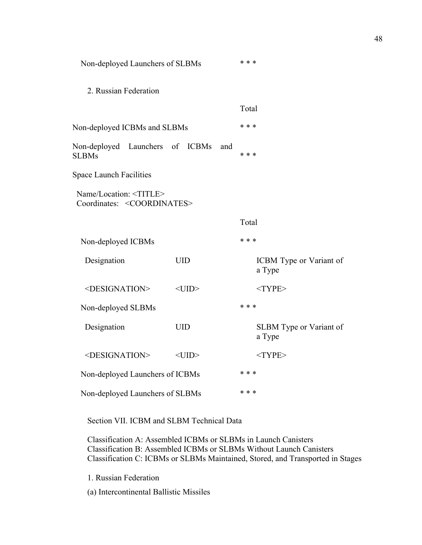| Non-deployed Launchers of SLBMs                                             |             | * * *                             |
|-----------------------------------------------------------------------------|-------------|-----------------------------------|
| 2. Russian Federation                                                       |             |                                   |
|                                                                             |             | Total                             |
| Non-deployed ICBMs and SLBMs                                                |             | * * *                             |
| Non-deployed Launchers of ICBMs<br><b>SLBMs</b>                             | and         | * * *                             |
| <b>Space Launch Facilities</b>                                              |             |                                   |
| Name/Location: <title><br/>Coordinates: <coordinates></coordinates></title> |             |                                   |
|                                                                             |             | Total                             |
| Non-deployed ICBMs                                                          |             | * * *                             |
| Designation                                                                 | <b>UID</b>  | ICBM Type or Variant of<br>a Type |
| <designation></designation>                                                 | $<$ UID $>$ | $<$ TYPE>                         |
| Non-deployed SLBMs                                                          |             | * * *                             |
| Designation                                                                 | <b>UID</b>  | SLBM Type or Variant of<br>a Type |
| <designation></designation>                                                 | $<$ UID $>$ | $<$ TYPE>                         |
| Non-deployed Launchers of ICBMs                                             |             | * * *                             |
| Non-deployed Launchers of SLBMs                                             |             | * * *                             |

Section VII. ICBM and SLBM Technical Data

Classification A: Assembled ICBMs or SLBMs in Launch Canisters Classification B: Assembled ICBMs or SLBMs Without Launch Canisters Classification C: ICBMs or SLBMs Maintained, Stored, and Transported in Stages

1. Russian Federation

(a) Intercontinental Ballistic Missiles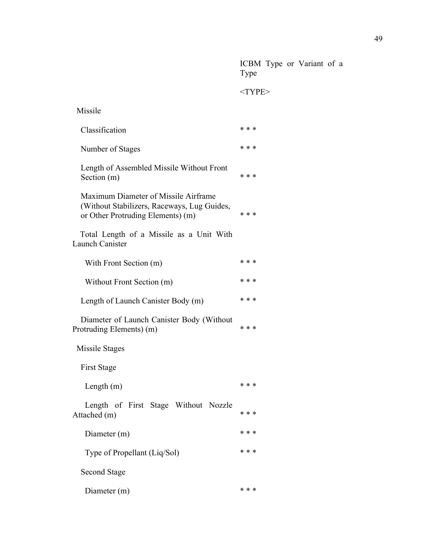ICBM Type or Variant of a Type

| Missile                                                                                                                  |       |
|--------------------------------------------------------------------------------------------------------------------------|-------|
| Classification                                                                                                           | * * * |
| Number of Stages                                                                                                         | * * * |
| Length of Assembled Missile Without Front<br>Section (m)                                                                 | * * * |
| Maximum Diameter of Missile Airframe<br>(Without Stabilizers, Raceways, Lug Guides,<br>or Other Protruding Elements) (m) | * * * |
| Total Length of a Missile as a Unit With<br>Launch Canister                                                              |       |
| With Front Section (m)                                                                                                   | * * * |
| Without Front Section (m)                                                                                                | * * * |
| Length of Launch Canister Body (m)                                                                                       | * * * |
| Diameter of Launch Canister Body (Without<br>Protruding Elements) (m)                                                    | * * * |
| Missile Stages                                                                                                           |       |
| <b>First Stage</b>                                                                                                       |       |
| Length $(m)$                                                                                                             | * * * |
| Length of First Stage Without Nozzle<br>Attached (m)                                                                     | * * * |
| Diameter (m)                                                                                                             | * * * |
| Type of Propellant (Liq/Sol)                                                                                             | * * * |
| <b>Second Stage</b>                                                                                                      |       |
| Diameter (m)                                                                                                             | * * * |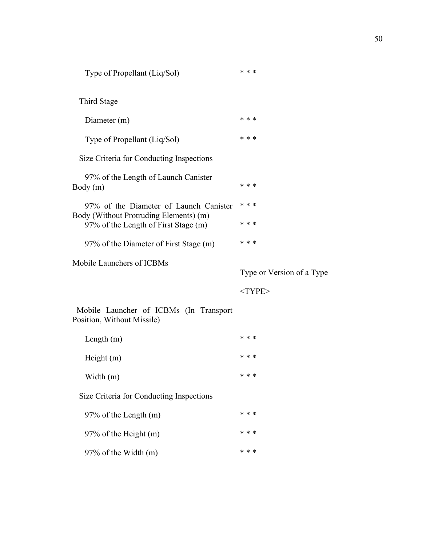Type of Propellant (Liq/Sol) \*\*\*\*

Third Stage

| Diameter (m)                                                                   | * * *                     |
|--------------------------------------------------------------------------------|---------------------------|
| Type of Propellant (Liq/Sol)                                                   | * * *                     |
| Size Criteria for Conducting Inspections                                       |                           |
| 97% of the Length of Launch Canister<br>Body (m)                               | * * *                     |
| 97% of the Diameter of Launch Canister                                         | * * *                     |
| Body (Without Protruding Elements) (m)<br>97% of the Length of First Stage (m) | * * *                     |
| 97% of the Diameter of First Stage (m)                                         | * * *                     |
| Mobile Launchers of ICBMs                                                      |                           |
|                                                                                | Type or Version of a Type |
|                                                                                | $<$ TYPE $>$              |
| Mobile Launcher of ICBMs (In Transport<br>Position, Without Missile)           |                           |
| Length $(m)$                                                                   | * * *                     |

| $\sim$ $\sim$ $\sim$ $\sim$ $\sim$       |       |
|------------------------------------------|-------|
| Height $(m)$                             | * * * |
| Width (m)                                | * * * |
| Size Criteria for Conducting Inspections |       |

97% of the Length  $(m)$  \* \* \* 97% of the Height (m)  $***$ 97% of the Width  $(m)$  \* \* \*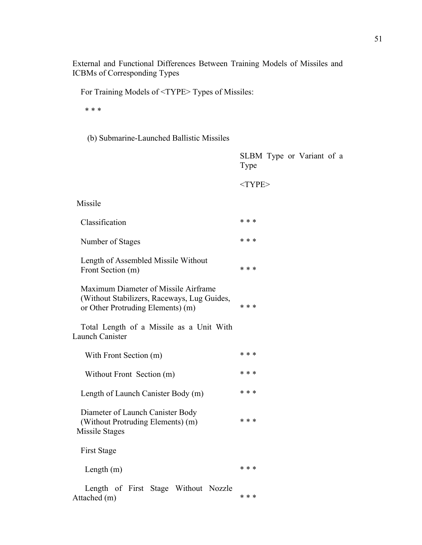External and Functional Differences Between Training Models of Missiles and ICBMs of Corresponding Types

For Training Models of <TYPE> Types of Missiles:

\* \* \*

(b) Submarine-Launched Ballistic Missiles

|                                                                                                                          | SLBM Type or Variant of a<br>Type |
|--------------------------------------------------------------------------------------------------------------------------|-----------------------------------|
|                                                                                                                          | $<$ TYPE>                         |
| Missile                                                                                                                  |                                   |
| Classification                                                                                                           | * * *                             |
| Number of Stages                                                                                                         | * * *                             |
| Length of Assembled Missile Without<br>Front Section (m)                                                                 | * * *                             |
| Maximum Diameter of Missile Airframe<br>(Without Stabilizers, Raceways, Lug Guides,<br>or Other Protruding Elements) (m) | * * *                             |
| Total Length of a Missile as a Unit With<br><b>Launch Canister</b>                                                       |                                   |
| With Front Section (m)                                                                                                   | * * *                             |
| Without Front Section (m)                                                                                                | * * *                             |
| Length of Launch Canister Body (m)                                                                                       | * * *                             |
| Diameter of Launch Canister Body<br>(Without Protruding Elements) (m)<br>Missile Stages                                  | * * *                             |
| <b>First Stage</b>                                                                                                       |                                   |
| Length $(m)$                                                                                                             | * * *                             |
| Length of First Stage Without Nozzle<br>Attached (m)                                                                     | * * *                             |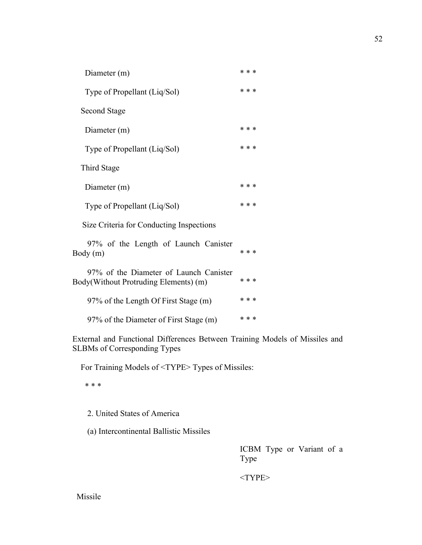| Diameter (m)                                                                    | * * * |  |
|---------------------------------------------------------------------------------|-------|--|
| Type of Propellant (Liq/Sol)                                                    | * * * |  |
| <b>Second Stage</b>                                                             |       |  |
| Diameter (m)                                                                    | * * * |  |
| Type of Propellant (Liq/Sol)                                                    | * * * |  |
| Third Stage                                                                     |       |  |
| Diameter (m)                                                                    | * * * |  |
| Type of Propellant (Liq/Sol)                                                    | * * * |  |
| Size Criteria for Conducting Inspections                                        |       |  |
| 97% of the Length of Launch Canister<br>Body (m)                                | * * * |  |
| 97% of the Diameter of Launch Canister<br>Body(Without Protruding Elements) (m) | * * * |  |
| 97% of the Length Of First Stage (m)                                            | * * * |  |
| 97% of the Diameter of First Stage (m)                                          | * * * |  |

External and Functional Differences Between Training Models of Missiles and SLBMs of Corresponding Types

For Training Models of <TYPE> Types of Missiles:

\* \* \*

2. United States of America

(a) Intercontinental Ballistic Missiles

ICBM Type or Variant of a Type

<TYPE>

Missile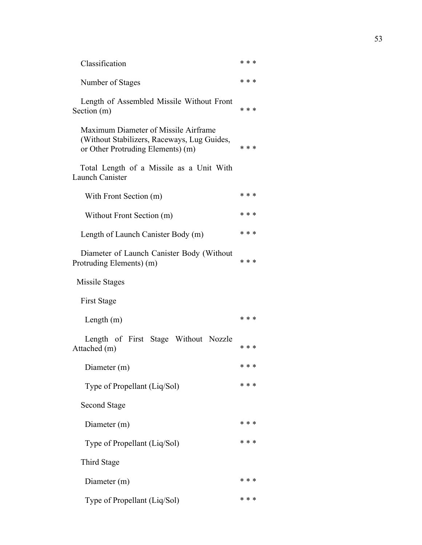| Classification                                                                                                           | * * * |
|--------------------------------------------------------------------------------------------------------------------------|-------|
| Number of Stages                                                                                                         | * * * |
| Length of Assembled Missile Without Front<br>Section (m)                                                                 | * * * |
| Maximum Diameter of Missile Airframe<br>(Without Stabilizers, Raceways, Lug Guides,<br>or Other Protruding Elements) (m) | * * * |
| Total Length of a Missile as a Unit With<br>Launch Canister                                                              |       |
| With Front Section (m)                                                                                                   | * * * |
| Without Front Section (m)                                                                                                | * * * |
| Length of Launch Canister Body (m)                                                                                       | * * * |
| Diameter of Launch Canister Body (Without<br>Protruding Elements) (m)                                                    | * * * |
| Missile Stages                                                                                                           |       |
| First Stage                                                                                                              |       |
| Length $(m)$                                                                                                             | * * * |
| Length of First Stage Without Nozzle<br>Attached (m)                                                                     | * * * |
| Diameter (m)                                                                                                             | * * * |
| Type of Propellant (Liq/Sol)                                                                                             | * * * |
| <b>Second Stage</b>                                                                                                      |       |
| Diameter (m)                                                                                                             | * * * |
| Type of Propellant (Liq/Sol)                                                                                             | * * * |
| Third Stage                                                                                                              |       |
| Diameter (m)                                                                                                             | * * * |
| Type of Propellant (Liq/Sol)                                                                                             | * * * |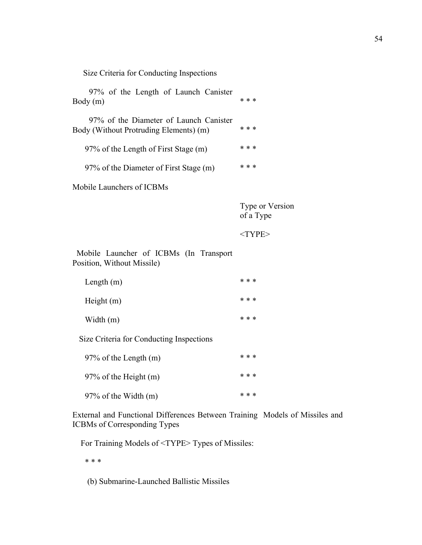Size Criteria for Conducting Inspections

| 97% of the Length of Launch Canister<br>Body(m)                                  | * * * |
|----------------------------------------------------------------------------------|-------|
| 97% of the Diameter of Launch Canister<br>Body (Without Protruding Elements) (m) | * * * |
| 97% of the Length of First Stage (m)                                             | * * * |
| 97% of the Diameter of First Stage (m)                                           | * * * |
| Mobile Launchers of ICBMs                                                        |       |

Type or Version of a Type

<TYPE>

 Mobile Launcher of ICBMs (In Transport Position, Without Missile)

| Length $(m)$                             | * * *      |
|------------------------------------------|------------|
| Height $(m)$                             | * * *      |
| Width $(m)$                              | * * *      |
| Size Criteria for Conducting Inspections |            |
| $07\%$ of the L enoth $(m)$              | $\ast\ast$ |

| $2170$ Of the Length (iii) |  |       |
|----------------------------|--|-------|
| $97\%$ of the Height (m)   |  | * * * |
| $97\%$ of the Width (m)    |  | * * * |

External and Functional Differences Between Training Models of Missiles and ICBMs of Corresponding Types

For Training Models of <TYPE> Types of Missiles:

\* \* \*

(b) Submarine-Launched Ballistic Missiles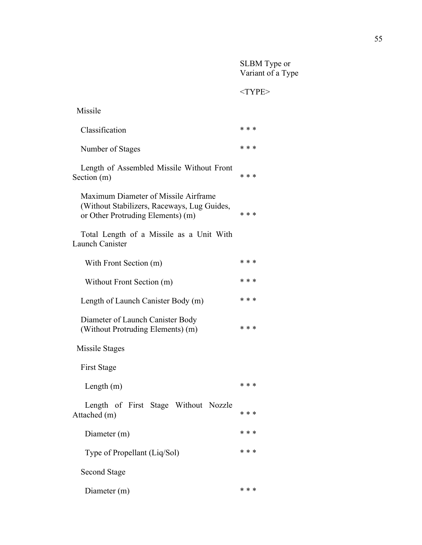SLBM Type or Variant of a Type

 $<$  TYPE $>$ 

| Missile                                                                                                                  |       |
|--------------------------------------------------------------------------------------------------------------------------|-------|
| Classification                                                                                                           | * * * |
| Number of Stages                                                                                                         | * * * |
| Length of Assembled Missile Without Front<br>Section (m)                                                                 | * * * |
| Maximum Diameter of Missile Airframe<br>(Without Stabilizers, Raceways, Lug Guides,<br>or Other Protruding Elements) (m) | * * * |
| Total Length of a Missile as a Unit With<br>Launch Canister                                                              |       |
| With Front Section (m)                                                                                                   | * * * |
| Without Front Section (m)                                                                                                | * * * |
| Length of Launch Canister Body (m)                                                                                       | * * * |
| Diameter of Launch Canister Body<br>(Without Protruding Elements) (m)                                                    | * * * |
| Missile Stages                                                                                                           |       |
| First Stage                                                                                                              |       |
| Length $(m)$                                                                                                             | * * * |
| Length of First Stage Without Nozzle<br>Attached (m)                                                                     | * * * |
| Diameter (m)                                                                                                             | * * * |
| Type of Propellant (Liq/Sol)                                                                                             | * * * |
| <b>Second Stage</b>                                                                                                      |       |
| Diameter (m)                                                                                                             | * * * |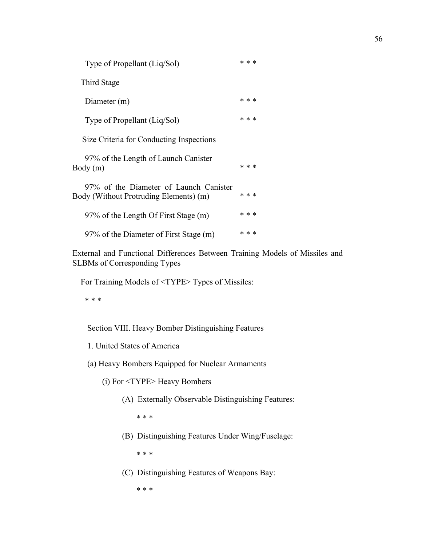| Type of Propellant (Liq/Sol)                                                     | * * * |  |
|----------------------------------------------------------------------------------|-------|--|
| Third Stage                                                                      |       |  |
| Diameter (m)                                                                     | * * * |  |
| Type of Propellant (Liq/Sol)                                                     | * * * |  |
| Size Criteria for Conducting Inspections                                         |       |  |
| 97% of the Length of Launch Canister<br>Body (m)                                 | * * * |  |
| 97% of the Diameter of Launch Canister<br>Body (Without Protruding Elements) (m) | * * * |  |
| 97% of the Length Of First Stage (m)                                             | * * * |  |
| 97% of the Diameter of First Stage (m)                                           | * * * |  |

External and Functional Differences Between Training Models of Missiles and SLBMs of Corresponding Types

For Training Models of <TYPE> Types of Missiles:

\* \* \*

Section VIII. Heavy Bomber Distinguishing Features

- 1. United States of America
- (a) Heavy Bombers Equipped for Nuclear Armaments
	- (i) For <TYPE> Heavy Bombers
		- (A) Externally Observable Distinguishing Features:

\* \* \*

(B) Distinguishing Features Under Wing/Fuselage:

\* \* \*

(C) Distinguishing Features of Weapons Bay:

\* \* \*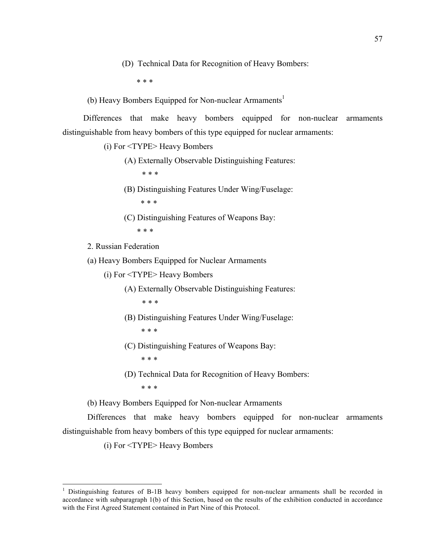(D) Technical Data for Recognition of Heavy Bombers:

\* \* \*

(b) Heavy Bombers Equipped for Non-nuclear Armaments<sup>1</sup>

Differences that make heavy bombers equipped for non-nuclear armaments distinguishable from heavy bombers of this type equipped for nuclear armaments:

(i) For <TYPE> Heavy Bombers

(A) Externally Observable Distinguishing Features:

\* \* \*

(B) Distinguishing Features Under Wing/Fuselage:

- \* \* \*
- (C) Distinguishing Features of Weapons Bay:

\* \* \*

2. Russian Federation

(a) Heavy Bombers Equipped for Nuclear Armaments

(i) For <TYPE> Heavy Bombers

(A) Externally Observable Distinguishing Features:  $* * *$ 

(B) Distinguishing Features Under Wing/Fuselage:

- \* \* \*
- (C) Distinguishing Features of Weapons Bay:
	- \* \* \*
- (D) Technical Data for Recognition of Heavy Bombers:
	- \* \* \*

(b) Heavy Bombers Equipped for Non-nuclear Armaments

Differences that make heavy bombers equipped for non-nuclear armaments distinguishable from heavy bombers of this type equipped for nuclear armaments:

(i) For <TYPE> Heavy Bombers

 $\frac{1}{1}$ <sup>1</sup> Distinguishing features of B-1B heavy bombers equipped for non-nuclear armaments shall be recorded in accordance with subparagraph 1(b) of this Section, based on the results of the exhibition conducted in accordance with the First Agreed Statement contained in Part Nine of this Protocol.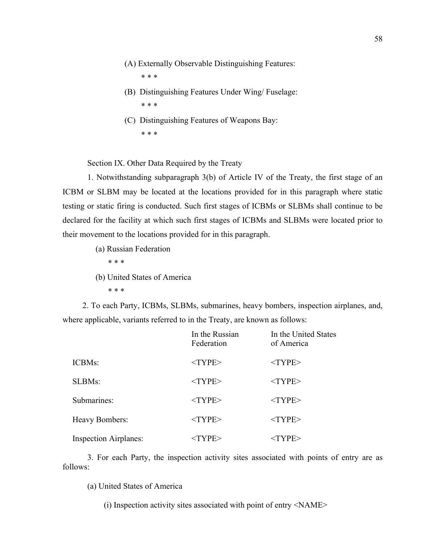(A) Externally Observable Distinguishing Features:

\* \* \*

- (B) Distinguishing Features Under Wing/ Fuselage: \* \* \*
- (C) Distinguishing Features of Weapons Bay: \* \* \*

Section IX. Other Data Required by the Treaty

1. Notwithstanding subparagraph 3(b) of Article IV of the Treaty, the first stage of an ICBM or SLBM may be located at the locations provided for in this paragraph where static testing or static firing is conducted. Such first stages of ICBMs or SLBMs shall continue to be declared for the facility at which such first stages of ICBMs and SLBMs were located prior to their movement to the locations provided for in this paragraph.

(a) Russian Federation

\* \* \*

(b) United States of America

\* \* \*

2. To each Party, ICBMs, SLBMs, submarines, heavy bombers, inspection airplanes, and, where applicable, variants referred to in the Treaty, are known as follows:

|                              | In the Russian<br>Federation | In the United States<br>of America |
|------------------------------|------------------------------|------------------------------------|
| ICBMs:                       | $<$ TYPE $>$                 | $<$ TYPE $>$                       |
| <b>SLBMs:</b>                | $<$ TYPE>                    | $<$ TYPE>                          |
| Submarines:                  | $<$ TYPE $>$                 | $<$ TYPE $>$                       |
| <b>Heavy Bombers:</b>        | $<$ TYPE>                    | $<$ TYPE>                          |
| <b>Inspection Airplanes:</b> | $<$ TYPE>                    | <type></type>                      |

3. For each Party, the inspection activity sites associated with points of entry are as follows:

(a) United States of America

(i) Inspection activity sites associated with point of entry <NAME>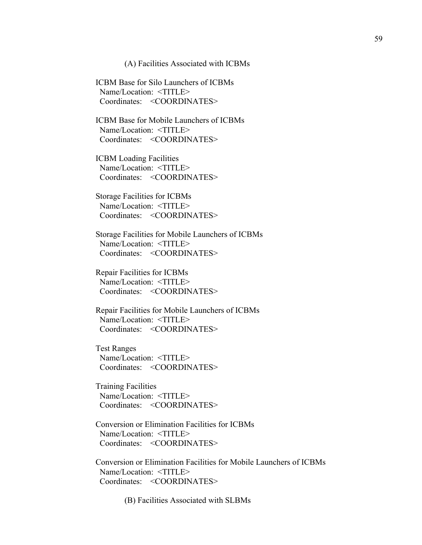(A) Facilities Associated with ICBMs

 ICBM Base for Silo Launchers of ICBMs Name/Location: <TITLE> Coordinates: <COORDINATES>

 ICBM Base for Mobile Launchers of ICBMs Name/Location: <TITLE> Coordinates: <COORDINATES>

 ICBM Loading Facilities Name/Location: <TITLE> Coordinates: <COORDINATES>

 Storage Facilities for ICBMs Name/Location: <TITLE> Coordinates: <COORDINATES>

 Storage Facilities for Mobile Launchers of ICBMs Name/Location: <TITLE> Coordinates: <COORDINATES>

 Repair Facilities for ICBMs Name/Location: <TITLE> Coordinates: <COORDINATES>

 Repair Facilities for Mobile Launchers of ICBMs Name/Location: <TITLE> Coordinates: <COORDINATES>

 Test Ranges Name/Location: <TITLE> Coordinates: <COORDINATES>

 Training Facilities Name/Location: <TITLE> Coordinates: <COORDINATES>

 Conversion or Elimination Facilities for ICBMs Name/Location: <TITLE> Coordinates: <COORDINATES>

 Conversion or Elimination Facilities for Mobile Launchers of ICBMs Name/Location: <TITLE> Coordinates: <COORDINATES>

(B) Facilities Associated with SLBMs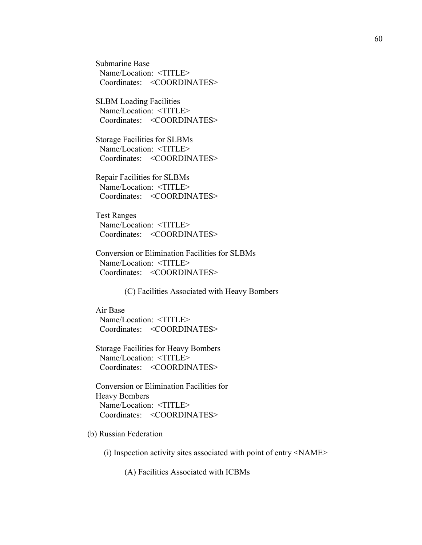Submarine Base Name/Location: <TITLE> Coordinates: <COORDINATES>

 SLBM Loading Facilities Name/Location: <TITLE> Coordinates: <COORDINATES>

 Storage Facilities for SLBMs Name/Location: <TITLE> Coordinates: <COORDINATES>

 Repair Facilities for SLBMs Name/Location: <TITLE> Coordinates: <COORDINATES>

 Test Ranges Name/Location: <TITLE> Coordinates: <COORDINATES>

 Conversion or Elimination Facilities for SLBMs Name/Location: <TITLE> Coordinates: <COORDINATES>

(C) Facilities Associated with Heavy Bombers

 Air Base Name/Location: <TITLE> Coordinates: <COORDINATES>

 Storage Facilities for Heavy Bombers Name/Location: <TITLE> Coordinates: <COORDINATES>

 Conversion or Elimination Facilities for Heavy Bombers Name/Location: <TITLE> Coordinates: <COORDINATES>

(b) Russian Federation

(i) Inspection activity sites associated with point of entry <NAME>

(A) Facilities Associated with ICBMs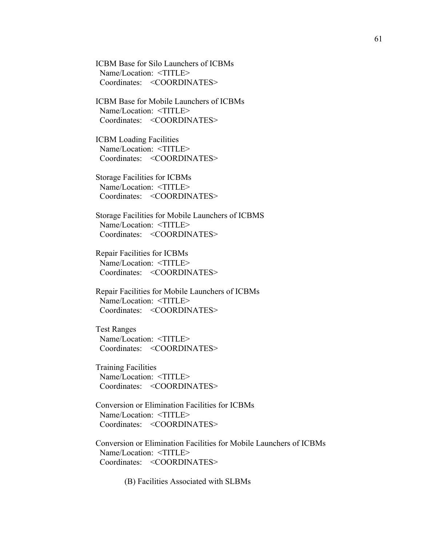ICBM Base for Silo Launchers of ICBMs Name/Location: <TITLE> Coordinates: <COORDINATES>

 ICBM Base for Mobile Launchers of ICBMs Name/Location: <TITLE> Coordinates: <COORDINATES>

 ICBM Loading Facilities Name/Location: <TITLE> Coordinates: <COORDINATES>

 Storage Facilities for ICBMs Name/Location: <TITLE> Coordinates: <COORDINATES>

 Storage Facilities for Mobile Launchers of ICBMS Name/Location: <TITLE> Coordinates: <COORDINATES>

 Repair Facilities for ICBMs Name/Location: <TITLE> Coordinates: <COORDINATES>

 Repair Facilities for Mobile Launchers of ICBMs Name/Location: <TITLE> Coordinates: <COORDINATES>

 Test Ranges Name/Location: <TITLE> Coordinates: <COORDINATES>

 Training Facilities Name/Location: <TITLE> Coordinates: <COORDINATES>

 Conversion or Elimination Facilities for ICBMs Name/Location: <TITLE> Coordinates: <COORDINATES>

 Conversion or Elimination Facilities for Mobile Launchers of ICBMs Name/Location: <TITLE> Coordinates: <COORDINATES>

(B) Facilities Associated with SLBMs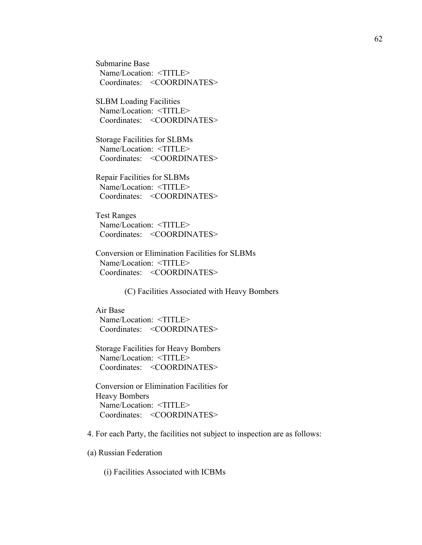Submarine Base Name/Location: <TITLE> Coordinates: <COORDINATES>

 SLBM Loading Facilities Name/Location: <TITLE> Coordinates: <COORDINATES>

 Storage Facilities for SLBMs Name/Location: <TITLE> Coordinates: <COORDINATES>

 Repair Facilities for SLBMs Name/Location: <TITLE> Coordinates: <COORDINATES>

 Test Ranges Name/Location: <TITLE> Coordinates: <COORDINATES>

 Conversion or Elimination Facilities for SLBMs Name/Location: <TITLE> Coordinates: <COORDINATES>

(C) Facilities Associated with Heavy Bombers

 Air Base Name/Location: <TITLE> Coordinates: <COORDINATES>

 Storage Facilities for Heavy Bombers Name/Location: <TITLE> Coordinates: <COORDINATES>

 Conversion or Elimination Facilities for Heavy Bombers Name/Location: <TITLE> Coordinates: <COORDINATES>

4. For each Party, the facilities not subject to inspection are as follows:

(a) Russian Federation

(i) Facilities Associated with ICBMs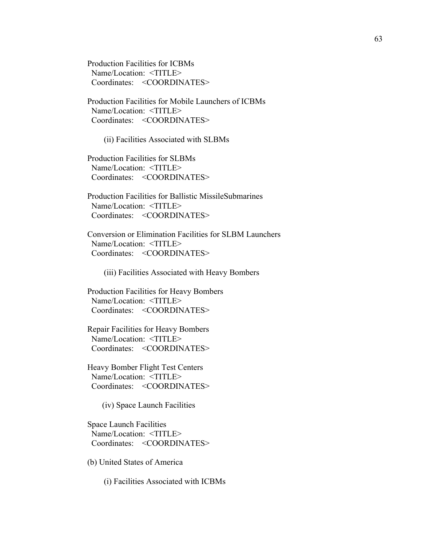Production Facilities for ICBMs Name/Location: <TITLE> Coordinates: <COORDINATES>

 Production Facilities for Mobile Launchers of ICBMs Name/Location: <TITLE> Coordinates: <COORDINATES>

(ii) Facilities Associated with SLBMs

 Production Facilities for SLBMs Name/Location: <TITLE> Coordinates: <COORDINATES>

 Production Facilities for Ballistic MissileSubmarines Name/Location: <TITLE> Coordinates: <COORDINATES>

 Conversion or Elimination Facilities for SLBM Launchers Name/Location: <TITLE> Coordinates: <COORDINATES>

(iii) Facilities Associated with Heavy Bombers

 Production Facilities for Heavy Bombers Name/Location: <TITLE> Coordinates: <COORDINATES>

 Repair Facilities for Heavy Bombers Name/Location: <TITLE> Coordinates: <COORDINATES>

 Heavy Bomber Flight Test Centers Name/Location: <TITLE> Coordinates: <COORDINATES>

(iv) Space Launch Facilities

 Space Launch Facilities Name/Location: <TITLE> Coordinates: <COORDINATES>

(b) United States of America

(i) Facilities Associated with ICBMs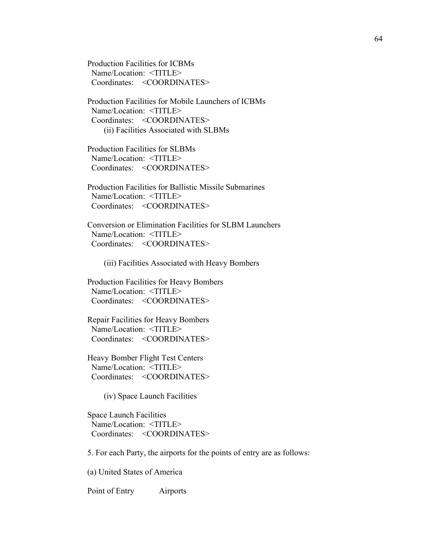Production Facilities for ICBMs Name/Location: <TITLE> Coordinates: <COORDINATES>

 Production Facilities for Mobile Launchers of ICBMs Name/Location: <TITLE> Coordinates: <COORDINATES> (ii) Facilities Associated with SLBMs

 Production Facilities for SLBMs Name/Location: <TITLE> Coordinates: <COORDINATES>

 Production Facilities for Ballistic Missile Submarines Name/Location: <TITLE> Coordinates: <COORDINATES>

 Conversion or Elimination Facilities for SLBM Launchers Name/Location: <TITLE> Coordinates: <COORDINATES>

(iii) Facilities Associated with Heavy Bombers

 Production Facilities for Heavy Bombers Name/Location: <TITLE> Coordinates: <COORDINATES>

 Repair Facilities for Heavy Bombers Name/Location: <TITLE> Coordinates: <COORDINATES>

 Heavy Bomber Flight Test Centers Name/Location: <TITLE> Coordinates: <COORDINATES>

(iv) Space Launch Facilities

 Space Launch Facilities Name/Location: <TITLE> Coordinates: <COORDINATES>

5. For each Party, the airports for the points of entry are as follows:

(a) United States of America

Point of Entry Airports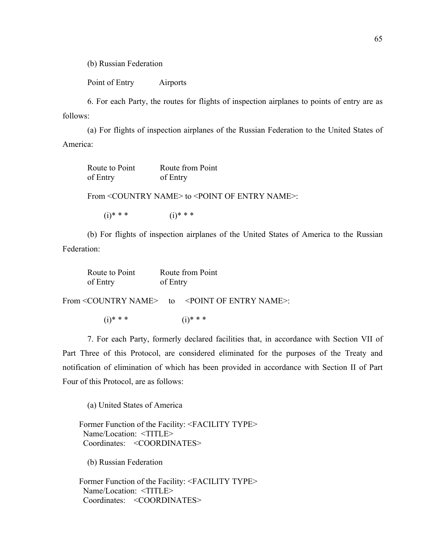(b) Russian Federation

Point of Entry Airports

6. For each Party, the routes for flights of inspection airplanes to points of entry are as follows:

(a) For flights of inspection airplanes of the Russian Federation to the United States of America:

| Route to Point | Route from Point |
|----------------|------------------|
| of Entry       | of Entry         |

From <COUNTRY NAME> to <POINT OF ENTRY NAME>:

 $(i)* **$  (i)\* \* \*

(b) For flights of inspection airplanes of the United States of America to the Russian Federation:

| Route to Point | Route from Point |
|----------------|------------------|
| of Entry       | of Entry         |

From <COUNTRY NAME> to <POINT OF ENTRY NAME>:

 $(i)* **$  (i)\* \* \*

7. For each Party, formerly declared facilities that, in accordance with Section VII of Part Three of this Protocol, are considered eliminated for the purposes of the Treaty and notification of elimination of which has been provided in accordance with Section II of Part Four of this Protocol, are as follows:

(a) United States of America

 Former Function of the Facility: <FACILITY TYPE> Name/Location: <TITLE> Coordinates: <COORDINATES>

(b) Russian Federation

 Former Function of the Facility: <FACILITY TYPE> Name/Location: <TITLE> Coordinates: <COORDINATES>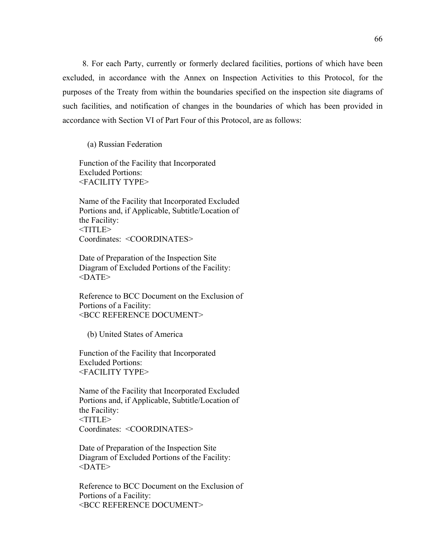8. For each Party, currently or formerly declared facilities, portions of which have been excluded, in accordance with the Annex on Inspection Activities to this Protocol, for the purposes of the Treaty from within the boundaries specified on the inspection site diagrams of such facilities, and notification of changes in the boundaries of which has been provided in accordance with Section VI of Part Four of this Protocol, are as follows:

(a) Russian Federation

 Function of the Facility that Incorporated Excluded Portions: <FACILITY TYPE>

 Name of the Facility that Incorporated Excluded Portions and, if Applicable, Subtitle/Location of the Facility: <TITLE> Coordinates: <COORDINATES>

 Date of Preparation of the Inspection Site Diagram of Excluded Portions of the Facility:  $<$ DATE $>$ 

 Reference to BCC Document on the Exclusion of Portions of a Facility: <BCC REFERENCE DOCUMENT>

(b) United States of America

 Function of the Facility that Incorporated Excluded Portions: <FACILITY TYPE>

 Name of the Facility that Incorporated Excluded Portions and, if Applicable, Subtitle/Location of the Facility: <TITLE> Coordinates: <COORDINATES>

 Date of Preparation of the Inspection Site Diagram of Excluded Portions of the Facility:  $<$ DATE $>$ 

 Reference to BCC Document on the Exclusion of Portions of a Facility:  $<$ BCC REFERENCE DOCUMENT $>$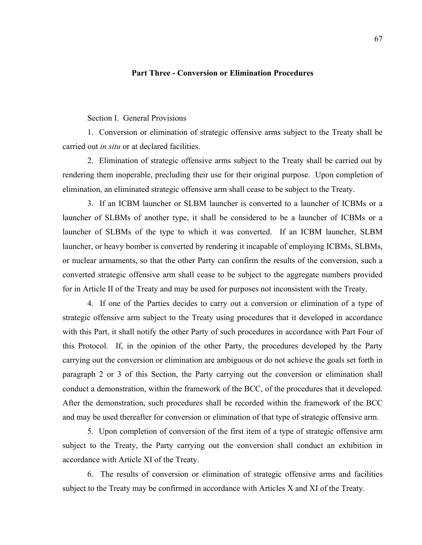## **Part Three - Conversion or Elimination Procedures**

## Section I. General Provisions

1. Conversion or elimination of strategic offensive arms subject to the Treaty shall be carried out *in situ* or at declared facilities.

2. Elimination of strategic offensive arms subject to the Treaty shall be carried out by rendering them inoperable, precluding their use for their original purpose. Upon completion of elimination, an eliminated strategic offensive arm shall cease to be subject to the Treaty.

3. If an ICBM launcher or SLBM launcher is converted to a launcher of ICBMs or a launcher of SLBMs of another type, it shall be considered to be a launcher of ICBMs or a launcher of SLBMs of the type to which it was converted. If an ICBM launcher, SLBM launcher, or heavy bomber is converted by rendering it incapable of employing ICBMs, SLBMs, or nuclear armaments, so that the other Party can confirm the results of the conversion, such a converted strategic offensive arm shall cease to be subject to the aggregate numbers provided for in Article II of the Treaty and may be used for purposes not inconsistent with the Treaty.

4. If one of the Parties decides to carry out a conversion or elimination of a type of strategic offensive arm subject to the Treaty using procedures that it developed in accordance with this Part, it shall notify the other Party of such procedures in accordance with Part Four of this Protocol. If, in the opinion of the other Party, the procedures developed by the Party carrying out the conversion or elimination are ambiguous or do not achieve the goals set forth in paragraph 2 or 3 of this Section, the Party carrying out the conversion or elimination shall conduct a demonstration, within the framework of the BCC, of the procedures that it developed. After the demonstration, such procedures shall be recorded within the framework of the BCC and may be used thereafter for conversion or elimination of that type of strategic offensive arm.

5. Upon completion of conversion of the first item of a type of strategic offensive arm subject to the Treaty, the Party carrying out the conversion shall conduct an exhibition in accordance with Article XI of the Treaty.

6. The results of conversion or elimination of strategic offensive arms and facilities subject to the Treaty may be confirmed in accordance with Articles X and XI of the Treaty.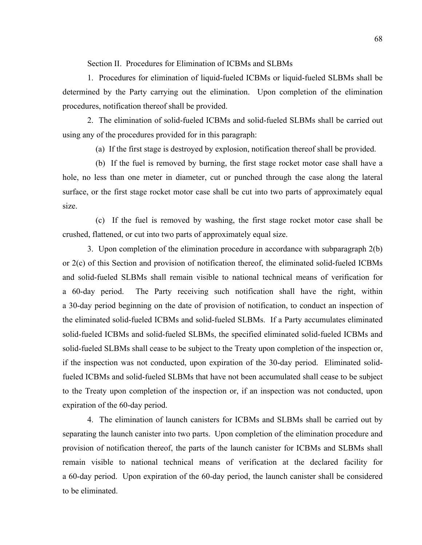Section II. Procedures for Elimination of ICBMs and SLBMs

1. Procedures for elimination of liquid-fueled ICBMs or liquid-fueled SLBMs shall be determined by the Party carrying out the elimination. Upon completion of the elimination procedures, notification thereof shall be provided.

2. The elimination of solid-fueled ICBMs and solid-fueled SLBMs shall be carried out using any of the procedures provided for in this paragraph:

(a) If the first stage is destroyed by explosion, notification thereof shall be provided.

 (b) If the fuel is removed by burning, the first stage rocket motor case shall have a hole, no less than one meter in diameter, cut or punched through the case along the lateral surface, or the first stage rocket motor case shall be cut into two parts of approximately equal size.

 (c) If the fuel is removed by washing, the first stage rocket motor case shall be crushed, flattened, or cut into two parts of approximately equal size.

3. Upon completion of the elimination procedure in accordance with subparagraph 2(b) or 2(c) of this Section and provision of notification thereof, the eliminated solid-fueled ICBMs and solid-fueled SLBMs shall remain visible to national technical means of verification for a 60-day period. The Party receiving such notification shall have the right, within a 30-day period beginning on the date of provision of notification, to conduct an inspection of the eliminated solid-fueled ICBMs and solid-fueled SLBMs. If a Party accumulates eliminated solid-fueled ICBMs and solid-fueled SLBMs, the specified eliminated solid-fueled ICBMs and solid-fueled SLBMs shall cease to be subject to the Treaty upon completion of the inspection or, if the inspection was not conducted, upon expiration of the 30-day period. Eliminated solidfueled ICBMs and solid-fueled SLBMs that have not been accumulated shall cease to be subject to the Treaty upon completion of the inspection or, if an inspection was not conducted, upon expiration of the 60-day period.

4. The elimination of launch canisters for ICBMs and SLBMs shall be carried out by separating the launch canister into two parts. Upon completion of the elimination procedure and provision of notification thereof, the parts of the launch canister for ICBMs and SLBMs shall remain visible to national technical means of verification at the declared facility for a 60-day period. Upon expiration of the 60-day period, the launch canister shall be considered to be eliminated.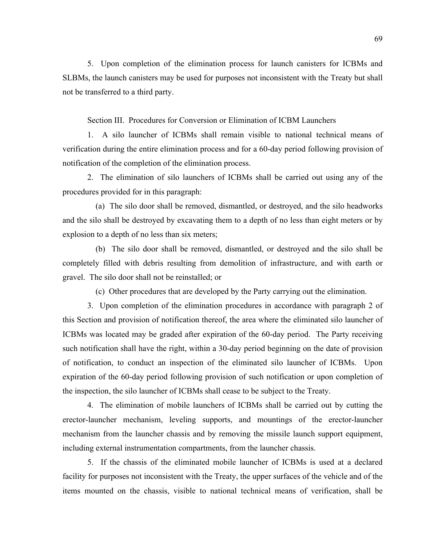5. Upon completion of the elimination process for launch canisters for ICBMs and SLBMs, the launch canisters may be used for purposes not inconsistent with the Treaty but shall not be transferred to a third party.

Section III. Procedures for Conversion or Elimination of ICBM Launchers

1. A silo launcher of ICBMs shall remain visible to national technical means of verification during the entire elimination process and for a 60-day period following provision of notification of the completion of the elimination process.

2. The elimination of silo launchers of ICBMs shall be carried out using any of the procedures provided for in this paragraph:

 (a) The silo door shall be removed, dismantled, or destroyed, and the silo headworks and the silo shall be destroyed by excavating them to a depth of no less than eight meters or by explosion to a depth of no less than six meters;

 (b) The silo door shall be removed, dismantled, or destroyed and the silo shall be completely filled with debris resulting from demolition of infrastructure, and with earth or gravel. The silo door shall not be reinstalled; or

(c) Other procedures that are developed by the Party carrying out the elimination.

3. Upon completion of the elimination procedures in accordance with paragraph 2 of this Section and provision of notification thereof, the area where the eliminated silo launcher of ICBMs was located may be graded after expiration of the 60-day period. The Party receiving such notification shall have the right, within a 30-day period beginning on the date of provision of notification, to conduct an inspection of the eliminated silo launcher of ICBMs. Upon expiration of the 60-day period following provision of such notification or upon completion of the inspection, the silo launcher of ICBMs shall cease to be subject to the Treaty.

4. The elimination of mobile launchers of ICBMs shall be carried out by cutting the erector-launcher mechanism, leveling supports, and mountings of the erector-launcher mechanism from the launcher chassis and by removing the missile launch support equipment, including external instrumentation compartments, from the launcher chassis.

5. If the chassis of the eliminated mobile launcher of ICBMs is used at a declared facility for purposes not inconsistent with the Treaty, the upper surfaces of the vehicle and of the items mounted on the chassis, visible to national technical means of verification, shall be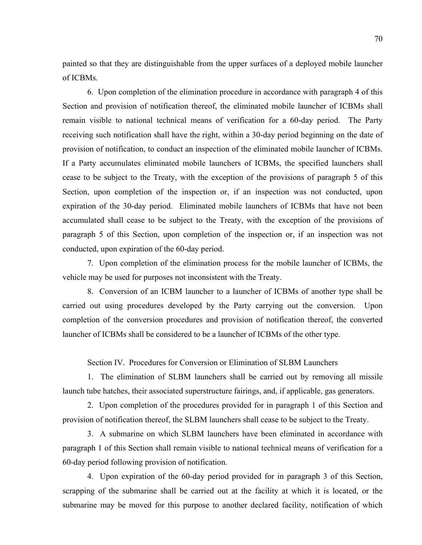painted so that they are distinguishable from the upper surfaces of a deployed mobile launcher of ICBMs.

6. Upon completion of the elimination procedure in accordance with paragraph 4 of this Section and provision of notification thereof, the eliminated mobile launcher of ICBMs shall remain visible to national technical means of verification for a 60-day period. The Party receiving such notification shall have the right, within a 30-day period beginning on the date of provision of notification, to conduct an inspection of the eliminated mobile launcher of ICBMs. If a Party accumulates eliminated mobile launchers of ICBMs, the specified launchers shall cease to be subject to the Treaty, with the exception of the provisions of paragraph 5 of this Section, upon completion of the inspection or, if an inspection was not conducted, upon expiration of the 30-day period. Eliminated mobile launchers of ICBMs that have not been accumulated shall cease to be subject to the Treaty, with the exception of the provisions of paragraph 5 of this Section, upon completion of the inspection or, if an inspection was not conducted, upon expiration of the 60-day period.

7. Upon completion of the elimination process for the mobile launcher of ICBMs, the vehicle may be used for purposes not inconsistent with the Treaty.

8. Conversion of an ICBM launcher to a launcher of ICBMs of another type shall be carried out using procedures developed by the Party carrying out the conversion. Upon completion of the conversion procedures and provision of notification thereof, the converted launcher of ICBMs shall be considered to be a launcher of ICBMs of the other type.

Section IV. Procedures for Conversion or Elimination of SLBM Launchers

1. The elimination of SLBM launchers shall be carried out by removing all missile launch tube hatches, their associated superstructure fairings, and, if applicable, gas generators.

2. Upon completion of the procedures provided for in paragraph 1 of this Section and provision of notification thereof, the SLBM launchers shall cease to be subject to the Treaty.

3. A submarine on which SLBM launchers have been eliminated in accordance with paragraph 1 of this Section shall remain visible to national technical means of verification for a 60-day period following provision of notification.

4. Upon expiration of the 60-day period provided for in paragraph 3 of this Section, scrapping of the submarine shall be carried out at the facility at which it is located, or the submarine may be moved for this purpose to another declared facility, notification of which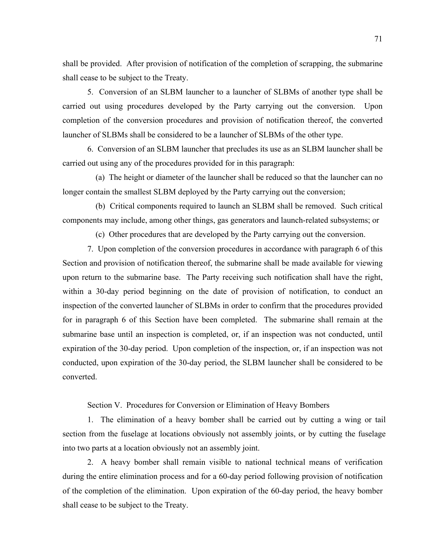shall be provided. After provision of notification of the completion of scrapping, the submarine shall cease to be subject to the Treaty.

5. Conversion of an SLBM launcher to a launcher of SLBMs of another type shall be carried out using procedures developed by the Party carrying out the conversion. Upon completion of the conversion procedures and provision of notification thereof, the converted launcher of SLBMs shall be considered to be a launcher of SLBMs of the other type.

6. Conversion of an SLBM launcher that precludes its use as an SLBM launcher shall be carried out using any of the procedures provided for in this paragraph:

 (a) The height or diameter of the launcher shall be reduced so that the launcher can no longer contain the smallest SLBM deployed by the Party carrying out the conversion;

 (b) Critical components required to launch an SLBM shall be removed. Such critical components may include, among other things, gas generators and launch-related subsystems; or

(c) Other procedures that are developed by the Party carrying out the conversion.

7. Upon completion of the conversion procedures in accordance with paragraph 6 of this Section and provision of notification thereof, the submarine shall be made available for viewing upon return to the submarine base. The Party receiving such notification shall have the right, within a 30-day period beginning on the date of provision of notification, to conduct an inspection of the converted launcher of SLBMs in order to confirm that the procedures provided for in paragraph 6 of this Section have been completed. The submarine shall remain at the submarine base until an inspection is completed, or, if an inspection was not conducted, until expiration of the 30-day period. Upon completion of the inspection, or, if an inspection was not conducted, upon expiration of the 30-day period, the SLBM launcher shall be considered to be converted.

Section V. Procedures for Conversion or Elimination of Heavy Bombers

1. The elimination of a heavy bomber shall be carried out by cutting a wing or tail section from the fuselage at locations obviously not assembly joints, or by cutting the fuselage into two parts at a location obviously not an assembly joint.

2. A heavy bomber shall remain visible to national technical means of verification during the entire elimination process and for a 60-day period following provision of notification of the completion of the elimination. Upon expiration of the 60-day period, the heavy bomber shall cease to be subject to the Treaty.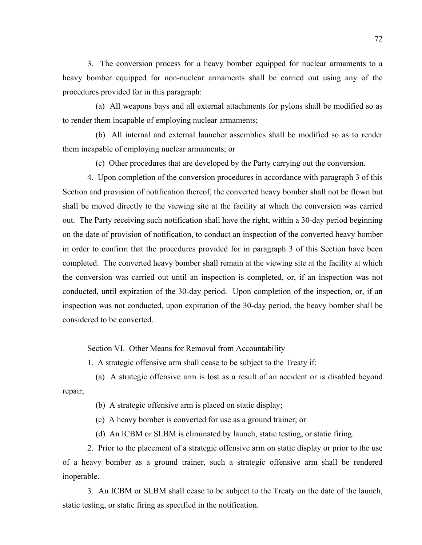3. The conversion process for a heavy bomber equipped for nuclear armaments to a heavy bomber equipped for non-nuclear armaments shall be carried out using any of the procedures provided for in this paragraph:

 (a) All weapons bays and all external attachments for pylons shall be modified so as to render them incapable of employing nuclear armaments;

 (b) All internal and external launcher assemblies shall be modified so as to render them incapable of employing nuclear armaments; or

(c) Other procedures that are developed by the Party carrying out the conversion.

4. Upon completion of the conversion procedures in accordance with paragraph 3 of this Section and provision of notification thereof, the converted heavy bomber shall not be flown but shall be moved directly to the viewing site at the facility at which the conversion was carried out. The Party receiving such notification shall have the right, within a 30-day period beginning on the date of provision of notification, to conduct an inspection of the converted heavy bomber in order to confirm that the procedures provided for in paragraph 3 of this Section have been completed. The converted heavy bomber shall remain at the viewing site at the facility at which the conversion was carried out until an inspection is completed, or, if an inspection was not conducted, until expiration of the 30-day period. Upon completion of the inspection, or, if an inspection was not conducted, upon expiration of the 30-day period, the heavy bomber shall be considered to be converted.

Section VI. Other Means for Removal from Accountability

1. A strategic offensive arm shall cease to be subject to the Treaty if:

 (a) A strategic offensive arm is lost as a result of an accident or is disabled beyond repair;

(b) A strategic offensive arm is placed on static display;

(c) A heavy bomber is converted for use as a ground trainer; or

(d) An ICBM or SLBM is eliminated by launch, static testing, or static firing.

2. Prior to the placement of a strategic offensive arm on static display or prior to the use of a heavy bomber as a ground trainer, such a strategic offensive arm shall be rendered inoperable.

3. An ICBM or SLBM shall cease to be subject to the Treaty on the date of the launch, static testing, or static firing as specified in the notification.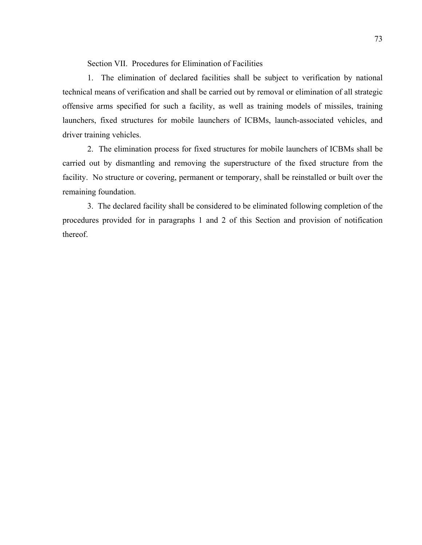Section VII. Procedures for Elimination of Facilities

1. The elimination of declared facilities shall be subject to verification by national technical means of verification and shall be carried out by removal or elimination of all strategic offensive arms specified for such a facility, as well as training models of missiles, training launchers, fixed structures for mobile launchers of ICBMs, launch-associated vehicles, and driver training vehicles.

2. The elimination process for fixed structures for mobile launchers of ICBMs shall be carried out by dismantling and removing the superstructure of the fixed structure from the facility. No structure or covering, permanent or temporary, shall be reinstalled or built over the remaining foundation.

3. The declared facility shall be considered to be eliminated following completion of the procedures provided for in paragraphs 1 and 2 of this Section and provision of notification thereof.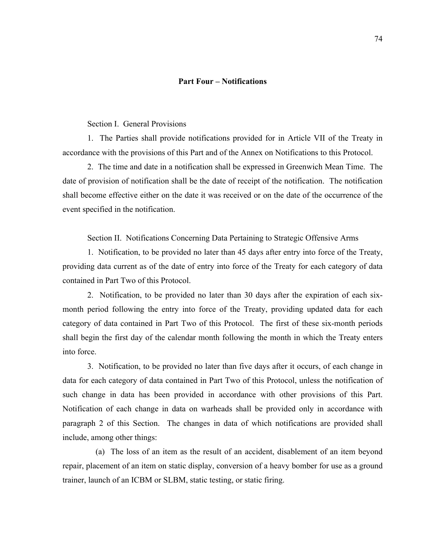### **Part Four – Notifications**

### Section I. General Provisions

1. The Parties shall provide notifications provided for in Article VII of the Treaty in accordance with the provisions of this Part and of the Annex on Notifications to this Protocol.

2. The time and date in a notification shall be expressed in Greenwich Mean Time. The date of provision of notification shall be the date of receipt of the notification. The notification shall become effective either on the date it was received or on the date of the occurrence of the event specified in the notification.

Section II. Notifications Concerning Data Pertaining to Strategic Offensive Arms

1. Notification, to be provided no later than 45 days after entry into force of the Treaty, providing data current as of the date of entry into force of the Treaty for each category of data contained in Part Two of this Protocol.

2. Notification, to be provided no later than 30 days after the expiration of each sixmonth period following the entry into force of the Treaty, providing updated data for each category of data contained in Part Two of this Protocol. The first of these six-month periods shall begin the first day of the calendar month following the month in which the Treaty enters into force.

3. Notification, to be provided no later than five days after it occurs, of each change in data for each category of data contained in Part Two of this Protocol, unless the notification of such change in data has been provided in accordance with other provisions of this Part. Notification of each change in data on warheads shall be provided only in accordance with paragraph 2 of this Section. The changes in data of which notifications are provided shall include, among other things:

 (a) The loss of an item as the result of an accident, disablement of an item beyond repair, placement of an item on static display, conversion of a heavy bomber for use as a ground trainer, launch of an ICBM or SLBM, static testing, or static firing.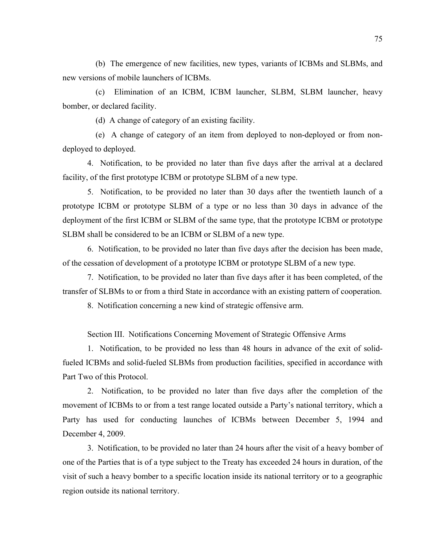(b) The emergence of new facilities, new types, variants of ICBMs and SLBMs, and new versions of mobile launchers of ICBMs.

 (c) Elimination of an ICBM, ICBM launcher, SLBM, SLBM launcher, heavy bomber, or declared facility.

(d) A change of category of an existing facility.

 (e) A change of category of an item from deployed to non-deployed or from nondeployed to deployed.

4. Notification, to be provided no later than five days after the arrival at a declared facility, of the first prototype ICBM or prototype SLBM of a new type.

5. Notification, to be provided no later than 30 days after the twentieth launch of a prototype ICBM or prototype SLBM of a type or no less than 30 days in advance of the deployment of the first ICBM or SLBM of the same type, that the prototype ICBM or prototype SLBM shall be considered to be an ICBM or SLBM of a new type.

6. Notification, to be provided no later than five days after the decision has been made, of the cessation of development of a prototype ICBM or prototype SLBM of a new type.

7. Notification, to be provided no later than five days after it has been completed, of the transfer of SLBMs to or from a third State in accordance with an existing pattern of cooperation.

8. Notification concerning a new kind of strategic offensive arm.

Section III. Notifications Concerning Movement of Strategic Offensive Arms

1. Notification, to be provided no less than 48 hours in advance of the exit of solidfueled ICBMs and solid-fueled SLBMs from production facilities, specified in accordance with Part Two of this Protocol.

2. Notification, to be provided no later than five days after the completion of the movement of ICBMs to or from a test range located outside a Party's national territory, which a Party has used for conducting launches of ICBMs between December 5, 1994 and December 4, 2009.

3. Notification, to be provided no later than 24 hours after the visit of a heavy bomber of one of the Parties that is of a type subject to the Treaty has exceeded 24 hours in duration, of the visit of such a heavy bomber to a specific location inside its national territory or to a geographic region outside its national territory.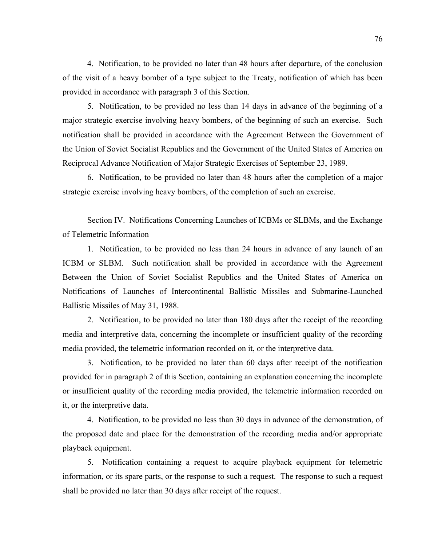4. Notification, to be provided no later than 48 hours after departure, of the conclusion of the visit of a heavy bomber of a type subject to the Treaty, notification of which has been provided in accordance with paragraph 3 of this Section.

5. Notification, to be provided no less than 14 days in advance of the beginning of a major strategic exercise involving heavy bombers, of the beginning of such an exercise. Such notification shall be provided in accordance with the Agreement Between the Government of the Union of Soviet Socialist Republics and the Government of the United States of America on Reciprocal Advance Notification of Major Strategic Exercises of September 23, 1989.

6. Notification, to be provided no later than 48 hours after the completion of a major strategic exercise involving heavy bombers, of the completion of such an exercise.

Section IV. Notifications Concerning Launches of ICBMs or SLBMs, and the Exchange of Telemetric Information

1. Notification, to be provided no less than 24 hours in advance of any launch of an ICBM or SLBM. Such notification shall be provided in accordance with the Agreement Between the Union of Soviet Socialist Republics and the United States of America on Notifications of Launches of Intercontinental Ballistic Missiles and Submarine-Launched Ballistic Missiles of May 31, 1988.

2. Notification, to be provided no later than 180 days after the receipt of the recording media and interpretive data, concerning the incomplete or insufficient quality of the recording media provided, the telemetric information recorded on it, or the interpretive data.

3. Notification, to be provided no later than 60 days after receipt of the notification provided for in paragraph 2 of this Section, containing an explanation concerning the incomplete or insufficient quality of the recording media provided, the telemetric information recorded on it, or the interpretive data.

4. Notification, to be provided no less than 30 days in advance of the demonstration, of the proposed date and place for the demonstration of the recording media and/or appropriate playback equipment.

5. Notification containing a request to acquire playback equipment for telemetric information, or its spare parts, or the response to such a request. The response to such a request shall be provided no later than 30 days after receipt of the request.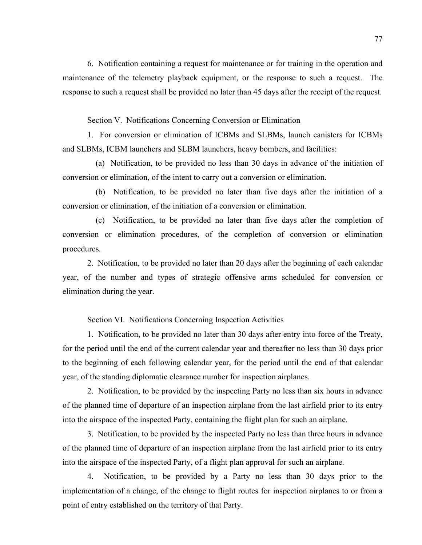6. Notification containing a request for maintenance or for training in the operation and maintenance of the telemetry playback equipment, or the response to such a request. The response to such a request shall be provided no later than 45 days after the receipt of the request.

Section V. Notifications Concerning Conversion or Elimination

1. For conversion or elimination of ICBMs and SLBMs, launch canisters for ICBMs and SLBMs, ICBM launchers and SLBM launchers, heavy bombers, and facilities:

 (a) Notification, to be provided no less than 30 days in advance of the initiation of conversion or elimination, of the intent to carry out a conversion or elimination.

 (b) Notification, to be provided no later than five days after the initiation of a conversion or elimination, of the initiation of a conversion or elimination.

 (c) Notification, to be provided no later than five days after the completion of conversion or elimination procedures, of the completion of conversion or elimination procedures.

2. Notification, to be provided no later than 20 days after the beginning of each calendar year, of the number and types of strategic offensive arms scheduled for conversion or elimination during the year.

Section VI. Notifications Concerning Inspection Activities

1. Notification, to be provided no later than 30 days after entry into force of the Treaty, for the period until the end of the current calendar year and thereafter no less than 30 days prior to the beginning of each following calendar year, for the period until the end of that calendar year, of the standing diplomatic clearance number for inspection airplanes.

2. Notification, to be provided by the inspecting Party no less than six hours in advance of the planned time of departure of an inspection airplane from the last airfield prior to its entry into the airspace of the inspected Party, containing the flight plan for such an airplane.

3. Notification, to be provided by the inspected Party no less than three hours in advance of the planned time of departure of an inspection airplane from the last airfield prior to its entry into the airspace of the inspected Party, of a flight plan approval for such an airplane.

4. Notification, to be provided by a Party no less than 30 days prior to the implementation of a change, of the change to flight routes for inspection airplanes to or from a point of entry established on the territory of that Party.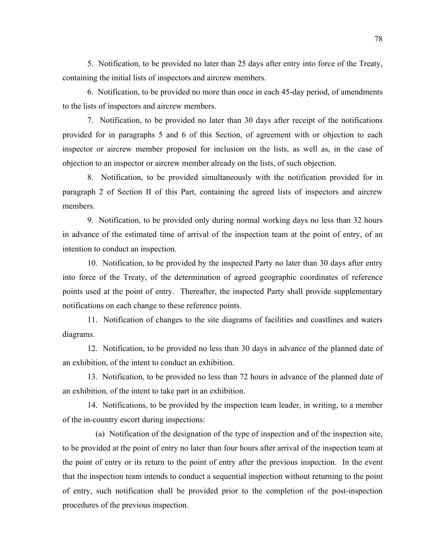5. Notification, to be provided no later than 25 days after entry into force of the Treaty, containing the initial lists of inspectors and aircrew members.

6. Notification, to be provided no more than once in each 45-day period, of amendments to the lists of inspectors and aircrew members.

7. Notification, to be provided no later than 30 days after receipt of the notifications provided for in paragraphs 5 and 6 of this Section, of agreement with or objection to each inspector or aircrew member proposed for inclusion on the lists, as well as, in the case of objection to an inspector or aircrew member already on the lists, of such objection.

8. Notification, to be provided simultaneously with the notification provided for in paragraph 2 of Section II of this Part, containing the agreed lists of inspectors and aircrew members.

9. Notification, to be provided only during normal working days no less than 32 hours in advance of the estimated time of arrival of the inspection team at the point of entry, of an intention to conduct an inspection.

10. Notification, to be provided by the inspected Party no later than 30 days after entry into force of the Treaty, of the determination of agreed geographic coordinates of reference points used at the point of entry. Thereafter, the inspected Party shall provide supplementary notifications on each change to these reference points.

11. Notification of changes to the site diagrams of facilities and coastlines and waters diagrams.

12. Notification, to be provided no less than 30 days in advance of the planned date of an exhibition, of the intent to conduct an exhibition.

13. Notification, to be provided no less than 72 hours in advance of the planned date of an exhibition, of the intent to take part in an exhibition.

14. Notifications, to be provided by the inspection team leader, in writing, to a member of the in-country escort during inspections:

 (a) Notification of the designation of the type of inspection and of the inspection site, to be provided at the point of entry no later than four hours after arrival of the inspection team at the point of entry or its return to the point of entry after the previous inspection. In the event that the inspection team intends to conduct a sequential inspection without returning to the point of entry, such notification shall be provided prior to the completion of the post-inspection procedures of the previous inspection.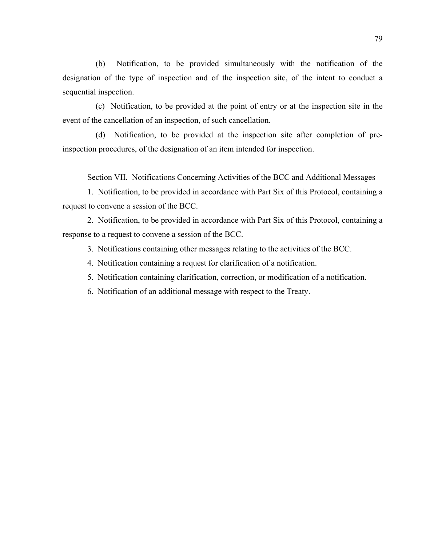(b) Notification, to be provided simultaneously with the notification of the designation of the type of inspection and of the inspection site, of the intent to conduct a sequential inspection.

 (c) Notification, to be provided at the point of entry or at the inspection site in the event of the cancellation of an inspection, of such cancellation.

 (d) Notification, to be provided at the inspection site after completion of preinspection procedures, of the designation of an item intended for inspection.

Section VII. Notifications Concerning Activities of the BCC and Additional Messages

1. Notification, to be provided in accordance with Part Six of this Protocol, containing a request to convene a session of the BCC.

2. Notification, to be provided in accordance with Part Six of this Protocol, containing a response to a request to convene a session of the BCC.

3. Notifications containing other messages relating to the activities of the BCC.

- 4. Notification containing a request for clarification of a notification.
- 5. Notification containing clarification, correction, or modification of a notification.
- 6. Notification of an additional message with respect to the Treaty.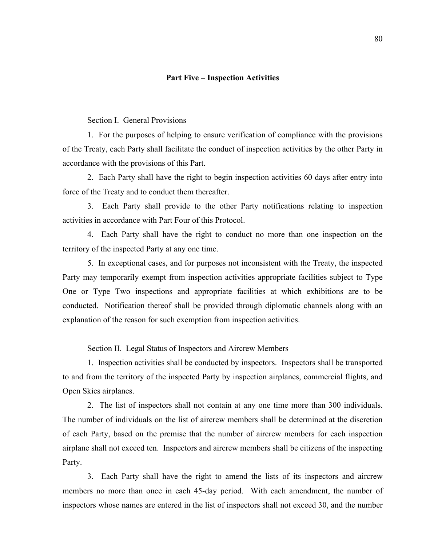#### **Part Five – Inspection Activities**

Section I. General Provisions

1. For the purposes of helping to ensure verification of compliance with the provisions of the Treaty, each Party shall facilitate the conduct of inspection activities by the other Party in accordance with the provisions of this Part.

2. Each Party shall have the right to begin inspection activities 60 days after entry into force of the Treaty and to conduct them thereafter.

3. Each Party shall provide to the other Party notifications relating to inspection activities in accordance with Part Four of this Protocol.

4. Each Party shall have the right to conduct no more than one inspection on the territory of the inspected Party at any one time.

5. In exceptional cases, and for purposes not inconsistent with the Treaty, the inspected Party may temporarily exempt from inspection activities appropriate facilities subject to Type One or Type Two inspections and appropriate facilities at which exhibitions are to be conducted. Notification thereof shall be provided through diplomatic channels along with an explanation of the reason for such exemption from inspection activities.

Section II. Legal Status of Inspectors and Aircrew Members

1. Inspection activities shall be conducted by inspectors. Inspectors shall be transported to and from the territory of the inspected Party by inspection airplanes, commercial flights, and Open Skies airplanes.

2. The list of inspectors shall not contain at any one time more than 300 individuals. The number of individuals on the list of aircrew members shall be determined at the discretion of each Party, based on the premise that the number of aircrew members for each inspection airplane shall not exceed ten. Inspectors and aircrew members shall be citizens of the inspecting Party.

3. Each Party shall have the right to amend the lists of its inspectors and aircrew members no more than once in each 45-day period. With each amendment, the number of inspectors whose names are entered in the list of inspectors shall not exceed 30, and the number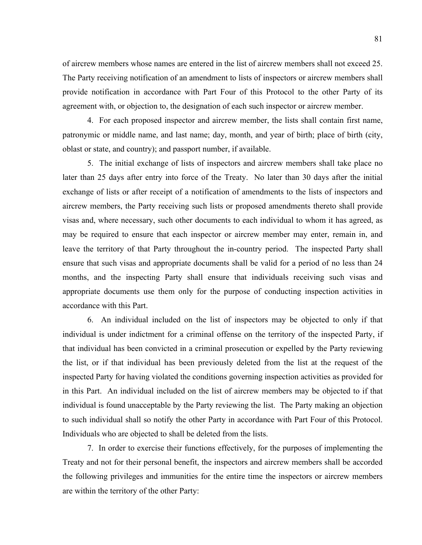of aircrew members whose names are entered in the list of aircrew members shall not exceed 25. The Party receiving notification of an amendment to lists of inspectors or aircrew members shall provide notification in accordance with Part Four of this Protocol to the other Party of its agreement with, or objection to, the designation of each such inspector or aircrew member.

4. For each proposed inspector and aircrew member, the lists shall contain first name, patronymic or middle name, and last name; day, month, and year of birth; place of birth (city, oblast or state, and country); and passport number, if available.

5. The initial exchange of lists of inspectors and aircrew members shall take place no later than 25 days after entry into force of the Treaty. No later than 30 days after the initial exchange of lists or after receipt of a notification of amendments to the lists of inspectors and aircrew members, the Party receiving such lists or proposed amendments thereto shall provide visas and, where necessary, such other documents to each individual to whom it has agreed, as may be required to ensure that each inspector or aircrew member may enter, remain in, and leave the territory of that Party throughout the in-country period. The inspected Party shall ensure that such visas and appropriate documents shall be valid for a period of no less than 24 months, and the inspecting Party shall ensure that individuals receiving such visas and appropriate documents use them only for the purpose of conducting inspection activities in accordance with this Part.

6. An individual included on the list of inspectors may be objected to only if that individual is under indictment for a criminal offense on the territory of the inspected Party, if that individual has been convicted in a criminal prosecution or expelled by the Party reviewing the list, or if that individual has been previously deleted from the list at the request of the inspected Party for having violated the conditions governing inspection activities as provided for in this Part. An individual included on the list of aircrew members may be objected to if that individual is found unacceptable by the Party reviewing the list. The Party making an objection to such individual shall so notify the other Party in accordance with Part Four of this Protocol. Individuals who are objected to shall be deleted from the lists.

7. In order to exercise their functions effectively, for the purposes of implementing the Treaty and not for their personal benefit, the inspectors and aircrew members shall be accorded the following privileges and immunities for the entire time the inspectors or aircrew members are within the territory of the other Party: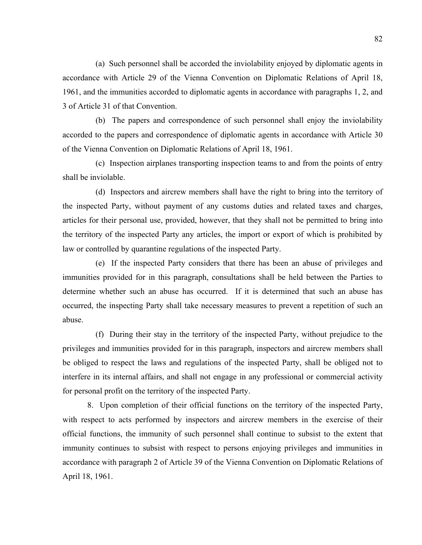(a) Such personnel shall be accorded the inviolability enjoyed by diplomatic agents in accordance with Article 29 of the Vienna Convention on Diplomatic Relations of April 18, 1961, and the immunities accorded to diplomatic agents in accordance with paragraphs 1, 2, and 3 of Article 31 of that Convention.

 (b) The papers and correspondence of such personnel shall enjoy the inviolability accorded to the papers and correspondence of diplomatic agents in accordance with Article 30 of the Vienna Convention on Diplomatic Relations of April 18, 1961.

 (c) Inspection airplanes transporting inspection teams to and from the points of entry shall be inviolable.

 (d) Inspectors and aircrew members shall have the right to bring into the territory of the inspected Party, without payment of any customs duties and related taxes and charges, articles for their personal use, provided, however, that they shall not be permitted to bring into the territory of the inspected Party any articles, the import or export of which is prohibited by law or controlled by quarantine regulations of the inspected Party.

 (e) If the inspected Party considers that there has been an abuse of privileges and immunities provided for in this paragraph, consultations shall be held between the Parties to determine whether such an abuse has occurred. If it is determined that such an abuse has occurred, the inspecting Party shall take necessary measures to prevent a repetition of such an abuse.

 (f) During their stay in the territory of the inspected Party, without prejudice to the privileges and immunities provided for in this paragraph, inspectors and aircrew members shall be obliged to respect the laws and regulations of the inspected Party, shall be obliged not to interfere in its internal affairs, and shall not engage in any professional or commercial activity for personal profit on the territory of the inspected Party.

8. Upon completion of their official functions on the territory of the inspected Party, with respect to acts performed by inspectors and aircrew members in the exercise of their official functions, the immunity of such personnel shall continue to subsist to the extent that immunity continues to subsist with respect to persons enjoying privileges and immunities in accordance with paragraph 2 of Article 39 of the Vienna Convention on Diplomatic Relations of April 18, 1961.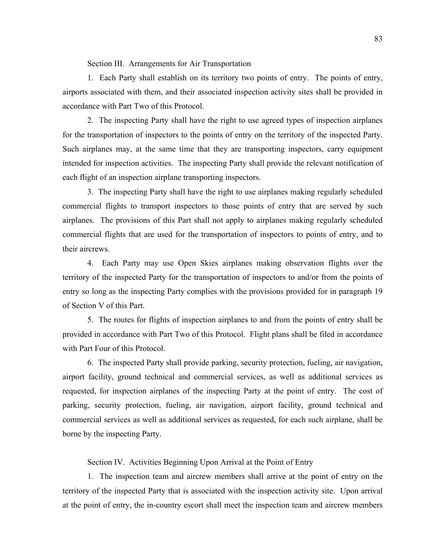Section III. Arrangements for Air Transportation

1. Each Party shall establish on its territory two points of entry. The points of entry, airports associated with them, and their associated inspection activity sites shall be provided in accordance with Part Two of this Protocol.

2. The inspecting Party shall have the right to use agreed types of inspection airplanes for the transportation of inspectors to the points of entry on the territory of the inspected Party. Such airplanes may, at the same time that they are transporting inspectors, carry equipment intended for inspection activities. The inspecting Party shall provide the relevant notification of each flight of an inspection airplane transporting inspectors.

3. The inspecting Party shall have the right to use airplanes making regularly scheduled commercial flights to transport inspectors to those points of entry that are served by such airplanes. The provisions of this Part shall not apply to airplanes making regularly scheduled commercial flights that are used for the transportation of inspectors to points of entry, and to their aircrews.

4. Each Party may use Open Skies airplanes making observation flights over the territory of the inspected Party for the transportation of inspectors to and/or from the points of entry so long as the inspecting Party complies with the provisions provided for in paragraph 19 of Section V of this Part.

5. The routes for flights of inspection airplanes to and from the points of entry shall be provided in accordance with Part Two of this Protocol. Flight plans shall be filed in accordance with Part Four of this Protocol.

6. The inspected Party shall provide parking, security protection, fueling, air navigation, airport facility, ground technical and commercial services, as well as additional services as requested, for inspection airplanes of the inspecting Party at the point of entry. The cost of parking, security protection, fueling, air navigation, airport facility, ground technical and commercial services as well as additional services as requested, for each such airplane, shall be borne by the inspecting Party.

Section IV. Activities Beginning Upon Arrival at the Point of Entry

1. The inspection team and aircrew members shall arrive at the point of entry on the territory of the inspected Party that is associated with the inspection activity site. Upon arrival at the point of entry, the in-country escort shall meet the inspection team and aircrew members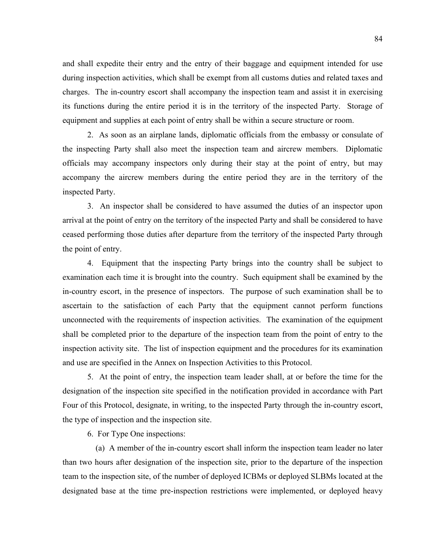and shall expedite their entry and the entry of their baggage and equipment intended for use during inspection activities, which shall be exempt from all customs duties and related taxes and charges. The in-country escort shall accompany the inspection team and assist it in exercising its functions during the entire period it is in the territory of the inspected Party. Storage of equipment and supplies at each point of entry shall be within a secure structure or room.

2. As soon as an airplane lands, diplomatic officials from the embassy or consulate of the inspecting Party shall also meet the inspection team and aircrew members. Diplomatic officials may accompany inspectors only during their stay at the point of entry, but may accompany the aircrew members during the entire period they are in the territory of the inspected Party.

3. An inspector shall be considered to have assumed the duties of an inspector upon arrival at the point of entry on the territory of the inspected Party and shall be considered to have ceased performing those duties after departure from the territory of the inspected Party through the point of entry.

4. Equipment that the inspecting Party brings into the country shall be subject to examination each time it is brought into the country. Such equipment shall be examined by the in-country escort, in the presence of inspectors. The purpose of such examination shall be to ascertain to the satisfaction of each Party that the equipment cannot perform functions unconnected with the requirements of inspection activities. The examination of the equipment shall be completed prior to the departure of the inspection team from the point of entry to the inspection activity site. The list of inspection equipment and the procedures for its examination and use are specified in the Annex on Inspection Activities to this Protocol.

5. At the point of entry, the inspection team leader shall, at or before the time for the designation of the inspection site specified in the notification provided in accordance with Part Four of this Protocol, designate, in writing, to the inspected Party through the in-country escort, the type of inspection and the inspection site.

6. For Type One inspections:

 (a) A member of the in-country escort shall inform the inspection team leader no later than two hours after designation of the inspection site, prior to the departure of the inspection team to the inspection site, of the number of deployed ICBMs or deployed SLBMs located at the designated base at the time pre-inspection restrictions were implemented, or deployed heavy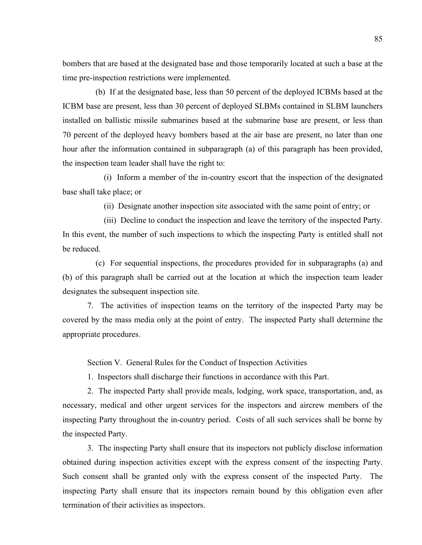bombers that are based at the designated base and those temporarily located at such a base at the time pre-inspection restrictions were implemented.

 (b) If at the designated base, less than 50 percent of the deployed ICBMs based at the ICBM base are present, less than 30 percent of deployed SLBMs contained in SLBM launchers installed on ballistic missile submarines based at the submarine base are present, or less than 70 percent of the deployed heavy bombers based at the air base are present, no later than one hour after the information contained in subparagraph (a) of this paragraph has been provided, the inspection team leader shall have the right to:

 (i) Inform a member of the in-country escort that the inspection of the designated base shall take place; or

(ii) Designate another inspection site associated with the same point of entry; or

 (iii) Decline to conduct the inspection and leave the territory of the inspected Party. In this event, the number of such inspections to which the inspecting Party is entitled shall not be reduced.

 (c) For sequential inspections, the procedures provided for in subparagraphs (a) and (b) of this paragraph shall be carried out at the location at which the inspection team leader designates the subsequent inspection site.

7. The activities of inspection teams on the territory of the inspected Party may be covered by the mass media only at the point of entry. The inspected Party shall determine the appropriate procedures.

Section V. General Rules for the Conduct of Inspection Activities

1. Inspectors shall discharge their functions in accordance with this Part.

2. The inspected Party shall provide meals, lodging, work space, transportation, and, as necessary, medical and other urgent services for the inspectors and aircrew members of the inspecting Party throughout the in-country period. Costs of all such services shall be borne by the inspected Party.

3. The inspecting Party shall ensure that its inspectors not publicly disclose information obtained during inspection activities except with the express consent of the inspecting Party. Such consent shall be granted only with the express consent of the inspected Party. The inspecting Party shall ensure that its inspectors remain bound by this obligation even after termination of their activities as inspectors.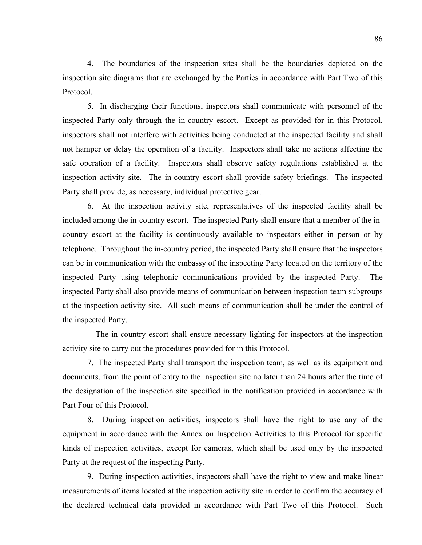4. The boundaries of the inspection sites shall be the boundaries depicted on the inspection site diagrams that are exchanged by the Parties in accordance with Part Two of this Protocol.

5. In discharging their functions, inspectors shall communicate with personnel of the inspected Party only through the in-country escort. Except as provided for in this Protocol, inspectors shall not interfere with activities being conducted at the inspected facility and shall not hamper or delay the operation of a facility. Inspectors shall take no actions affecting the safe operation of a facility. Inspectors shall observe safety regulations established at the inspection activity site. The in-country escort shall provide safety briefings. The inspected Party shall provide, as necessary, individual protective gear.

6. At the inspection activity site, representatives of the inspected facility shall be included among the in-country escort. The inspected Party shall ensure that a member of the incountry escort at the facility is continuously available to inspectors either in person or by telephone. Throughout the in-country period, the inspected Party shall ensure that the inspectors can be in communication with the embassy of the inspecting Party located on the territory of the inspected Party using telephonic communications provided by the inspected Party. The inspected Party shall also provide means of communication between inspection team subgroups at the inspection activity site. All such means of communication shall be under the control of the inspected Party.

 The in-country escort shall ensure necessary lighting for inspectors at the inspection activity site to carry out the procedures provided for in this Protocol.

7. The inspected Party shall transport the inspection team, as well as its equipment and documents, from the point of entry to the inspection site no later than 24 hours after the time of the designation of the inspection site specified in the notification provided in accordance with Part Four of this Protocol.

8. During inspection activities, inspectors shall have the right to use any of the equipment in accordance with the Annex on Inspection Activities to this Protocol for specific kinds of inspection activities, except for cameras, which shall be used only by the inspected Party at the request of the inspecting Party.

9. During inspection activities, inspectors shall have the right to view and make linear measurements of items located at the inspection activity site in order to confirm the accuracy of the declared technical data provided in accordance with Part Two of this Protocol. Such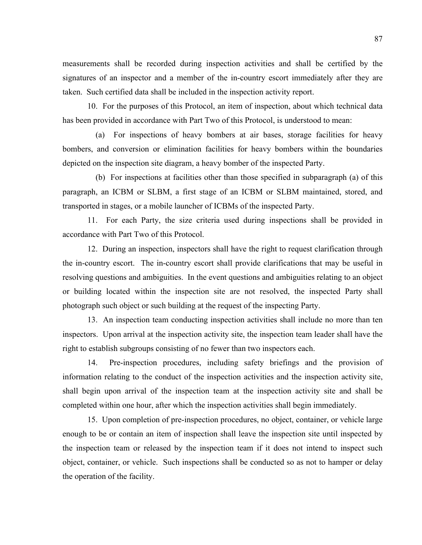measurements shall be recorded during inspection activities and shall be certified by the signatures of an inspector and a member of the in-country escort immediately after they are taken. Such certified data shall be included in the inspection activity report.

10. For the purposes of this Protocol, an item of inspection, about which technical data has been provided in accordance with Part Two of this Protocol, is understood to mean:

 (a) For inspections of heavy bombers at air bases, storage facilities for heavy bombers, and conversion or elimination facilities for heavy bombers within the boundaries depicted on the inspection site diagram, a heavy bomber of the inspected Party.

 (b) For inspections at facilities other than those specified in subparagraph (a) of this paragraph, an ICBM or SLBM, a first stage of an ICBM or SLBM maintained, stored, and transported in stages, or a mobile launcher of ICBMs of the inspected Party.

11. For each Party, the size criteria used during inspections shall be provided in accordance with Part Two of this Protocol.

12. During an inspection, inspectors shall have the right to request clarification through the in-country escort. The in-country escort shall provide clarifications that may be useful in resolving questions and ambiguities. In the event questions and ambiguities relating to an object or building located within the inspection site are not resolved, the inspected Party shall photograph such object or such building at the request of the inspecting Party.

13. An inspection team conducting inspection activities shall include no more than ten inspectors. Upon arrival at the inspection activity site, the inspection team leader shall have the right to establish subgroups consisting of no fewer than two inspectors each.

14. Pre-inspection procedures, including safety briefings and the provision of information relating to the conduct of the inspection activities and the inspection activity site, shall begin upon arrival of the inspection team at the inspection activity site and shall be completed within one hour, after which the inspection activities shall begin immediately.

15. Upon completion of pre-inspection procedures, no object, container, or vehicle large enough to be or contain an item of inspection shall leave the inspection site until inspected by the inspection team or released by the inspection team if it does not intend to inspect such object, container, or vehicle. Such inspections shall be conducted so as not to hamper or delay the operation of the facility.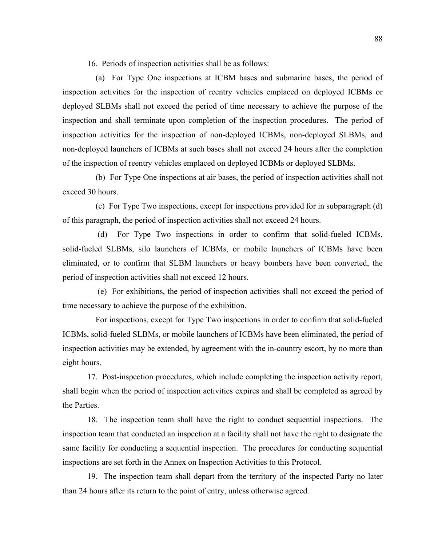16. Periods of inspection activities shall be as follows:

 (a) For Type One inspections at ICBM bases and submarine bases, the period of inspection activities for the inspection of reentry vehicles emplaced on deployed ICBMs or deployed SLBMs shall not exceed the period of time necessary to achieve the purpose of the inspection and shall terminate upon completion of the inspection procedures. The period of inspection activities for the inspection of non-deployed ICBMs, non-deployed SLBMs, and non-deployed launchers of ICBMs at such bases shall not exceed 24 hours after the completion of the inspection of reentry vehicles emplaced on deployed ICBMs or deployed SLBMs.

 (b) For Type One inspections at air bases, the period of inspection activities shall not exceed 30 hours.

 (c) For Type Two inspections, except for inspections provided for in subparagraph (d) of this paragraph, the period of inspection activities shall not exceed 24 hours.

 (d) For Type Two inspections in order to confirm that solid-fueled ICBMs, solid-fueled SLBMs, silo launchers of ICBMs, or mobile launchers of ICBMs have been eliminated, or to confirm that SLBM launchers or heavy bombers have been converted, the period of inspection activities shall not exceed 12 hours.

 (e) For exhibitions, the period of inspection activities shall not exceed the period of time necessary to achieve the purpose of the exhibition.

 For inspections, except for Type Two inspections in order to confirm that solid-fueled ICBMs, solid-fueled SLBMs, or mobile launchers of ICBMs have been eliminated, the period of inspection activities may be extended, by agreement with the in-country escort, by no more than eight hours.

17. Post-inspection procedures, which include completing the inspection activity report, shall begin when the period of inspection activities expires and shall be completed as agreed by the Parties.

18. The inspection team shall have the right to conduct sequential inspections. The inspection team that conducted an inspection at a facility shall not have the right to designate the same facility for conducting a sequential inspection. The procedures for conducting sequential inspections are set forth in the Annex on Inspection Activities to this Protocol.

19. The inspection team shall depart from the territory of the inspected Party no later than 24 hours after its return to the point of entry, unless otherwise agreed.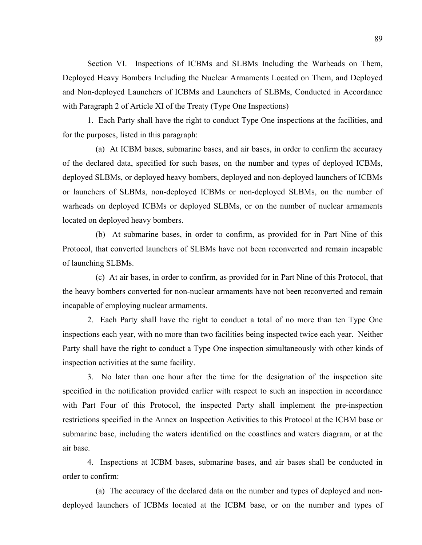Section VI. Inspections of ICBMs and SLBMs Including the Warheads on Them, Deployed Heavy Bombers Including the Nuclear Armaments Located on Them, and Deployed and Non-deployed Launchers of ICBMs and Launchers of SLBMs, Conducted in Accordance with Paragraph 2 of Article XI of the Treaty (Type One Inspections)

1. Each Party shall have the right to conduct Type One inspections at the facilities, and for the purposes, listed in this paragraph:

 (a) At ICBM bases, submarine bases, and air bases, in order to confirm the accuracy of the declared data, specified for such bases, on the number and types of deployed ICBMs, deployed SLBMs, or deployed heavy bombers, deployed and non-deployed launchers of ICBMs or launchers of SLBMs, non-deployed ICBMs or non-deployed SLBMs, on the number of warheads on deployed ICBMs or deployed SLBMs, or on the number of nuclear armaments located on deployed heavy bombers.

 (b) At submarine bases, in order to confirm, as provided for in Part Nine of this Protocol, that converted launchers of SLBMs have not been reconverted and remain incapable of launching SLBMs.

 (c) At air bases, in order to confirm, as provided for in Part Nine of this Protocol, that the heavy bombers converted for non-nuclear armaments have not been reconverted and remain incapable of employing nuclear armaments.

2. Each Party shall have the right to conduct a total of no more than ten Type One inspections each year, with no more than two facilities being inspected twice each year. Neither Party shall have the right to conduct a Type One inspection simultaneously with other kinds of inspection activities at the same facility.

3. No later than one hour after the time for the designation of the inspection site specified in the notification provided earlier with respect to such an inspection in accordance with Part Four of this Protocol, the inspected Party shall implement the pre-inspection restrictions specified in the Annex on Inspection Activities to this Protocol at the ICBM base or submarine base, including the waters identified on the coastlines and waters diagram, or at the air base.

4. Inspections at ICBM bases, submarine bases, and air bases shall be conducted in order to confirm:

 (a) The accuracy of the declared data on the number and types of deployed and nondeployed launchers of ICBMs located at the ICBM base, or on the number and types of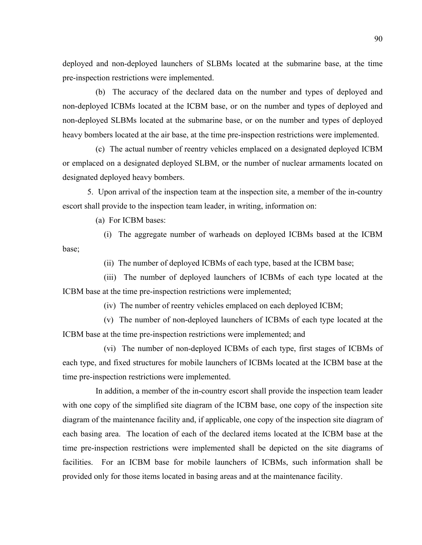deployed and non-deployed launchers of SLBMs located at the submarine base, at the time pre-inspection restrictions were implemented.

 (b) The accuracy of the declared data on the number and types of deployed and non-deployed ICBMs located at the ICBM base, or on the number and types of deployed and non-deployed SLBMs located at the submarine base, or on the number and types of deployed heavy bombers located at the air base, at the time pre-inspection restrictions were implemented.

 (c) The actual number of reentry vehicles emplaced on a designated deployed ICBM or emplaced on a designated deployed SLBM, or the number of nuclear armaments located on designated deployed heavy bombers.

5. Upon arrival of the inspection team at the inspection site, a member of the in-country escort shall provide to the inspection team leader, in writing, information on:

(a) For ICBM bases:

 (i) The aggregate number of warheads on deployed ICBMs based at the ICBM base;

(ii) The number of deployed ICBMs of each type, based at the ICBM base;

 (iii) The number of deployed launchers of ICBMs of each type located at the ICBM base at the time pre-inspection restrictions were implemented;

(iv) The number of reentry vehicles emplaced on each deployed ICBM;

 (v) The number of non-deployed launchers of ICBMs of each type located at the ICBM base at the time pre-inspection restrictions were implemented; and

 (vi) The number of non-deployed ICBMs of each type, first stages of ICBMs of each type, and fixed structures for mobile launchers of ICBMs located at the ICBM base at the time pre-inspection restrictions were implemented.

 In addition, a member of the in-country escort shall provide the inspection team leader with one copy of the simplified site diagram of the ICBM base, one copy of the inspection site diagram of the maintenance facility and, if applicable, one copy of the inspection site diagram of each basing area. The location of each of the declared items located at the ICBM base at the time pre-inspection restrictions were implemented shall be depicted on the site diagrams of facilities. For an ICBM base for mobile launchers of ICBMs, such information shall be provided only for those items located in basing areas and at the maintenance facility.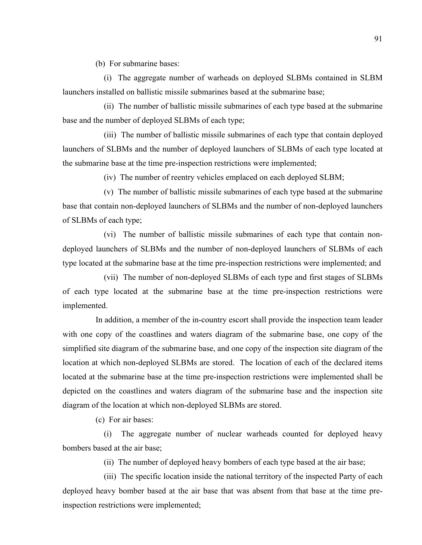(b) For submarine bases:

 (i) The aggregate number of warheads on deployed SLBMs contained in SLBM launchers installed on ballistic missile submarines based at the submarine base;

 (ii) The number of ballistic missile submarines of each type based at the submarine base and the number of deployed SLBMs of each type;

 (iii) The number of ballistic missile submarines of each type that contain deployed launchers of SLBMs and the number of deployed launchers of SLBMs of each type located at the submarine base at the time pre-inspection restrictions were implemented;

(iv) The number of reentry vehicles emplaced on each deployed SLBM;

 (v) The number of ballistic missile submarines of each type based at the submarine base that contain non-deployed launchers of SLBMs and the number of non-deployed launchers of SLBMs of each type;

 (vi) The number of ballistic missile submarines of each type that contain nondeployed launchers of SLBMs and the number of non-deployed launchers of SLBMs of each type located at the submarine base at the time pre-inspection restrictions were implemented; and

 (vii) The number of non-deployed SLBMs of each type and first stages of SLBMs of each type located at the submarine base at the time pre-inspection restrictions were implemented.

 In addition, a member of the in-country escort shall provide the inspection team leader with one copy of the coastlines and waters diagram of the submarine base, one copy of the simplified site diagram of the submarine base, and one copy of the inspection site diagram of the location at which non-deployed SLBMs are stored. The location of each of the declared items located at the submarine base at the time pre-inspection restrictions were implemented shall be depicted on the coastlines and waters diagram of the submarine base and the inspection site diagram of the location at which non-deployed SLBMs are stored.

(c) For air bases:

 (i) The aggregate number of nuclear warheads counted for deployed heavy bombers based at the air base;

(ii) The number of deployed heavy bombers of each type based at the air base;

 (iii) The specific location inside the national territory of the inspected Party of each deployed heavy bomber based at the air base that was absent from that base at the time preinspection restrictions were implemented;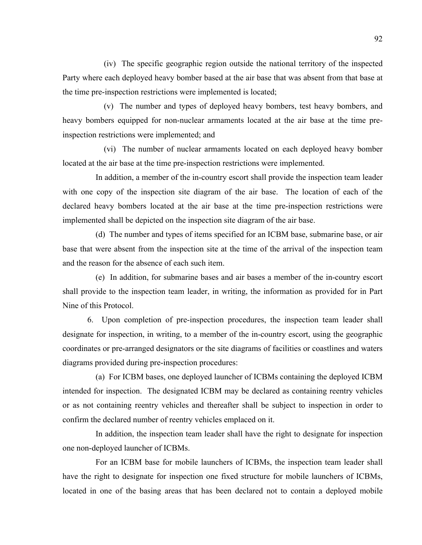(iv) The specific geographic region outside the national territory of the inspected Party where each deployed heavy bomber based at the air base that was absent from that base at the time pre-inspection restrictions were implemented is located;

 (v) The number and types of deployed heavy bombers, test heavy bombers, and heavy bombers equipped for non-nuclear armaments located at the air base at the time preinspection restrictions were implemented; and

 (vi) The number of nuclear armaments located on each deployed heavy bomber located at the air base at the time pre-inspection restrictions were implemented.

 In addition, a member of the in-country escort shall provide the inspection team leader with one copy of the inspection site diagram of the air base. The location of each of the declared heavy bombers located at the air base at the time pre-inspection restrictions were implemented shall be depicted on the inspection site diagram of the air base.

 (d) The number and types of items specified for an ICBM base, submarine base, or air base that were absent from the inspection site at the time of the arrival of the inspection team and the reason for the absence of each such item.

 (e) In addition, for submarine bases and air bases a member of the in-country escort shall provide to the inspection team leader, in writing, the information as provided for in Part Nine of this Protocol.

6. Upon completion of pre-inspection procedures, the inspection team leader shall designate for inspection, in writing, to a member of the in-country escort, using the geographic coordinates or pre-arranged designators or the site diagrams of facilities or coastlines and waters diagrams provided during pre-inspection procedures:

 (a) For ICBM bases, one deployed launcher of ICBMs containing the deployed ICBM intended for inspection. The designated ICBM may be declared as containing reentry vehicles or as not containing reentry vehicles and thereafter shall be subject to inspection in order to confirm the declared number of reentry vehicles emplaced on it.

 In addition, the inspection team leader shall have the right to designate for inspection one non-deployed launcher of ICBMs.

 For an ICBM base for mobile launchers of ICBMs, the inspection team leader shall have the right to designate for inspection one fixed structure for mobile launchers of ICBMs, located in one of the basing areas that has been declared not to contain a deployed mobile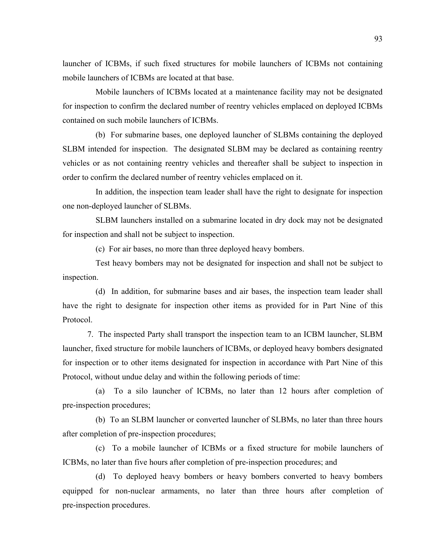launcher of ICBMs, if such fixed structures for mobile launchers of ICBMs not containing mobile launchers of ICBMs are located at that base.

 Mobile launchers of ICBMs located at a maintenance facility may not be designated for inspection to confirm the declared number of reentry vehicles emplaced on deployed ICBMs contained on such mobile launchers of ICBMs.

 (b) For submarine bases, one deployed launcher of SLBMs containing the deployed SLBM intended for inspection. The designated SLBM may be declared as containing reentry vehicles or as not containing reentry vehicles and thereafter shall be subject to inspection in order to confirm the declared number of reentry vehicles emplaced on it.

 In addition, the inspection team leader shall have the right to designate for inspection one non-deployed launcher of SLBMs.

 SLBM launchers installed on a submarine located in dry dock may not be designated for inspection and shall not be subject to inspection.

(c) For air bases, no more than three deployed heavy bombers.

 Test heavy bombers may not be designated for inspection and shall not be subject to inspection.

 (d) In addition, for submarine bases and air bases, the inspection team leader shall have the right to designate for inspection other items as provided for in Part Nine of this Protocol.

7. The inspected Party shall transport the inspection team to an ICBM launcher, SLBM launcher, fixed structure for mobile launchers of ICBMs, or deployed heavy bombers designated for inspection or to other items designated for inspection in accordance with Part Nine of this Protocol, without undue delay and within the following periods of time:

 (a) To a silo launcher of ICBMs, no later than 12 hours after completion of pre-inspection procedures;

 (b) To an SLBM launcher or converted launcher of SLBMs, no later than three hours after completion of pre-inspection procedures;

 (c) To a mobile launcher of ICBMs or a fixed structure for mobile launchers of ICBMs, no later than five hours after completion of pre-inspection procedures; and

 (d) To deployed heavy bombers or heavy bombers converted to heavy bombers equipped for non-nuclear armaments, no later than three hours after completion of pre-inspection procedures.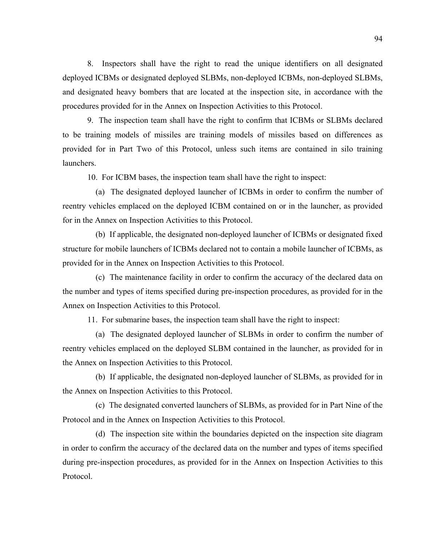8. Inspectors shall have the right to read the unique identifiers on all designated deployed ICBMs or designated deployed SLBMs, non-deployed ICBMs, non-deployed SLBMs, and designated heavy bombers that are located at the inspection site, in accordance with the procedures provided for in the Annex on Inspection Activities to this Protocol.

9. The inspection team shall have the right to confirm that ICBMs or SLBMs declared to be training models of missiles are training models of missiles based on differences as provided for in Part Two of this Protocol, unless such items are contained in silo training launchers.

10. For ICBM bases, the inspection team shall have the right to inspect:

 (a) The designated deployed launcher of ICBMs in order to confirm the number of reentry vehicles emplaced on the deployed ICBM contained on or in the launcher, as provided for in the Annex on Inspection Activities to this Protocol.

 (b) If applicable, the designated non-deployed launcher of ICBMs or designated fixed structure for mobile launchers of ICBMs declared not to contain a mobile launcher of ICBMs, as provided for in the Annex on Inspection Activities to this Protocol.

 (c) The maintenance facility in order to confirm the accuracy of the declared data on the number and types of items specified during pre-inspection procedures, as provided for in the Annex on Inspection Activities to this Protocol.

11. For submarine bases, the inspection team shall have the right to inspect:

 (a) The designated deployed launcher of SLBMs in order to confirm the number of reentry vehicles emplaced on the deployed SLBM contained in the launcher, as provided for in the Annex on Inspection Activities to this Protocol.

 (b) If applicable, the designated non-deployed launcher of SLBMs, as provided for in the Annex on Inspection Activities to this Protocol.

 (c) The designated converted launchers of SLBMs, as provided for in Part Nine of the Protocol and in the Annex on Inspection Activities to this Protocol.

 (d) The inspection site within the boundaries depicted on the inspection site diagram in order to confirm the accuracy of the declared data on the number and types of items specified during pre-inspection procedures, as provided for in the Annex on Inspection Activities to this Protocol.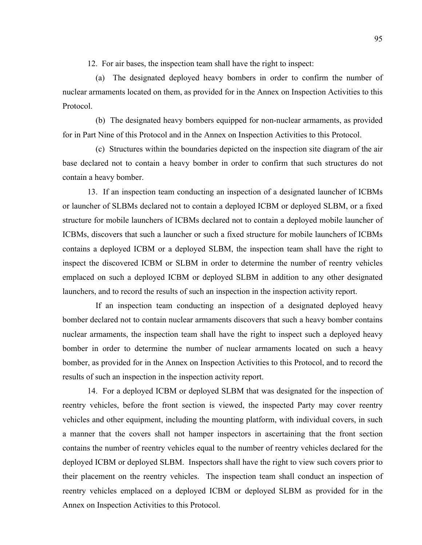12. For air bases, the inspection team shall have the right to inspect:

 (a) The designated deployed heavy bombers in order to confirm the number of nuclear armaments located on them, as provided for in the Annex on Inspection Activities to this Protocol.

 (b) The designated heavy bombers equipped for non-nuclear armaments, as provided for in Part Nine of this Protocol and in the Annex on Inspection Activities to this Protocol.

 (c) Structures within the boundaries depicted on the inspection site diagram of the air base declared not to contain a heavy bomber in order to confirm that such structures do not contain a heavy bomber.

13. If an inspection team conducting an inspection of a designated launcher of ICBMs or launcher of SLBMs declared not to contain a deployed ICBM or deployed SLBM, or a fixed structure for mobile launchers of ICBMs declared not to contain a deployed mobile launcher of ICBMs, discovers that such a launcher or such a fixed structure for mobile launchers of ICBMs contains a deployed ICBM or a deployed SLBM, the inspection team shall have the right to inspect the discovered ICBM or SLBM in order to determine the number of reentry vehicles emplaced on such a deployed ICBM or deployed SLBM in addition to any other designated launchers, and to record the results of such an inspection in the inspection activity report.

 If an inspection team conducting an inspection of a designated deployed heavy bomber declared not to contain nuclear armaments discovers that such a heavy bomber contains nuclear armaments, the inspection team shall have the right to inspect such a deployed heavy bomber in order to determine the number of nuclear armaments located on such a heavy bomber, as provided for in the Annex on Inspection Activities to this Protocol, and to record the results of such an inspection in the inspection activity report.

14. For a deployed ICBM or deployed SLBM that was designated for the inspection of reentry vehicles, before the front section is viewed, the inspected Party may cover reentry vehicles and other equipment, including the mounting platform, with individual covers, in such a manner that the covers shall not hamper inspectors in ascertaining that the front section contains the number of reentry vehicles equal to the number of reentry vehicles declared for the deployed ICBM or deployed SLBM. Inspectors shall have the right to view such covers prior to their placement on the reentry vehicles. The inspection team shall conduct an inspection of reentry vehicles emplaced on a deployed ICBM or deployed SLBM as provided for in the Annex on Inspection Activities to this Protocol.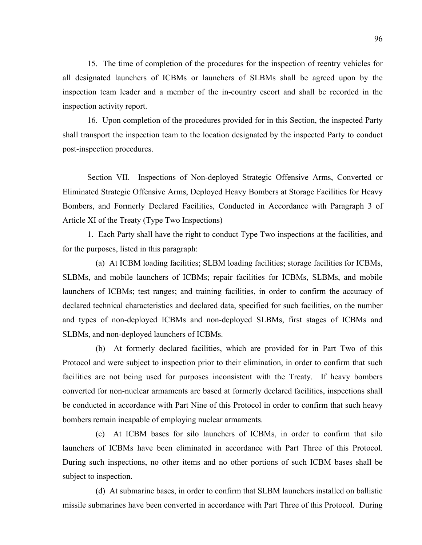15. The time of completion of the procedures for the inspection of reentry vehicles for all designated launchers of ICBMs or launchers of SLBMs shall be agreed upon by the inspection team leader and a member of the in-country escort and shall be recorded in the inspection activity report.

16. Upon completion of the procedures provided for in this Section, the inspected Party shall transport the inspection team to the location designated by the inspected Party to conduct post-inspection procedures.

Section VII. Inspections of Non-deployed Strategic Offensive Arms, Converted or Eliminated Strategic Offensive Arms, Deployed Heavy Bombers at Storage Facilities for Heavy Bombers, and Formerly Declared Facilities, Conducted in Accordance with Paragraph 3 of Article XI of the Treaty (Type Two Inspections)

1. Each Party shall have the right to conduct Type Two inspections at the facilities, and for the purposes, listed in this paragraph:

 (a) At ICBM loading facilities; SLBM loading facilities; storage facilities for ICBMs, SLBMs, and mobile launchers of ICBMs; repair facilities for ICBMs, SLBMs, and mobile launchers of ICBMs; test ranges; and training facilities, in order to confirm the accuracy of declared technical characteristics and declared data, specified for such facilities, on the number and types of non-deployed ICBMs and non-deployed SLBMs, first stages of ICBMs and SLBMs, and non-deployed launchers of ICBMs.

 (b) At formerly declared facilities, which are provided for in Part Two of this Protocol and were subject to inspection prior to their elimination, in order to confirm that such facilities are not being used for purposes inconsistent with the Treaty. If heavy bombers converted for non-nuclear armaments are based at formerly declared facilities, inspections shall be conducted in accordance with Part Nine of this Protocol in order to confirm that such heavy bombers remain incapable of employing nuclear armaments.

 (c) At ICBM bases for silo launchers of ICBMs, in order to confirm that silo launchers of ICBMs have been eliminated in accordance with Part Three of this Protocol. During such inspections, no other items and no other portions of such ICBM bases shall be subject to inspection.

 (d) At submarine bases, in order to confirm that SLBM launchers installed on ballistic missile submarines have been converted in accordance with Part Three of this Protocol. During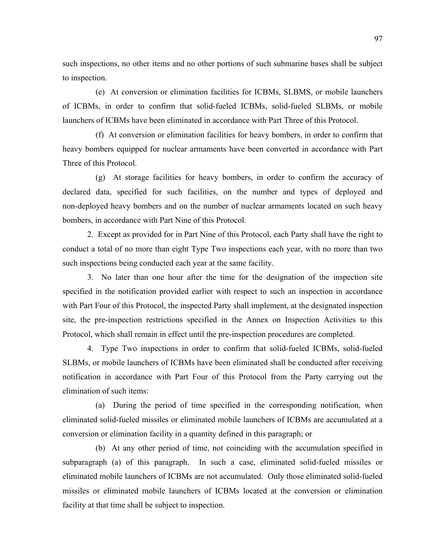such inspections, no other items and no other portions of such submarine bases shall be subject to inspection.

 (e) At conversion or elimination facilities for ICBMs, SLBMS, or mobile launchers of ICBMs, in order to confirm that solid-fueled ICBMs, solid-fueled SLBMs, or mobile launchers of ICBMs have been eliminated in accordance with Part Three of this Protocol.

 (f) At conversion or elimination facilities for heavy bombers, in order to confirm that heavy bombers equipped for nuclear armaments have been converted in accordance with Part Three of this Protocol.

 (g) At storage facilities for heavy bombers, in order to confirm the accuracy of declared data, specified for such facilities, on the number and types of deployed and non-deployed heavy bombers and on the number of nuclear armaments located on such heavy bombers, in accordance with Part Nine of this Protocol.

2. Except as provided for in Part Nine of this Protocol, each Party shall have the right to conduct a total of no more than eight Type Two inspections each year, with no more than two such inspections being conducted each year at the same facility.

3. No later than one hour after the time for the designation of the inspection site specified in the notification provided earlier with respect to such an inspection in accordance with Part Four of this Protocol, the inspected Party shall implement, at the designated inspection site, the pre-inspection restrictions specified in the Annex on Inspection Activities to this Protocol, which shall remain in effect until the pre-inspection procedures are completed.

4. Type Two inspections in order to confirm that solid-fueled ICBMs, solid-fueled SLBMs, or mobile launchers of ICBMs have been eliminated shall be conducted after receiving notification in accordance with Part Four of this Protocol from the Party carrying out the elimination of such items:

 (a) During the period of time specified in the corresponding notification, when eliminated solid-fueled missiles or eliminated mobile launchers of ICBMs are accumulated at a conversion or elimination facility in a quantity defined in this paragraph; or

 (b) At any other period of time, not coinciding with the accumulation specified in subparagraph (a) of this paragraph. In such a case, eliminated solid-fueled missiles or eliminated mobile launchers of ICBMs are not accumulated. Only those eliminated solid-fueled missiles or eliminated mobile launchers of ICBMs located at the conversion or elimination facility at that time shall be subject to inspection.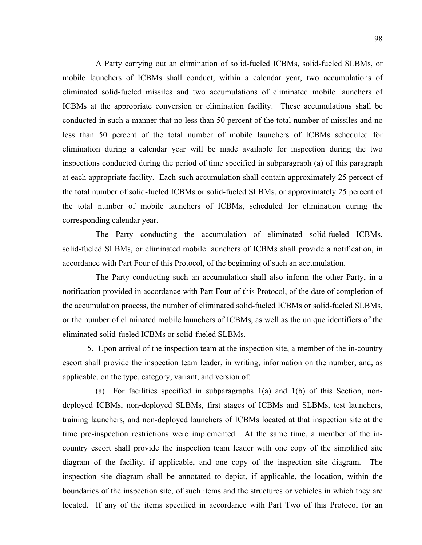A Party carrying out an elimination of solid-fueled ICBMs, solid-fueled SLBMs, or mobile launchers of ICBMs shall conduct, within a calendar year, two accumulations of eliminated solid-fueled missiles and two accumulations of eliminated mobile launchers of ICBMs at the appropriate conversion or elimination facility. These accumulations shall be conducted in such a manner that no less than 50 percent of the total number of missiles and no less than 50 percent of the total number of mobile launchers of ICBMs scheduled for elimination during a calendar year will be made available for inspection during the two inspections conducted during the period of time specified in subparagraph (a) of this paragraph at each appropriate facility. Each such accumulation shall contain approximately 25 percent of the total number of solid-fueled ICBMs or solid-fueled SLBMs, or approximately 25 percent of the total number of mobile launchers of ICBMs, scheduled for elimination during the corresponding calendar year.

 The Party conducting the accumulation of eliminated solid-fueled ICBMs, solid-fueled SLBMs, or eliminated mobile launchers of ICBMs shall provide a notification, in accordance with Part Four of this Protocol, of the beginning of such an accumulation.

 The Party conducting such an accumulation shall also inform the other Party, in a notification provided in accordance with Part Four of this Protocol, of the date of completion of the accumulation process, the number of eliminated solid-fueled ICBMs or solid-fueled SLBMs, or the number of eliminated mobile launchers of ICBMs, as well as the unique identifiers of the eliminated solid-fueled ICBMs or solid-fueled SLBMs.

5. Upon arrival of the inspection team at the inspection site, a member of the in-country escort shall provide the inspection team leader, in writing, information on the number, and, as applicable, on the type, category, variant, and version of:

 (a) For facilities specified in subparagraphs 1(a) and 1(b) of this Section, nondeployed ICBMs, non-deployed SLBMs, first stages of ICBMs and SLBMs, test launchers, training launchers, and non-deployed launchers of ICBMs located at that inspection site at the time pre-inspection restrictions were implemented. At the same time, a member of the incountry escort shall provide the inspection team leader with one copy of the simplified site diagram of the facility, if applicable, and one copy of the inspection site diagram. The inspection site diagram shall be annotated to depict, if applicable, the location, within the boundaries of the inspection site, of such items and the structures or vehicles in which they are located. If any of the items specified in accordance with Part Two of this Protocol for an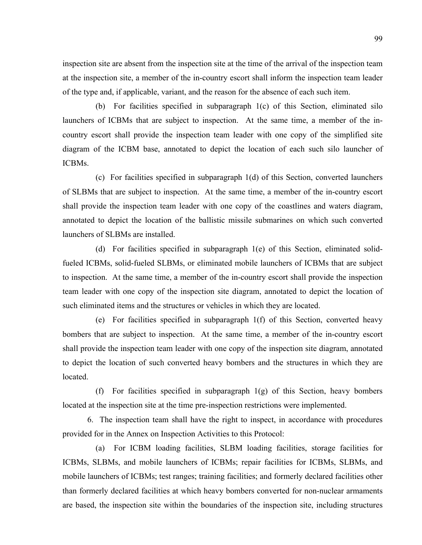inspection site are absent from the inspection site at the time of the arrival of the inspection team at the inspection site, a member of the in-country escort shall inform the inspection team leader of the type and, if applicable, variant, and the reason for the absence of each such item.

 (b) For facilities specified in subparagraph 1(c) of this Section, eliminated silo launchers of ICBMs that are subject to inspection. At the same time, a member of the incountry escort shall provide the inspection team leader with one copy of the simplified site diagram of the ICBM base, annotated to depict the location of each such silo launcher of ICBMs.

 (c) For facilities specified in subparagraph 1(d) of this Section, converted launchers of SLBMs that are subject to inspection. At the same time, a member of the in-country escort shall provide the inspection team leader with one copy of the coastlines and waters diagram, annotated to depict the location of the ballistic missile submarines on which such converted launchers of SLBMs are installed.

 (d) For facilities specified in subparagraph 1(e) of this Section, eliminated solidfueled ICBMs, solid-fueled SLBMs, or eliminated mobile launchers of ICBMs that are subject to inspection. At the same time, a member of the in-country escort shall provide the inspection team leader with one copy of the inspection site diagram, annotated to depict the location of such eliminated items and the structures or vehicles in which they are located.

 (e) For facilities specified in subparagraph 1(f) of this Section, converted heavy bombers that are subject to inspection. At the same time, a member of the in-country escort shall provide the inspection team leader with one copy of the inspection site diagram, annotated to depict the location of such converted heavy bombers and the structures in which they are located.

 (f) For facilities specified in subparagraph 1(g) of this Section, heavy bombers located at the inspection site at the time pre-inspection restrictions were implemented.

6. The inspection team shall have the right to inspect, in accordance with procedures provided for in the Annex on Inspection Activities to this Protocol:

 (a) For ICBM loading facilities, SLBM loading facilities, storage facilities for ICBMs, SLBMs, and mobile launchers of ICBMs; repair facilities for ICBMs, SLBMs, and mobile launchers of ICBMs; test ranges; training facilities; and formerly declared facilities other than formerly declared facilities at which heavy bombers converted for non-nuclear armaments are based, the inspection site within the boundaries of the inspection site, including structures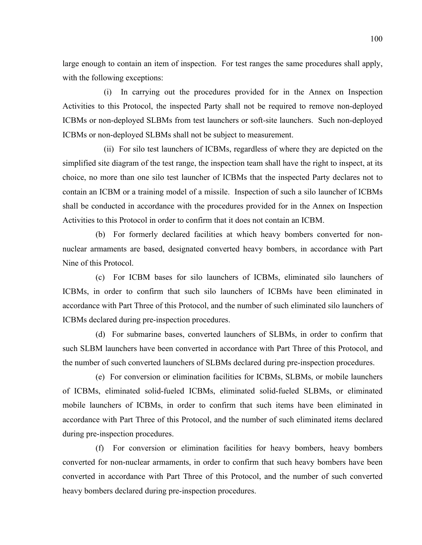large enough to contain an item of inspection. For test ranges the same procedures shall apply, with the following exceptions:

 (i) In carrying out the procedures provided for in the Annex on Inspection Activities to this Protocol, the inspected Party shall not be required to remove non-deployed ICBMs or non-deployed SLBMs from test launchers or soft-site launchers. Such non-deployed ICBMs or non-deployed SLBMs shall not be subject to measurement.

 (ii) For silo test launchers of ICBMs, regardless of where they are depicted on the simplified site diagram of the test range, the inspection team shall have the right to inspect, at its choice, no more than one silo test launcher of ICBMs that the inspected Party declares not to contain an ICBM or a training model of a missile. Inspection of such a silo launcher of ICBMs shall be conducted in accordance with the procedures provided for in the Annex on Inspection Activities to this Protocol in order to confirm that it does not contain an ICBM.

 (b) For formerly declared facilities at which heavy bombers converted for nonnuclear armaments are based, designated converted heavy bombers, in accordance with Part Nine of this Protocol.

 (c) For ICBM bases for silo launchers of ICBMs, eliminated silo launchers of ICBMs, in order to confirm that such silo launchers of ICBMs have been eliminated in accordance with Part Three of this Protocol, and the number of such eliminated silo launchers of ICBMs declared during pre-inspection procedures.

 (d) For submarine bases, converted launchers of SLBMs, in order to confirm that such SLBM launchers have been converted in accordance with Part Three of this Protocol, and the number of such converted launchers of SLBMs declared during pre-inspection procedures.

 (e) For conversion or elimination facilities for ICBMs, SLBMs, or mobile launchers of ICBMs, eliminated solid-fueled ICBMs, eliminated solid-fueled SLBMs, or eliminated mobile launchers of ICBMs, in order to confirm that such items have been eliminated in accordance with Part Three of this Protocol, and the number of such eliminated items declared during pre-inspection procedures.

 (f) For conversion or elimination facilities for heavy bombers, heavy bombers converted for non-nuclear armaments, in order to confirm that such heavy bombers have been converted in accordance with Part Three of this Protocol, and the number of such converted heavy bombers declared during pre-inspection procedures.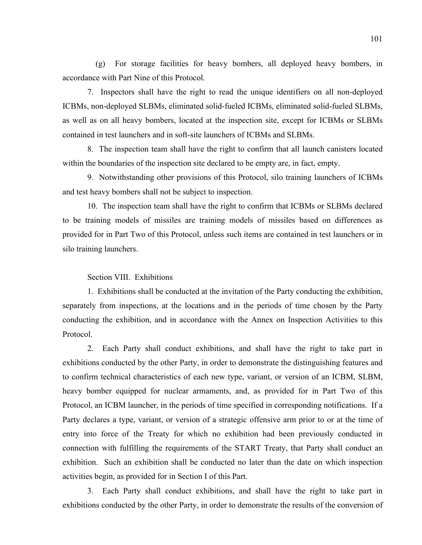(g) For storage facilities for heavy bombers, all deployed heavy bombers, in accordance with Part Nine of this Protocol.

7. Inspectors shall have the right to read the unique identifiers on all non-deployed ICBMs, non-deployed SLBMs, eliminated solid-fueled ICBMs, eliminated solid-fueled SLBMs, as well as on all heavy bombers, located at the inspection site, except for ICBMs or SLBMs contained in test launchers and in soft-site launchers of ICBMs and SLBMs.

8. The inspection team shall have the right to confirm that all launch canisters located within the boundaries of the inspection site declared to be empty are, in fact, empty.

9. Notwithstanding other provisions of this Protocol, silo training launchers of ICBMs and test heavy bombers shall not be subject to inspection.

10. The inspection team shall have the right to confirm that ICBMs or SLBMs declared to be training models of missiles are training models of missiles based on differences as provided for in Part Two of this Protocol, unless such items are contained in test launchers or in silo training launchers.

## Section VIII. Exhibitions

1. Exhibitions shall be conducted at the invitation of the Party conducting the exhibition, separately from inspections, at the locations and in the periods of time chosen by the Party conducting the exhibition, and in accordance with the Annex on Inspection Activities to this Protocol.

2. Each Party shall conduct exhibitions, and shall have the right to take part in exhibitions conducted by the other Party, in order to demonstrate the distinguishing features and to confirm technical characteristics of each new type, variant, or version of an ICBM, SLBM, heavy bomber equipped for nuclear armaments, and, as provided for in Part Two of this Protocol, an ICBM launcher, in the periods of time specified in corresponding notifications. If a Party declares a type, variant, or version of a strategic offensive arm prior to or at the time of entry into force of the Treaty for which no exhibition had been previously conducted in connection with fulfilling the requirements of the START Treaty, that Party shall conduct an exhibition. Such an exhibition shall be conducted no later than the date on which inspection activities begin, as provided for in Section I of this Part.

3. Each Party shall conduct exhibitions, and shall have the right to take part in exhibitions conducted by the other Party, in order to demonstrate the results of the conversion of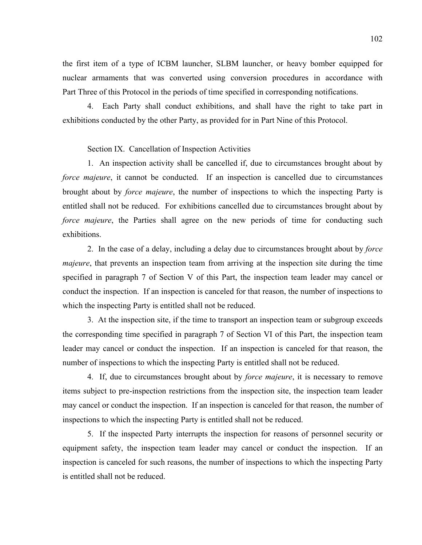the first item of a type of ICBM launcher, SLBM launcher, or heavy bomber equipped for nuclear armaments that was converted using conversion procedures in accordance with Part Three of this Protocol in the periods of time specified in corresponding notifications.

4. Each Party shall conduct exhibitions, and shall have the right to take part in exhibitions conducted by the other Party, as provided for in Part Nine of this Protocol.

# Section IX. Cancellation of Inspection Activities

1. An inspection activity shall be cancelled if, due to circumstances brought about by *force majeure*, it cannot be conducted. If an inspection is cancelled due to circumstances brought about by *force majeure*, the number of inspections to which the inspecting Party is entitled shall not be reduced. For exhibitions cancelled due to circumstances brought about by *force majeure*, the Parties shall agree on the new periods of time for conducting such exhibitions.

2. In the case of a delay, including a delay due to circumstances brought about by *force majeure*, that prevents an inspection team from arriving at the inspection site during the time specified in paragraph 7 of Section V of this Part, the inspection team leader may cancel or conduct the inspection. If an inspection is canceled for that reason, the number of inspections to which the inspecting Party is entitled shall not be reduced.

3. At the inspection site, if the time to transport an inspection team or subgroup exceeds the corresponding time specified in paragraph 7 of Section VI of this Part, the inspection team leader may cancel or conduct the inspection. If an inspection is canceled for that reason, the number of inspections to which the inspecting Party is entitled shall not be reduced.

4. If, due to circumstances brought about by *force majeure*, it is necessary to remove items subject to pre-inspection restrictions from the inspection site, the inspection team leader may cancel or conduct the inspection. If an inspection is canceled for that reason, the number of inspections to which the inspecting Party is entitled shall not be reduced.

5. If the inspected Party interrupts the inspection for reasons of personnel security or equipment safety, the inspection team leader may cancel or conduct the inspection. If an inspection is canceled for such reasons, the number of inspections to which the inspecting Party is entitled shall not be reduced.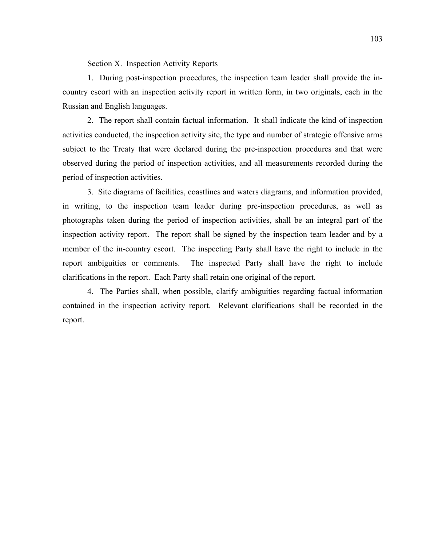Section X. Inspection Activity Reports

1. During post-inspection procedures, the inspection team leader shall provide the incountry escort with an inspection activity report in written form, in two originals, each in the Russian and English languages.

2. The report shall contain factual information. It shall indicate the kind of inspection activities conducted, the inspection activity site, the type and number of strategic offensive arms subject to the Treaty that were declared during the pre-inspection procedures and that were observed during the period of inspection activities, and all measurements recorded during the period of inspection activities.

3. Site diagrams of facilities, coastlines and waters diagrams, and information provided, in writing, to the inspection team leader during pre-inspection procedures, as well as photographs taken during the period of inspection activities, shall be an integral part of the inspection activity report. The report shall be signed by the inspection team leader and by a member of the in-country escort. The inspecting Party shall have the right to include in the report ambiguities or comments. The inspected Party shall have the right to include clarifications in the report. Each Party shall retain one original of the report.

4. The Parties shall, when possible, clarify ambiguities regarding factual information contained in the inspection activity report. Relevant clarifications shall be recorded in the report.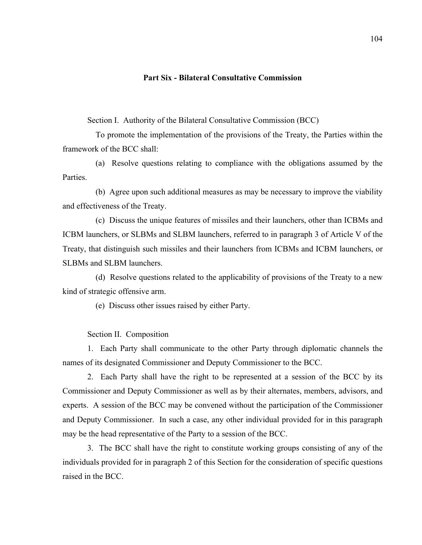## **Part Six - Bilateral Consultative Commission**

Section I. Authority of the Bilateral Consultative Commission (BCC)

 To promote the implementation of the provisions of the Treaty, the Parties within the framework of the BCC shall:

 (a) Resolve questions relating to compliance with the obligations assumed by the **Parties** 

 (b) Agree upon such additional measures as may be necessary to improve the viability and effectiveness of the Treaty.

 (c) Discuss the unique features of missiles and their launchers, other than ICBMs and ICBM launchers, or SLBMs and SLBM launchers, referred to in paragraph 3 of Article V of the Treaty, that distinguish such missiles and their launchers from ICBMs and ICBM launchers, or SLBMs and SLBM launchers.

 (d) Resolve questions related to the applicability of provisions of the Treaty to a new kind of strategic offensive arm.

(e) Discuss other issues raised by either Party.

## Section II. Composition

1. Each Party shall communicate to the other Party through diplomatic channels the names of its designated Commissioner and Deputy Commissioner to the BCC.

2. Each Party shall have the right to be represented at a session of the BCC by its Commissioner and Deputy Commissioner as well as by their alternates, members, advisors, and experts. A session of the BCC may be convened without the participation of the Commissioner and Deputy Commissioner. In such a case, any other individual provided for in this paragraph may be the head representative of the Party to a session of the BCC.

3. The BCC shall have the right to constitute working groups consisting of any of the individuals provided for in paragraph 2 of this Section for the consideration of specific questions raised in the BCC.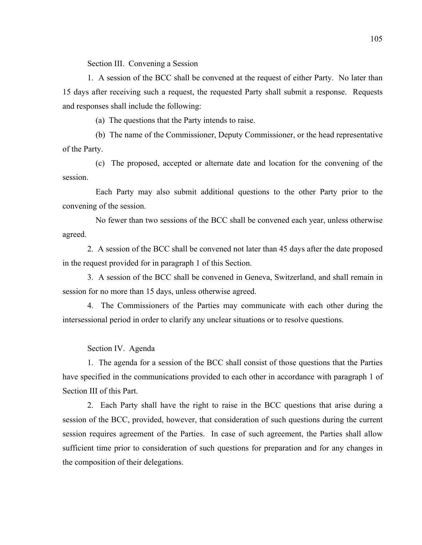Section III. Convening a Session

1. A session of the BCC shall be convened at the request of either Party. No later than 15 days after receiving such a request, the requested Party shall submit a response. Requests and responses shall include the following:

(a) The questions that the Party intends to raise.

 (b) The name of the Commissioner, Deputy Commissioner, or the head representative of the Party.

 (c) The proposed, accepted or alternate date and location for the convening of the session.

 Each Party may also submit additional questions to the other Party prior to the convening of the session.

 No fewer than two sessions of the BCC shall be convened each year, unless otherwise agreed.

2. A session of the BCC shall be convened not later than 45 days after the date proposed in the request provided for in paragraph 1 of this Section.

3. A session of the BCC shall be convened in Geneva, Switzerland, and shall remain in session for no more than 15 days, unless otherwise agreed.

4. The Commissioners of the Parties may communicate with each other during the intersessional period in order to clarify any unclear situations or to resolve questions.

Section IV. Agenda

1. The agenda for a session of the BCC shall consist of those questions that the Parties have specified in the communications provided to each other in accordance with paragraph 1 of Section III of this Part.

2. Each Party shall have the right to raise in the BCC questions that arise during a session of the BCC, provided, however, that consideration of such questions during the current session requires agreement of the Parties. In case of such agreement, the Parties shall allow sufficient time prior to consideration of such questions for preparation and for any changes in the composition of their delegations.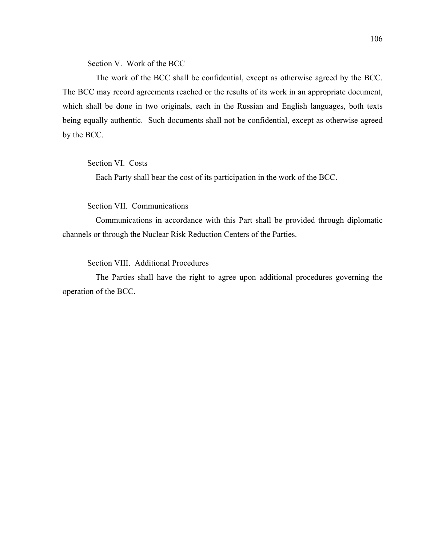Section V. Work of the BCC

 The work of the BCC shall be confidential, except as otherwise agreed by the BCC. The BCC may record agreements reached or the results of its work in an appropriate document, which shall be done in two originals, each in the Russian and English languages, both texts being equally authentic. Such documents shall not be confidential, except as otherwise agreed by the BCC.

Section VI. Costs

Each Party shall bear the cost of its participation in the work of the BCC.

Section VII. Communications

 Communications in accordance with this Part shall be provided through diplomatic channels or through the Nuclear Risk Reduction Centers of the Parties.

Section VIII. Additional Procedures

 The Parties shall have the right to agree upon additional procedures governing the operation of the BCC.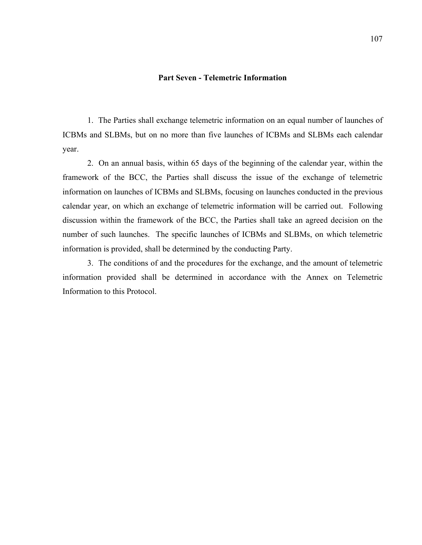# **Part Seven - Telemetric Information**

1. The Parties shall exchange telemetric information on an equal number of launches of ICBMs and SLBMs, but on no more than five launches of ICBMs and SLBMs each calendar year.

2. On an annual basis, within 65 days of the beginning of the calendar year, within the framework of the BCC, the Parties shall discuss the issue of the exchange of telemetric information on launches of ICBMs and SLBMs, focusing on launches conducted in the previous calendar year, on which an exchange of telemetric information will be carried out. Following discussion within the framework of the BCC, the Parties shall take an agreed decision on the number of such launches. The specific launches of ICBMs and SLBMs, on which telemetric information is provided, shall be determined by the conducting Party.

3. The conditions of and the procedures for the exchange, and the amount of telemetric information provided shall be determined in accordance with the Annex on Telemetric Information to this Protocol.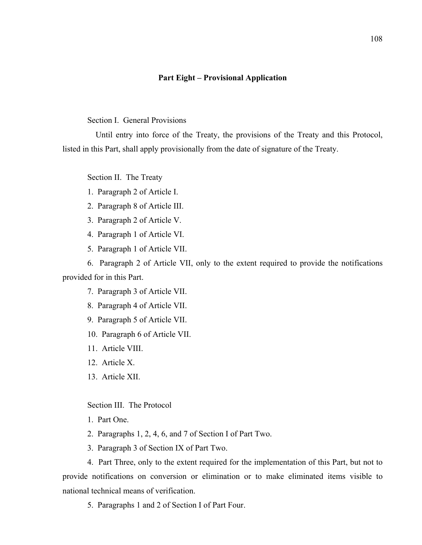## **Part Eight – Provisional Application**

Section I. General Provisions

 Until entry into force of the Treaty, the provisions of the Treaty and this Protocol, listed in this Part, shall apply provisionally from the date of signature of the Treaty.

Section II. The Treaty

- 1. Paragraph 2 of Article I.
- 2. Paragraph 8 of Article III.
- 3. Paragraph 2 of Article V.
- 4. Paragraph 1 of Article VI.
- 5. Paragraph 1 of Article VII.

6. Paragraph 2 of Article VII, only to the extent required to provide the notifications provided for in this Part.

- 7. Paragraph 3 of Article VII.
- 8. Paragraph 4 of Article VII.
- 9. Paragraph 5 of Article VII.
- 10. Paragraph 6 of Article VII.
- 11. Article VIII.
- 12. Article X.
- 13. Article XII.

Section III. The Protocol

- 1. Part One.
- 2. Paragraphs 1, 2, 4, 6, and 7 of Section I of Part Two.
- 3. Paragraph 3 of Section IX of Part Two.

4. Part Three, only to the extent required for the implementation of this Part, but not to provide notifications on conversion or elimination or to make eliminated items visible to national technical means of verification.

5. Paragraphs 1 and 2 of Section I of Part Four.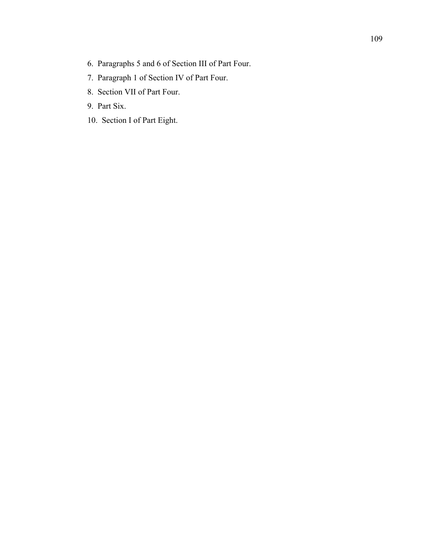- 6. Paragraphs 5 and 6 of Section III of Part Four.
- 7. Paragraph 1 of Section IV of Part Four.
- 8. Section VII of Part Four.
- 9. Part Six.
- 10. Section I of Part Eight.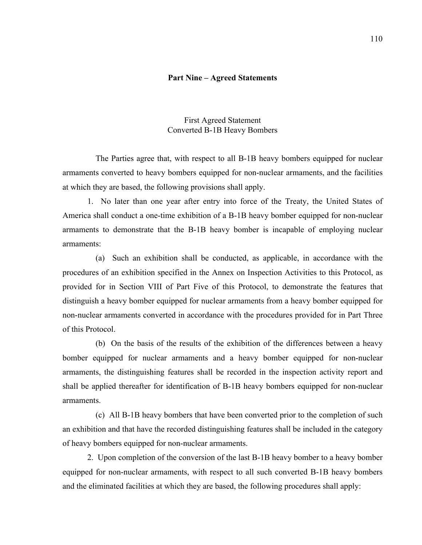#### **Part Nine – Agreed Statements**

#### First Agreed Statement Converted B-1B Heavy Bombers

 The Parties agree that, with respect to all B-1B heavy bombers equipped for nuclear armaments converted to heavy bombers equipped for non-nuclear armaments, and the facilities at which they are based, the following provisions shall apply.

1. No later than one year after entry into force of the Treaty, the United States of America shall conduct a one-time exhibition of a B-1B heavy bomber equipped for non-nuclear armaments to demonstrate that the B-1B heavy bomber is incapable of employing nuclear armaments:

 (a) Such an exhibition shall be conducted, as applicable, in accordance with the procedures of an exhibition specified in the Annex on Inspection Activities to this Protocol, as provided for in Section VIII of Part Five of this Protocol, to demonstrate the features that distinguish a heavy bomber equipped for nuclear armaments from a heavy bomber equipped for non-nuclear armaments converted in accordance with the procedures provided for in Part Three of this Protocol.

 (b) On the basis of the results of the exhibition of the differences between a heavy bomber equipped for nuclear armaments and a heavy bomber equipped for non-nuclear armaments, the distinguishing features shall be recorded in the inspection activity report and shall be applied thereafter for identification of B-1B heavy bombers equipped for non-nuclear armaments.

 (c) All B-1B heavy bombers that have been converted prior to the completion of such an exhibition and that have the recorded distinguishing features shall be included in the category of heavy bombers equipped for non-nuclear armaments.

2. Upon completion of the conversion of the last B-1B heavy bomber to a heavy bomber equipped for non-nuclear armaments, with respect to all such converted B-1B heavy bombers and the eliminated facilities at which they are based, the following procedures shall apply: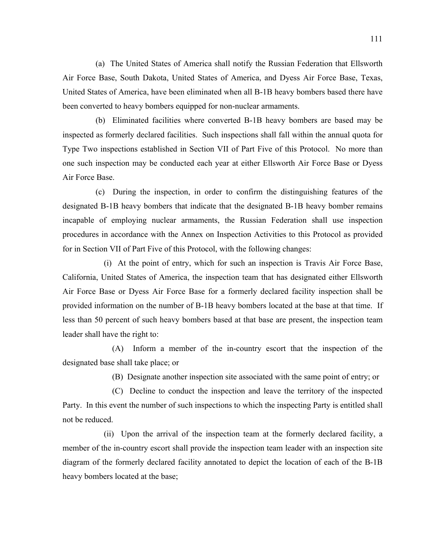(a) The United States of America shall notify the Russian Federation that Ellsworth Air Force Base, South Dakota, United States of America, and Dyess Air Force Base, Texas, United States of America, have been eliminated when all B-1B heavy bombers based there have been converted to heavy bombers equipped for non-nuclear armaments.

 (b) Eliminated facilities where converted B-1B heavy bombers are based may be inspected as formerly declared facilities. Such inspections shall fall within the annual quota for Type Two inspections established in Section VII of Part Five of this Protocol. No more than one such inspection may be conducted each year at either Ellsworth Air Force Base or Dyess Air Force Base.

 (c) During the inspection, in order to confirm the distinguishing features of the designated B-1B heavy bombers that indicate that the designated B-1B heavy bomber remains incapable of employing nuclear armaments, the Russian Federation shall use inspection procedures in accordance with the Annex on Inspection Activities to this Protocol as provided for in Section VII of Part Five of this Protocol, with the following changes:

 (i) At the point of entry, which for such an inspection is Travis Air Force Base, California, United States of America, the inspection team that has designated either Ellsworth Air Force Base or Dyess Air Force Base for a formerly declared facility inspection shall be provided information on the number of B-1B heavy bombers located at the base at that time. If less than 50 percent of such heavy bombers based at that base are present, the inspection team leader shall have the right to:

 (A) Inform a member of the in-country escort that the inspection of the designated base shall take place; or

(B) Designate another inspection site associated with the same point of entry; or

 (C) Decline to conduct the inspection and leave the territory of the inspected Party. In this event the number of such inspections to which the inspecting Party is entitled shall not be reduced.

 (ii) Upon the arrival of the inspection team at the formerly declared facility, a member of the in-country escort shall provide the inspection team leader with an inspection site diagram of the formerly declared facility annotated to depict the location of each of the B-1B heavy bombers located at the base;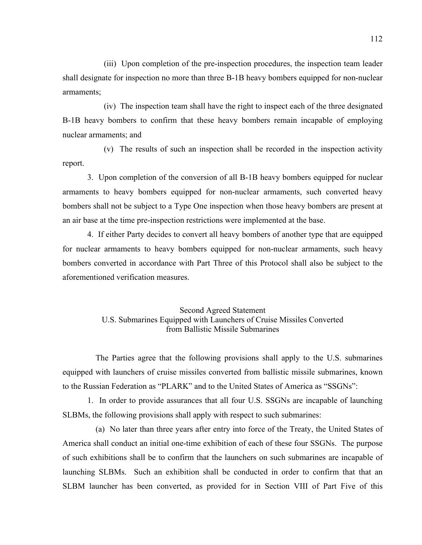(iii) Upon completion of the pre-inspection procedures, the inspection team leader shall designate for inspection no more than three B-1B heavy bombers equipped for non-nuclear armaments;

 (iv) The inspection team shall have the right to inspect each of the three designated B-1B heavy bombers to confirm that these heavy bombers remain incapable of employing nuclear armaments; and

 (v) The results of such an inspection shall be recorded in the inspection activity report.

3. Upon completion of the conversion of all B-1B heavy bombers equipped for nuclear armaments to heavy bombers equipped for non-nuclear armaments, such converted heavy bombers shall not be subject to a Type One inspection when those heavy bombers are present at an air base at the time pre-inspection restrictions were implemented at the base.

4. If either Party decides to convert all heavy bombers of another type that are equipped for nuclear armaments to heavy bombers equipped for non-nuclear armaments, such heavy bombers converted in accordance with Part Three of this Protocol shall also be subject to the aforementioned verification measures.

# Second Agreed Statement U.S. Submarines Equipped with Launchers of Cruise Missiles Converted from Ballistic Missile Submarines

 The Parties agree that the following provisions shall apply to the U.S. submarines equipped with launchers of cruise missiles converted from ballistic missile submarines, known to the Russian Federation as "PLARK" and to the United States of America as "SSGNs":

1. In order to provide assurances that all four U.S. SSGNs are incapable of launching SLBMs, the following provisions shall apply with respect to such submarines:

 (a) No later than three years after entry into force of the Treaty, the United States of America shall conduct an initial one-time exhibition of each of these four SSGNs. The purpose of such exhibitions shall be to confirm that the launchers on such submarines are incapable of launching SLBMs. Such an exhibition shall be conducted in order to confirm that that an SLBM launcher has been converted, as provided for in Section VIII of Part Five of this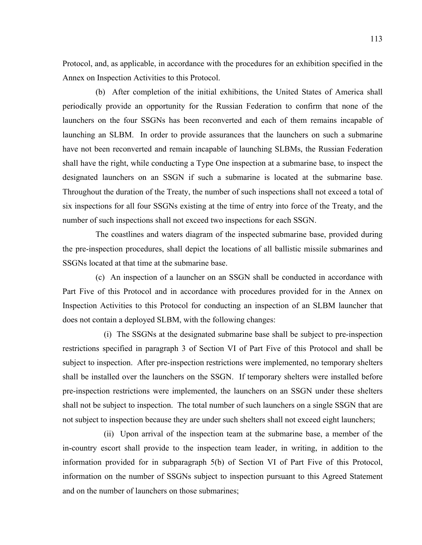Protocol, and, as applicable, in accordance with the procedures for an exhibition specified in the Annex on Inspection Activities to this Protocol.

 (b) After completion of the initial exhibitions, the United States of America shall periodically provide an opportunity for the Russian Federation to confirm that none of the launchers on the four SSGNs has been reconverted and each of them remains incapable of launching an SLBM. In order to provide assurances that the launchers on such a submarine have not been reconverted and remain incapable of launching SLBMs, the Russian Federation shall have the right, while conducting a Type One inspection at a submarine base, to inspect the designated launchers on an SSGN if such a submarine is located at the submarine base. Throughout the duration of the Treaty, the number of such inspections shall not exceed a total of six inspections for all four SSGNs existing at the time of entry into force of the Treaty, and the number of such inspections shall not exceed two inspections for each SSGN.

 The coastlines and waters diagram of the inspected submarine base, provided during the pre-inspection procedures, shall depict the locations of all ballistic missile submarines and SSGNs located at that time at the submarine base.

 (c) An inspection of a launcher on an SSGN shall be conducted in accordance with Part Five of this Protocol and in accordance with procedures provided for in the Annex on Inspection Activities to this Protocol for conducting an inspection of an SLBM launcher that does not contain a deployed SLBM, with the following changes:

 (i) The SSGNs at the designated submarine base shall be subject to pre-inspection restrictions specified in paragraph 3 of Section VI of Part Five of this Protocol and shall be subject to inspection. After pre-inspection restrictions were implemented, no temporary shelters shall be installed over the launchers on the SSGN. If temporary shelters were installed before pre-inspection restrictions were implemented, the launchers on an SSGN under these shelters shall not be subject to inspection. The total number of such launchers on a single SSGN that are not subject to inspection because they are under such shelters shall not exceed eight launchers;

 (ii) Upon arrival of the inspection team at the submarine base, a member of the in-country escort shall provide to the inspection team leader, in writing, in addition to the information provided for in subparagraph 5(b) of Section VI of Part Five of this Protocol, information on the number of SSGNs subject to inspection pursuant to this Agreed Statement and on the number of launchers on those submarines;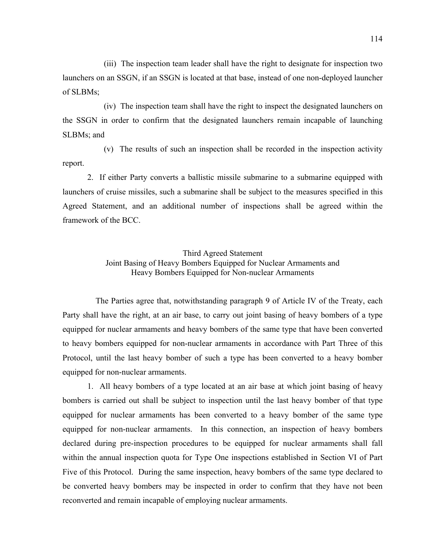(iii) The inspection team leader shall have the right to designate for inspection two launchers on an SSGN, if an SSGN is located at that base, instead of one non-deployed launcher of SLBMs;

 (iv) The inspection team shall have the right to inspect the designated launchers on the SSGN in order to confirm that the designated launchers remain incapable of launching SLBMs; and

 (v) The results of such an inspection shall be recorded in the inspection activity report.

2. If either Party converts a ballistic missile submarine to a submarine equipped with launchers of cruise missiles, such a submarine shall be subject to the measures specified in this Agreed Statement, and an additional number of inspections shall be agreed within the framework of the BCC.

# Third Agreed Statement Joint Basing of Heavy Bombers Equipped for Nuclear Armaments and Heavy Bombers Equipped for Non-nuclear Armaments

 The Parties agree that, notwithstanding paragraph 9 of Article IV of the Treaty, each Party shall have the right, at an air base, to carry out joint basing of heavy bombers of a type equipped for nuclear armaments and heavy bombers of the same type that have been converted to heavy bombers equipped for non-nuclear armaments in accordance with Part Three of this Protocol, until the last heavy bomber of such a type has been converted to a heavy bomber equipped for non-nuclear armaments.

1. All heavy bombers of a type located at an air base at which joint basing of heavy bombers is carried out shall be subject to inspection until the last heavy bomber of that type equipped for nuclear armaments has been converted to a heavy bomber of the same type equipped for non-nuclear armaments. In this connection, an inspection of heavy bombers declared during pre-inspection procedures to be equipped for nuclear armaments shall fall within the annual inspection quota for Type One inspections established in Section VI of Part Five of this Protocol. During the same inspection, heavy bombers of the same type declared to be converted heavy bombers may be inspected in order to confirm that they have not been reconverted and remain incapable of employing nuclear armaments.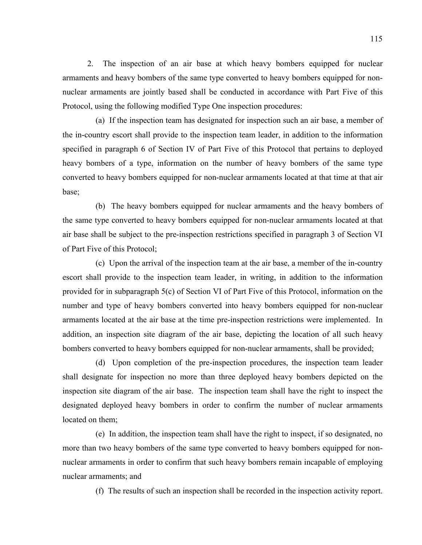2. The inspection of an air base at which heavy bombers equipped for nuclear armaments and heavy bombers of the same type converted to heavy bombers equipped for nonnuclear armaments are jointly based shall be conducted in accordance with Part Five of this Protocol, using the following modified Type One inspection procedures:

 (a) If the inspection team has designated for inspection such an air base, a member of the in-country escort shall provide to the inspection team leader, in addition to the information specified in paragraph 6 of Section IV of Part Five of this Protocol that pertains to deployed heavy bombers of a type, information on the number of heavy bombers of the same type converted to heavy bombers equipped for non-nuclear armaments located at that time at that air base;

 (b) The heavy bombers equipped for nuclear armaments and the heavy bombers of the same type converted to heavy bombers equipped for non-nuclear armaments located at that air base shall be subject to the pre-inspection restrictions specified in paragraph 3 of Section VI of Part Five of this Protocol;

 (c) Upon the arrival of the inspection team at the air base, a member of the in-country escort shall provide to the inspection team leader, in writing, in addition to the information provided for in subparagraph 5(c) of Section VI of Part Five of this Protocol, information on the number and type of heavy bombers converted into heavy bombers equipped for non-nuclear armaments located at the air base at the time pre-inspection restrictions were implemented. In addition, an inspection site diagram of the air base, depicting the location of all such heavy bombers converted to heavy bombers equipped for non-nuclear armaments, shall be provided;

 (d) Upon completion of the pre-inspection procedures, the inspection team leader shall designate for inspection no more than three deployed heavy bombers depicted on the inspection site diagram of the air base. The inspection team shall have the right to inspect the designated deployed heavy bombers in order to confirm the number of nuclear armaments located on them;

 (e) In addition, the inspection team shall have the right to inspect, if so designated, no more than two heavy bombers of the same type converted to heavy bombers equipped for nonnuclear armaments in order to confirm that such heavy bombers remain incapable of employing nuclear armaments; and

(f) The results of such an inspection shall be recorded in the inspection activity report.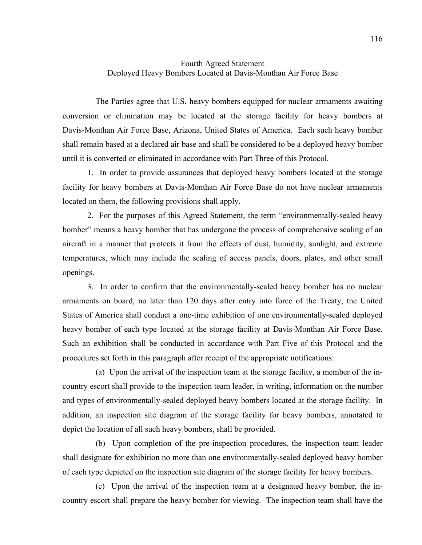# Fourth Agreed Statement Deployed Heavy Bombers Located at Davis-Monthan Air Force Base

 The Parties agree that U.S. heavy bombers equipped for nuclear armaments awaiting conversion or elimination may be located at the storage facility for heavy bombers at Davis-Monthan Air Force Base, Arizona, United States of America. Each such heavy bomber shall remain based at a declared air base and shall be considered to be a deployed heavy bomber until it is converted or eliminated in accordance with Part Three of this Protocol.

1. In order to provide assurances that deployed heavy bombers located at the storage facility for heavy bombers at Davis-Monthan Air Force Base do not have nuclear armaments located on them, the following provisions shall apply.

2. For the purposes of this Agreed Statement, the term "environmentally-sealed heavy bomber" means a heavy bomber that has undergone the process of comprehensive sealing of an aircraft in a manner that protects it from the effects of dust, humidity, sunlight, and extreme temperatures, which may include the sealing of access panels, doors, plates, and other small openings.

3. In order to confirm that the environmentally-sealed heavy bomber has no nuclear armaments on board, no later than 120 days after entry into force of the Treaty, the United States of America shall conduct a one-time exhibition of one environmentally-sealed deployed heavy bomber of each type located at the storage facility at Davis-Monthan Air Force Base. Such an exhibition shall be conducted in accordance with Part Five of this Protocol and the procedures set forth in this paragraph after receipt of the appropriate notifications:

 (a) Upon the arrival of the inspection team at the storage facility, a member of the incountry escort shall provide to the inspection team leader, in writing, information on the number and types of environmentally-sealed deployed heavy bombers located at the storage facility. In addition, an inspection site diagram of the storage facility for heavy bombers, annotated to depict the location of all such heavy bombers, shall be provided.

 (b) Upon completion of the pre-inspection procedures, the inspection team leader shall designate for exhibition no more than one environmentally-sealed deployed heavy bomber of each type depicted on the inspection site diagram of the storage facility for heavy bombers.

 (c) Upon the arrival of the inspection team at a designated heavy bomber, the incountry escort shall prepare the heavy bomber for viewing. The inspection team shall have the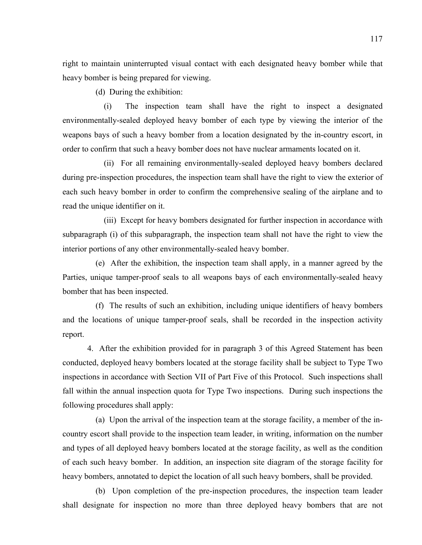right to maintain uninterrupted visual contact with each designated heavy bomber while that heavy bomber is being prepared for viewing.

(d) During the exhibition:

 (i) The inspection team shall have the right to inspect a designated environmentally-sealed deployed heavy bomber of each type by viewing the interior of the weapons bays of such a heavy bomber from a location designated by the in-country escort, in order to confirm that such a heavy bomber does not have nuclear armaments located on it.

 (ii) For all remaining environmentally-sealed deployed heavy bombers declared during pre-inspection procedures, the inspection team shall have the right to view the exterior of each such heavy bomber in order to confirm the comprehensive sealing of the airplane and to read the unique identifier on it.

 (iii) Except for heavy bombers designated for further inspection in accordance with subparagraph (i) of this subparagraph, the inspection team shall not have the right to view the interior portions of any other environmentally-sealed heavy bomber.

 (e) After the exhibition, the inspection team shall apply, in a manner agreed by the Parties, unique tamper-proof seals to all weapons bays of each environmentally-sealed heavy bomber that has been inspected.

 (f) The results of such an exhibition, including unique identifiers of heavy bombers and the locations of unique tamper-proof seals, shall be recorded in the inspection activity report.

4. After the exhibition provided for in paragraph 3 of this Agreed Statement has been conducted, deployed heavy bombers located at the storage facility shall be subject to Type Two inspections in accordance with Section VII of Part Five of this Protocol. Such inspections shall fall within the annual inspection quota for Type Two inspections. During such inspections the following procedures shall apply:

 (a) Upon the arrival of the inspection team at the storage facility, a member of the incountry escort shall provide to the inspection team leader, in writing, information on the number and types of all deployed heavy bombers located at the storage facility, as well as the condition of each such heavy bomber. In addition, an inspection site diagram of the storage facility for heavy bombers, annotated to depict the location of all such heavy bombers, shall be provided.

 (b) Upon completion of the pre-inspection procedures, the inspection team leader shall designate for inspection no more than three deployed heavy bombers that are not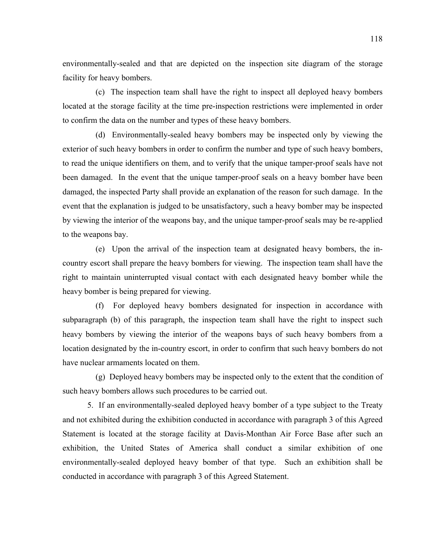environmentally-sealed and that are depicted on the inspection site diagram of the storage facility for heavy bombers.

 (c) The inspection team shall have the right to inspect all deployed heavy bombers located at the storage facility at the time pre-inspection restrictions were implemented in order to confirm the data on the number and types of these heavy bombers.

 (d) Environmentally-sealed heavy bombers may be inspected only by viewing the exterior of such heavy bombers in order to confirm the number and type of such heavy bombers, to read the unique identifiers on them, and to verify that the unique tamper-proof seals have not been damaged. In the event that the unique tamper-proof seals on a heavy bomber have been damaged, the inspected Party shall provide an explanation of the reason for such damage. In the event that the explanation is judged to be unsatisfactory, such a heavy bomber may be inspected by viewing the interior of the weapons bay, and the unique tamper-proof seals may be re-applied to the weapons bay.

 (e) Upon the arrival of the inspection team at designated heavy bombers, the incountry escort shall prepare the heavy bombers for viewing. The inspection team shall have the right to maintain uninterrupted visual contact with each designated heavy bomber while the heavy bomber is being prepared for viewing.

 (f) For deployed heavy bombers designated for inspection in accordance with subparagraph (b) of this paragraph, the inspection team shall have the right to inspect such heavy bombers by viewing the interior of the weapons bays of such heavy bombers from a location designated by the in-country escort, in order to confirm that such heavy bombers do not have nuclear armaments located on them.

 (g) Deployed heavy bombers may be inspected only to the extent that the condition of such heavy bombers allows such procedures to be carried out.

5. If an environmentally-sealed deployed heavy bomber of a type subject to the Treaty and not exhibited during the exhibition conducted in accordance with paragraph 3 of this Agreed Statement is located at the storage facility at Davis-Monthan Air Force Base after such an exhibition, the United States of America shall conduct a similar exhibition of one environmentally-sealed deployed heavy bomber of that type. Such an exhibition shall be conducted in accordance with paragraph 3 of this Agreed Statement.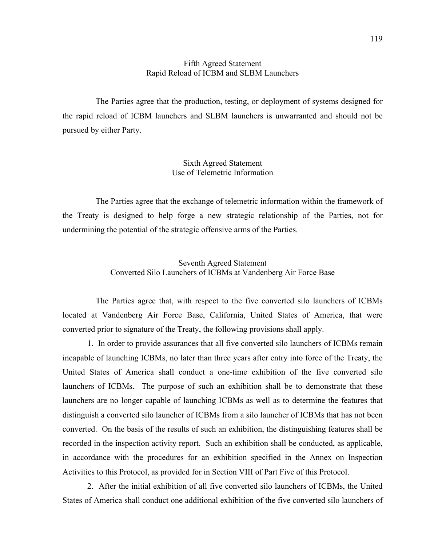#### Fifth Agreed Statement Rapid Reload of ICBM and SLBM Launchers

 The Parties agree that the production, testing, or deployment of systems designed for the rapid reload of ICBM launchers and SLBM launchers is unwarranted and should not be pursued by either Party.

> Sixth Agreed Statement Use of Telemetric Information

 The Parties agree that the exchange of telemetric information within the framework of the Treaty is designed to help forge a new strategic relationship of the Parties, not for undermining the potential of the strategic offensive arms of the Parties.

### Seventh Agreed Statement Converted Silo Launchers of ICBMs at Vandenberg Air Force Base

 The Parties agree that, with respect to the five converted silo launchers of ICBMs located at Vandenberg Air Force Base, California, United States of America, that were converted prior to signature of the Treaty, the following provisions shall apply.

1. In order to provide assurances that all five converted silo launchers of ICBMs remain incapable of launching ICBMs, no later than three years after entry into force of the Treaty, the United States of America shall conduct a one-time exhibition of the five converted silo launchers of ICBMs. The purpose of such an exhibition shall be to demonstrate that these launchers are no longer capable of launching ICBMs as well as to determine the features that distinguish a converted silo launcher of ICBMs from a silo launcher of ICBMs that has not been converted. On the basis of the results of such an exhibition, the distinguishing features shall be recorded in the inspection activity report. Such an exhibition shall be conducted, as applicable, in accordance with the procedures for an exhibition specified in the Annex on Inspection Activities to this Protocol, as provided for in Section VIII of Part Five of this Protocol.

2. After the initial exhibition of all five converted silo launchers of ICBMs, the United States of America shall conduct one additional exhibition of the five converted silo launchers of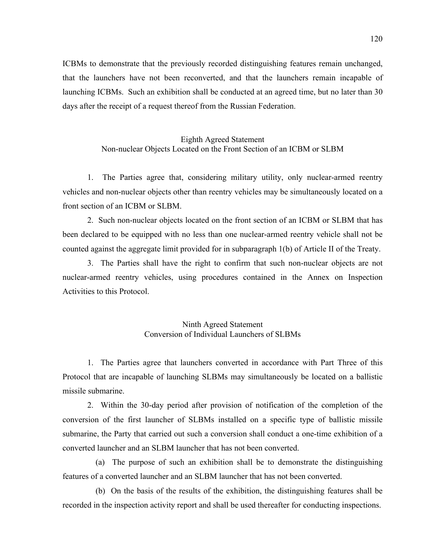ICBMs to demonstrate that the previously recorded distinguishing features remain unchanged, that the launchers have not been reconverted, and that the launchers remain incapable of launching ICBMs. Such an exhibition shall be conducted at an agreed time, but no later than 30 days after the receipt of a request thereof from the Russian Federation.

### Eighth Agreed Statement Non-nuclear Objects Located on the Front Section of an ICBM or SLBM

1. The Parties agree that, considering military utility, only nuclear-armed reentry vehicles and non-nuclear objects other than reentry vehicles may be simultaneously located on a front section of an ICBM or SLBM.

2. Such non-nuclear objects located on the front section of an ICBM or SLBM that has been declared to be equipped with no less than one nuclear-armed reentry vehicle shall not be counted against the aggregate limit provided for in subparagraph 1(b) of Article II of the Treaty.

3. The Parties shall have the right to confirm that such non-nuclear objects are not nuclear-armed reentry vehicles, using procedures contained in the Annex on Inspection Activities to this Protocol.

### Ninth Agreed Statement Conversion of Individual Launchers of SLBMs

1. The Parties agree that launchers converted in accordance with Part Three of this Protocol that are incapable of launching SLBMs may simultaneously be located on a ballistic missile submarine.

2. Within the 30-day period after provision of notification of the completion of the conversion of the first launcher of SLBMs installed on a specific type of ballistic missile submarine, the Party that carried out such a conversion shall conduct a one-time exhibition of a converted launcher and an SLBM launcher that has not been converted.

 (a) The purpose of such an exhibition shall be to demonstrate the distinguishing features of a converted launcher and an SLBM launcher that has not been converted.

 (b) On the basis of the results of the exhibition, the distinguishing features shall be recorded in the inspection activity report and shall be used thereafter for conducting inspections.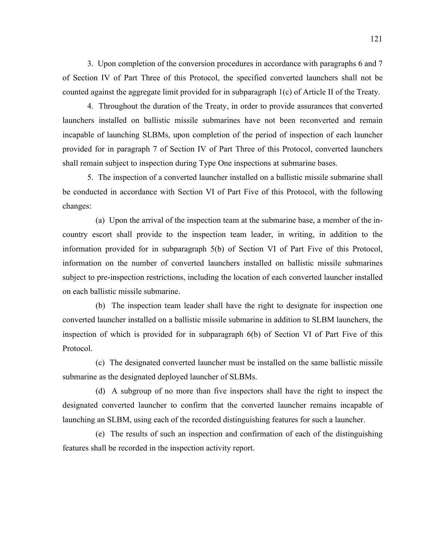3. Upon completion of the conversion procedures in accordance with paragraphs 6 and 7 of Section IV of Part Three of this Protocol, the specified converted launchers shall not be counted against the aggregate limit provided for in subparagraph 1(c) of Article II of the Treaty.

4. Throughout the duration of the Treaty, in order to provide assurances that converted launchers installed on ballistic missile submarines have not been reconverted and remain incapable of launching SLBMs, upon completion of the period of inspection of each launcher provided for in paragraph 7 of Section IV of Part Three of this Protocol, converted launchers shall remain subject to inspection during Type One inspections at submarine bases.

5. The inspection of a converted launcher installed on a ballistic missile submarine shall be conducted in accordance with Section VI of Part Five of this Protocol, with the following changes:

 (a) Upon the arrival of the inspection team at the submarine base, a member of the incountry escort shall provide to the inspection team leader, in writing, in addition to the information provided for in subparagraph 5(b) of Section VI of Part Five of this Protocol, information on the number of converted launchers installed on ballistic missile submarines subject to pre-inspection restrictions, including the location of each converted launcher installed on each ballistic missile submarine.

 (b) The inspection team leader shall have the right to designate for inspection one converted launcher installed on a ballistic missile submarine in addition to SLBM launchers, the inspection of which is provided for in subparagraph 6(b) of Section VI of Part Five of this Protocol.

 (c) The designated converted launcher must be installed on the same ballistic missile submarine as the designated deployed launcher of SLBMs.

 (d) A subgroup of no more than five inspectors shall have the right to inspect the designated converted launcher to confirm that the converted launcher remains incapable of launching an SLBM, using each of the recorded distinguishing features for such a launcher.

 (e) The results of such an inspection and confirmation of each of the distinguishing features shall be recorded in the inspection activity report.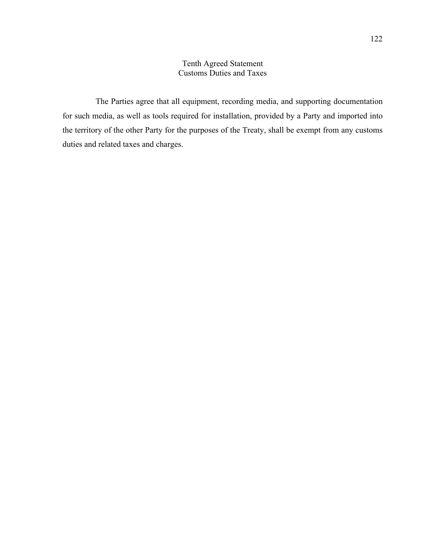# Tenth Agreed Statement Customs Duties and Taxes

 The Parties agree that all equipment, recording media, and supporting documentation for such media, as well as tools required for installation, provided by a Party and imported into the territory of the other Party for the purposes of the Treaty, shall be exempt from any customs duties and related taxes and charges.